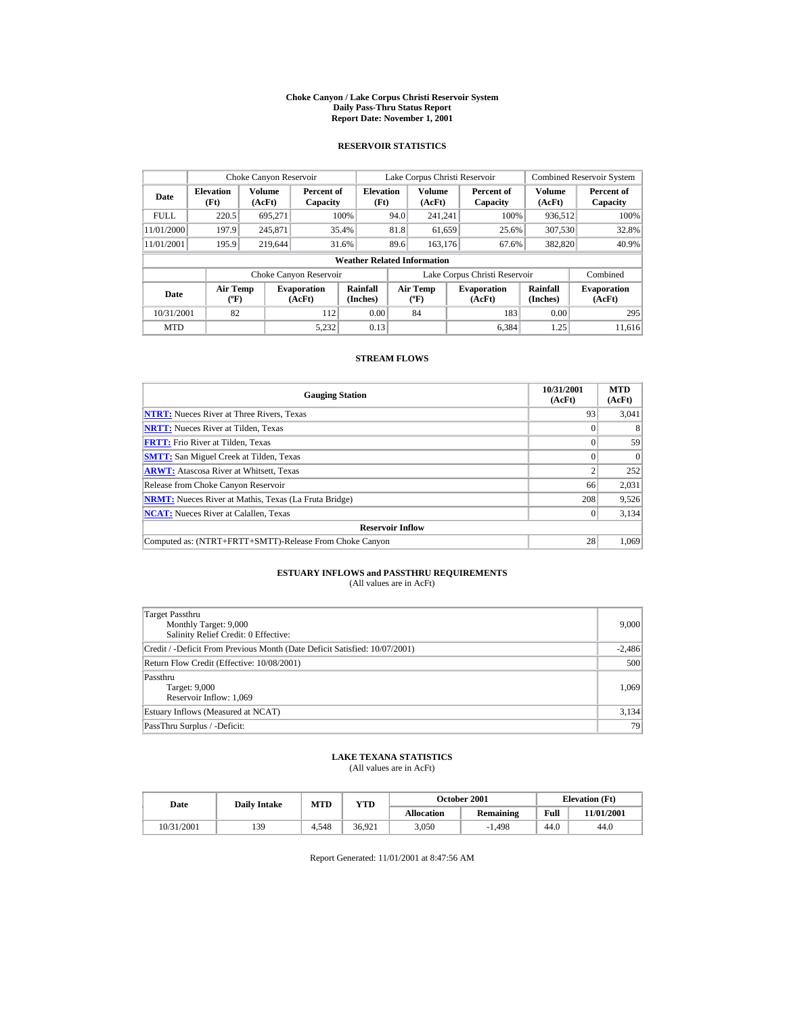#### **Choke Canyon / Lake Corpus Christi Reservoir System Daily Pass-Thru Status Report Report Date: November 1, 2001**

### **RESERVOIR STATISTICS**

|             | Choke Canyon Reservoir           |                  |                              |                                    |      | Lake Corpus Christi Reservoir    |                               |                             | <b>Combined Reservoir System</b> |
|-------------|----------------------------------|------------------|------------------------------|------------------------------------|------|----------------------------------|-------------------------------|-----------------------------|----------------------------------|
| Date        | <b>Elevation</b><br>(Ft)         | Volume<br>(AcFt) | Percent of<br>Capacity       | <b>Elevation</b><br>(Ft)           |      | Volume<br>(AcFt)                 | Percent of<br>Capacity        | Volume<br>(AcFt)            | Percent of<br>Capacity           |
| <b>FULL</b> | 220.5                            | 695.271          |                              | 100%                               | 94.0 | 241.241                          | 100%                          | 936,512                     | 100%                             |
| 11/01/2000  | 197.9                            | 245,871          |                              | 35.4%                              | 81.8 | 61,659                           | 25.6%                         | 307,530                     | 32.8%                            |
| 11/01/2001  | 195.9                            | 219,644          |                              | 31.6%                              | 89.6 | 163.176                          | 67.6%                         | 382,820                     | 40.9%                            |
|             |                                  |                  |                              | <b>Weather Related Information</b> |      |                                  |                               |                             |                                  |
|             |                                  |                  | Choke Canyon Reservoir       |                                    |      |                                  | Lake Corpus Christi Reservoir |                             | Combined                         |
| Date        | <b>Air Temp</b><br>$(^{\circ}F)$ |                  | <b>Evaporation</b><br>(AcFt) | Rainfall<br>(Inches)               |      | <b>Air Temp</b><br>$(^{\circ}F)$ | <b>Evaporation</b><br>(AcFt)  | <b>Rainfall</b><br>(Inches) | <b>Evaporation</b><br>(AcFt)     |
| 10/31/2001  | 82                               |                  | 112                          | 0.00                               |      | 84                               | 183                           | 0.00                        | 295                              |
| <b>MTD</b>  |                                  |                  | 5.232                        | 0.13                               |      |                                  | 6.384                         | 1.25                        | 11.616                           |

### **STREAM FLOWS**

| <b>Gauging Station</b>                                       | 10/31/2001<br>(AcFt) | <b>MTD</b><br>(AcFt) |
|--------------------------------------------------------------|----------------------|----------------------|
| <b>NTRT:</b> Nueces River at Three Rivers, Texas             | 93                   | 3,041                |
| <b>NRTT:</b> Nueces River at Tilden, Texas                   |                      |                      |
| <b>FRTT:</b> Frio River at Tilden, Texas                     |                      | 59                   |
| <b>SMTT:</b> San Miguel Creek at Tilden, Texas               |                      | $\Omega$             |
| <b>ARWT:</b> Atascosa River at Whitsett, Texas               |                      | 252                  |
| Release from Choke Canyon Reservoir                          | 66                   | 2,031                |
| <b>NRMT:</b> Nueces River at Mathis, Texas (La Fruta Bridge) | 208                  | 9,526                |
| <b>NCAT:</b> Nueces River at Calallen, Texas                 |                      | 3,134                |
| <b>Reservoir Inflow</b>                                      |                      |                      |
| Computed as: (NTRT+FRTT+SMTT)-Release From Choke Canyon      | 28                   | 1.069                |

# **ESTUARY INFLOWS and PASSTHRU REQUIREMENTS**<br>(All values are in AcFt)

| Target Passthru<br>Monthly Target: 9,000<br>Salinity Relief Credit: 0 Effective: | 9,000    |
|----------------------------------------------------------------------------------|----------|
| Credit / -Deficit From Previous Month (Date Deficit Satisfied: 10/07/2001)       | $-2,486$ |
| Return Flow Credit (Effective: 10/08/2001)                                       | 500      |
| Passthru<br>Target: 9,000<br>Reservoir Inflow: 1,069                             | 1.069    |
| Estuary Inflows (Measured at NCAT)                                               | 3,134    |
| PassThru Surplus / -Deficit:                                                     | 79       |

## **LAKE TEXANA STATISTICS**

(All values are in AcFt)

| Date       | <b>Daily Intake</b> | MTD   | YTD    |                   | October 2001     |      | <b>Elevation</b> (Ft) |
|------------|---------------------|-------|--------|-------------------|------------------|------|-----------------------|
|            |                     |       |        | <b>Allocation</b> | <b>Remaining</b> | Full | 11/01/2001            |
| 10/31/2001 | 139                 | 4.548 | 36.921 | 3.050             | $-1.498$         | 44.0 | 44.0                  |

Report Generated: 11/01/2001 at 8:47:56 AM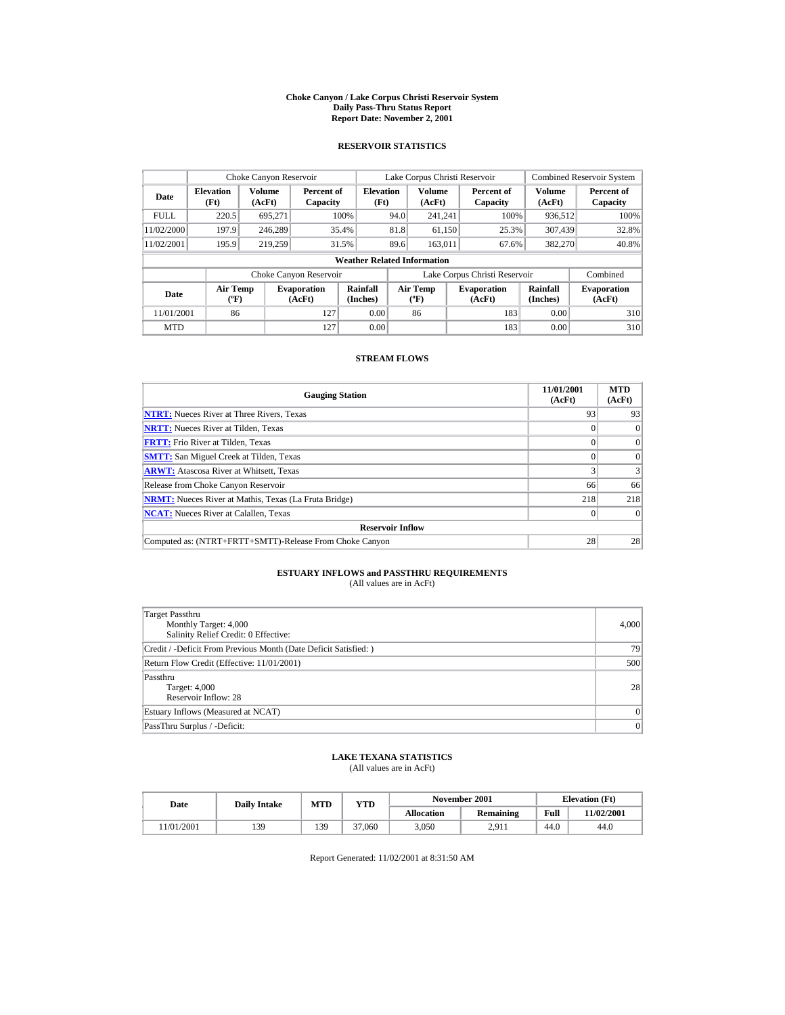#### **Choke Canyon / Lake Corpus Christi Reservoir System Daily Pass-Thru Status Report Report Date: November 2, 2001**

### **RESERVOIR STATISTICS**

|             | Choke Canyon Reservoir                                                                                                                                                               |                  |                              |                                    |      | Lake Corpus Christi Reservoir |                               |                  | <b>Combined Reservoir System</b> |
|-------------|--------------------------------------------------------------------------------------------------------------------------------------------------------------------------------------|------------------|------------------------------|------------------------------------|------|-------------------------------|-------------------------------|------------------|----------------------------------|
| Date        | <b>Elevation</b><br>(Ft)                                                                                                                                                             | Volume<br>(AcFt) | Percent of<br>Capacity       | <b>Elevation</b><br>(Ft)           |      | <b>Volume</b><br>(AcFt)       | Percent of<br>Capacity        | Volume<br>(AcFt) | Percent of<br>Capacity           |
| <b>FULL</b> | 220.5                                                                                                                                                                                | 695.271          |                              | 100%                               | 94.0 | 241.241                       | 100%                          | 936,512          | 100%                             |
| 11/02/2000  | 197.9                                                                                                                                                                                | 246,289          |                              | 35.4%                              | 81.8 | 61,150                        | 25.3%                         | 307.439          | 32.8%                            |
| 11/02/2001  | 195.9                                                                                                                                                                                | 219.259          |                              | 31.5%                              | 89.6 | 163,011                       | 67.6%                         | 382,270          | 40.8%                            |
|             |                                                                                                                                                                                      |                  |                              | <b>Weather Related Information</b> |      |                               |                               |                  |                                  |
|             |                                                                                                                                                                                      |                  | Choke Canyon Reservoir       |                                    |      |                               | Lake Corpus Christi Reservoir |                  | Combined                         |
| Date        | Rainfall<br>Rainfall<br><b>Air Temp</b><br><b>Air Temp</b><br><b>Evaporation</b><br><b>Evaporation</b><br>(Inches)<br>$(^{\circ}F)$<br>(Inches)<br>(AcFt)<br>$(^{\circ}F)$<br>(AcFt) |                  | <b>Evaporation</b><br>(AcFt) |                                    |      |                               |                               |                  |                                  |
| 11/01/2001  | 86                                                                                                                                                                                   |                  | 127                          | 0.00                               |      | 86                            | 183                           | 0.00             | 310                              |
| <b>MTD</b>  |                                                                                                                                                                                      |                  | 127                          | 0.00                               |      |                               | 183                           | 0.00             | 310                              |

### **STREAM FLOWS**

| <b>Gauging Station</b>                                       | 11/01/2001<br>(AcFt) | <b>MTD</b><br>(AcFt) |
|--------------------------------------------------------------|----------------------|----------------------|
| <b>NTRT:</b> Nueces River at Three Rivers, Texas             | 93                   | 93                   |
| <b>NRTT:</b> Nueces River at Tilden, Texas                   |                      | $\Omega$             |
| <b>FRTT:</b> Frio River at Tilden, Texas                     |                      | $\mathbf{0}$         |
| <b>SMTT:</b> San Miguel Creek at Tilden, Texas               |                      | $\Omega$             |
| <b>ARWT:</b> Atascosa River at Whitsett, Texas               |                      |                      |
| Release from Choke Canyon Reservoir                          | 66                   | 66                   |
| <b>NRMT:</b> Nueces River at Mathis, Texas (La Fruta Bridge) | 218                  | 218                  |
| <b>NCAT:</b> Nueces River at Calallen, Texas                 |                      | $\Omega$             |
| <b>Reservoir Inflow</b>                                      |                      |                      |
| Computed as: (NTRT+FRTT+SMTT)-Release From Choke Canyon      | 28                   | 28                   |

# **ESTUARY INFLOWS and PASSTHRU REQUIREMENTS**<br>(All values are in AcFt)

| Target Passthru<br>Monthly Target: 4,000<br>Salinity Relief Credit: 0 Effective: | 4,000     |
|----------------------------------------------------------------------------------|-----------|
| Credit / -Deficit From Previous Month (Date Deficit Satisfied:)                  | 79        |
| Return Flow Credit (Effective: 11/01/2001)                                       | 500       |
| Passthru<br>Target: 4,000<br>Reservoir Inflow: 28                                | 28        |
| Estuary Inflows (Measured at NCAT)                                               | $\vert$ 0 |
| PassThru Surplus / -Deficit:                                                     | 0         |

## **LAKE TEXANA STATISTICS**

(All values are in AcFt)

| Date      | <b>Daily Intake</b> | <b>MTD</b> | YTD    |                   | November 2001    |      | <b>Elevation</b> (Ft) |
|-----------|---------------------|------------|--------|-------------------|------------------|------|-----------------------|
|           |                     |            |        | <b>Allocation</b> | <b>Remaining</b> | Full | 1/02/2001             |
| 1/01/2001 | 139                 | 139        | 37,060 | 3.050             | 2.911            | 44.0 | 44.0                  |

Report Generated: 11/02/2001 at 8:31:50 AM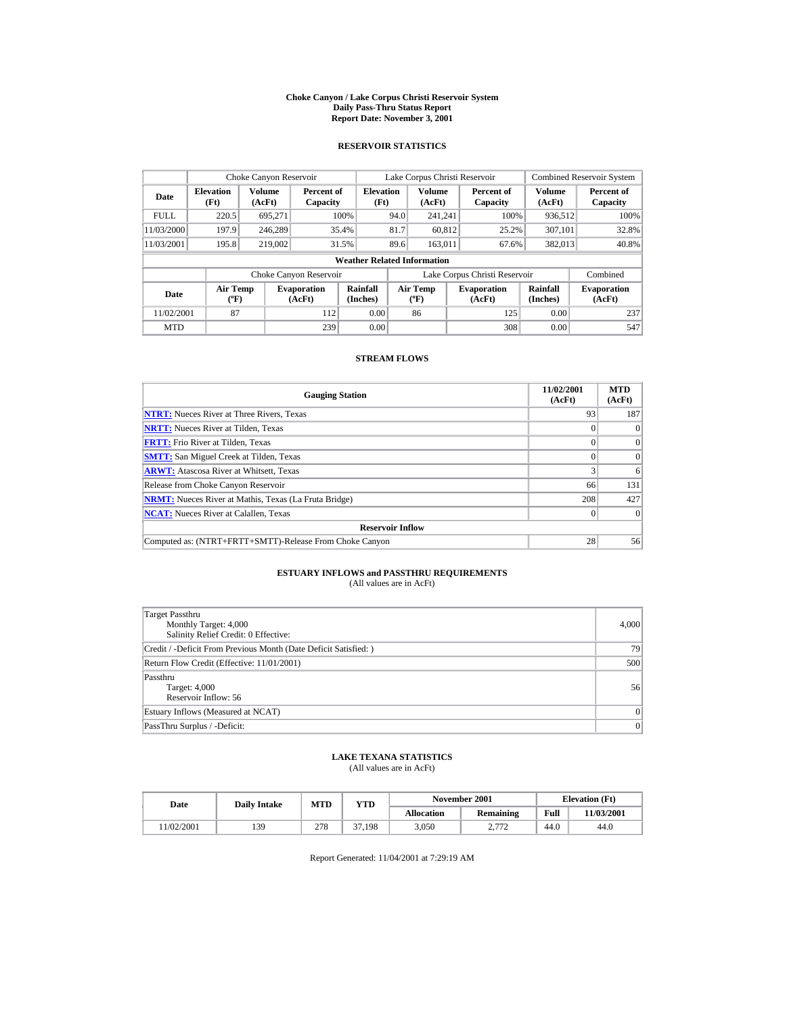#### **Choke Canyon / Lake Corpus Christi Reservoir System Daily Pass-Thru Status Report Report Date: November 3, 2001**

### **RESERVOIR STATISTICS**

| Choke Canyon Reservoir |                                  |                  |                              |                                    |      | Lake Corpus Christi Reservoir    |                               |                      | <b>Combined Reservoir System</b> |
|------------------------|----------------------------------|------------------|------------------------------|------------------------------------|------|----------------------------------|-------------------------------|----------------------|----------------------------------|
| Date                   | <b>Elevation</b><br>(Ft)         | Volume<br>(AcFt) | Percent of<br>Capacity       | <b>Elevation</b><br>(Ft)           |      | Volume<br>(AcFt)                 | Percent of<br>Capacity        | Volume<br>(AcFt)     | Percent of<br>Capacity           |
| <b>FULL</b>            | 220.5                            | 695.271          |                              | 100%                               | 94.0 | 241.241                          | 100%                          | 936.512              | 100%                             |
| 11/03/2000             | 197.9                            | 246,289          |                              | 35.4%                              | 81.7 | 60.812                           | 25.2%                         | 307.101              | 32.8%                            |
| 11/03/2001             | 195.8                            | 219,002          |                              | 31.5%                              | 89.6 | 163.011                          | 67.6%                         | 382,013              | 40.8%                            |
|                        |                                  |                  |                              | <b>Weather Related Information</b> |      |                                  |                               |                      |                                  |
|                        |                                  |                  | Choke Canyon Reservoir       |                                    |      |                                  | Lake Corpus Christi Reservoir |                      | Combined                         |
| Date                   | <b>Air Temp</b><br>$(^{\circ}F)$ |                  | <b>Evaporation</b><br>(AcFt) | Rainfall<br>(Inches)               |      | <b>Air Temp</b><br>$(^{\circ}F)$ | <b>Evaporation</b><br>(AcFt)  | Rainfall<br>(Inches) | <b>Evaporation</b><br>(AcFt)     |
| 11/02/2001             | 87                               |                  | 112                          | 0.00                               |      | 86                               | 125                           | 0.00                 | 237                              |
| <b>MTD</b>             |                                  |                  | 239                          | 0.00                               |      |                                  | 308                           | 0.00                 | 547                              |

### **STREAM FLOWS**

| <b>Gauging Station</b>                                       | 11/02/2001<br>(AcFt) | <b>MTD</b><br>(AcFt) |
|--------------------------------------------------------------|----------------------|----------------------|
| <b>NTRT:</b> Nueces River at Three Rivers, Texas             | 93                   | 187                  |
| <b>NRTT:</b> Nueces River at Tilden, Texas                   |                      | $\Omega$             |
| <b>FRTT:</b> Frio River at Tilden, Texas                     |                      | $\Omega$             |
| <b>SMTT:</b> San Miguel Creek at Tilden, Texas               |                      | $\Omega$             |
| <b>ARWT:</b> Atascosa River at Whitsett, Texas               |                      | 6                    |
| Release from Choke Canyon Reservoir                          | 66                   | 131                  |
| <b>NRMT:</b> Nueces River at Mathis, Texas (La Fruta Bridge) | 208                  | 427                  |
| <b>NCAT:</b> Nueces River at Calallen, Texas                 |                      | $\Omega$             |
| <b>Reservoir Inflow</b>                                      |                      |                      |
| Computed as: (NTRT+FRTT+SMTT)-Release From Choke Canyon      | 28                   | 56                   |

# **ESTUARY INFLOWS and PASSTHRU REQUIREMENTS**<br>(All values are in AcFt)

| Target Passthru<br>Monthly Target: 4,000<br>Salinity Relief Credit: 0 Effective: | 4,000     |
|----------------------------------------------------------------------------------|-----------|
| Credit / -Deficit From Previous Month (Date Deficit Satisfied:)                  | 79        |
| Return Flow Credit (Effective: 11/01/2001)                                       | 500       |
| Passthru<br>Target: 4,000<br>Reservoir Inflow: 56                                | 56        |
| Estuary Inflows (Measured at NCAT)                                               | $\vert$ 0 |
| PassThru Surplus / -Deficit:                                                     | 0         |

## **LAKE TEXANA STATISTICS**

(All values are in AcFt)

| Date      | <b>Daily Intake</b> | <b>MTD</b> | YTD    |                   | November 2001                                |      | <b>Elevation</b> (Ft) |
|-----------|---------------------|------------|--------|-------------------|----------------------------------------------|------|-----------------------|
|           |                     |            |        | <b>Allocation</b> | <b>Remaining</b>                             | Full | 11/03/2001            |
| 1/02/2001 | 139                 | 278        | 37.198 | 3.050             | 2772<br><u>.</u><br>$\overline{\phantom{0}}$ | 44.0 | 44.0                  |

Report Generated: 11/04/2001 at 7:29:19 AM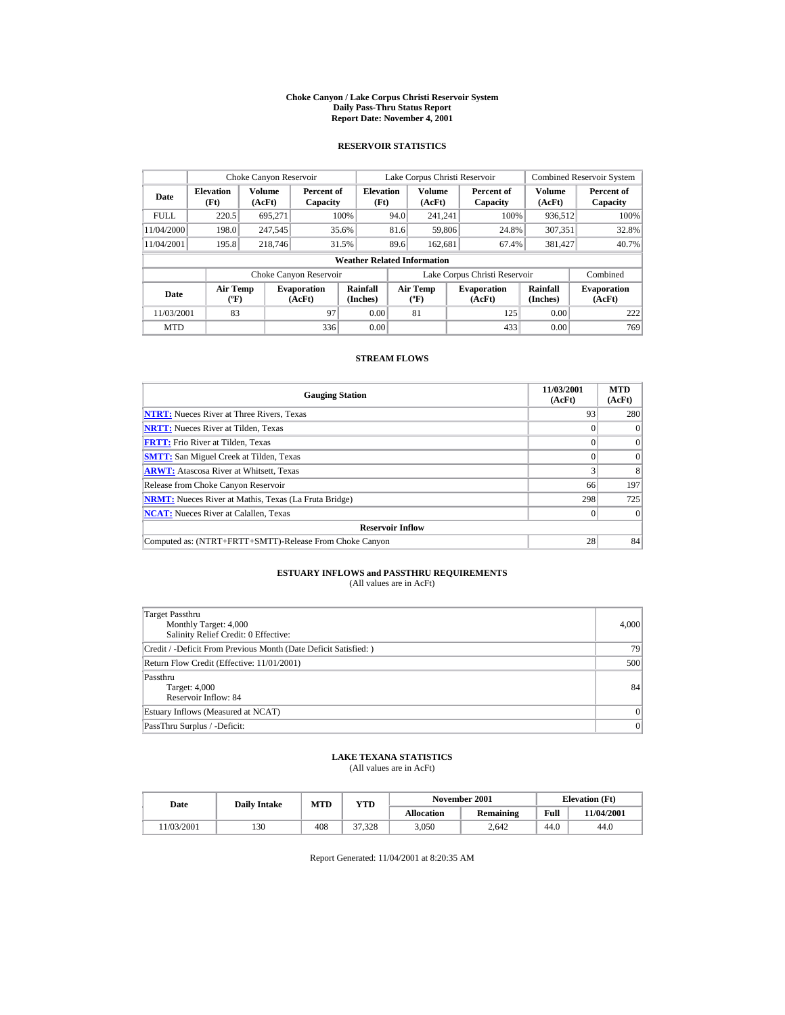#### **Choke Canyon / Lake Corpus Christi Reservoir System Daily Pass-Thru Status Report Report Date: November 4, 2001**

### **RESERVOIR STATISTICS**

|                                  | Choke Canyon Reservoir           |                  |                              |                                    |      | Lake Corpus Christi Reservoir           |                               |                      | <b>Combined Reservoir System</b> |
|----------------------------------|----------------------------------|------------------|------------------------------|------------------------------------|------|-----------------------------------------|-------------------------------|----------------------|----------------------------------|
| <b>Elevation</b><br>Date<br>(Ft) |                                  | Volume<br>(AcFt) | Percent of<br>Capacity       | <b>Elevation</b><br>(Ft)           |      | Volume<br>(AcFt)                        | Percent of<br>Capacity        | Volume<br>(AcFt)     | Percent of<br>Capacity           |
| <b>FULL</b>                      | 220.5                            | 695.271          |                              | 100%                               | 94.0 | 241.241                                 | 100%                          | 936.512              | 100%                             |
| 11/04/2000                       | 198.0                            | 247,545          |                              | 35.6%                              | 81.6 | 59.806                                  | 24.8%                         | 307.351              | 32.8%                            |
| 11/04/2001                       | 195.8                            | 218,746          |                              | 31.5%                              | 89.6 | 162,681                                 | 67.4%                         | 381,427              | 40.7%                            |
|                                  |                                  |                  |                              | <b>Weather Related Information</b> |      |                                         |                               |                      |                                  |
|                                  |                                  |                  | Choke Canyon Reservoir       |                                    |      |                                         | Lake Corpus Christi Reservoir |                      | Combined                         |
| Date                             | <b>Air Temp</b><br>$(^{\circ}F)$ |                  | <b>Evaporation</b><br>(AcFt) | Rainfall<br>(Inches)               |      | <b>Air Temp</b><br>$(^{\circ}\text{F})$ | <b>Evaporation</b><br>(AcFt)  | Rainfall<br>(Inches) | <b>Evaporation</b><br>(AcFt)     |
| 11/03/2001                       | 83                               |                  | 97                           | 0.00                               |      | 81                                      | 125                           | 0.00                 | 222                              |
| <b>MTD</b>                       |                                  |                  | 336                          | 0.00                               |      |                                         | 433                           | 0.00                 | 769                              |

### **STREAM FLOWS**

| <b>Gauging Station</b>                                       | 11/03/2001<br>(AcFt) | <b>MTD</b><br>(AcFt) |
|--------------------------------------------------------------|----------------------|----------------------|
| <b>NTRT:</b> Nueces River at Three Rivers, Texas             | 93                   | 280                  |
| <b>NRTT:</b> Nueces River at Tilden, Texas                   |                      | $\Omega$             |
| <b>FRTT:</b> Frio River at Tilden, Texas                     |                      | $\Omega$             |
| <b>SMTT:</b> San Miguel Creek at Tilden, Texas               |                      | $\Omega$             |
| <b>ARWT:</b> Atascosa River at Whitsett, Texas               |                      | 8                    |
| Release from Choke Canyon Reservoir                          | 66                   | 197                  |
| <b>NRMT:</b> Nueces River at Mathis, Texas (La Fruta Bridge) | 298                  | 725                  |
| <b>NCAT:</b> Nueces River at Calallen, Texas                 |                      | $\Omega$             |
| <b>Reservoir Inflow</b>                                      |                      |                      |
| Computed as: (NTRT+FRTT+SMTT)-Release From Choke Canyon      | 28                   | 84                   |

# **ESTUARY INFLOWS and PASSTHRU REQUIREMENTS**<br>(All values are in AcFt)

| Target Passthru<br>Monthly Target: 4,000<br>Salinity Relief Credit: 0 Effective: | 4,000     |
|----------------------------------------------------------------------------------|-----------|
| Credit / -Deficit From Previous Month (Date Deficit Satisfied:)                  | 79        |
| Return Flow Credit (Effective: 11/01/2001)                                       | 500       |
| Passthru<br>Target: 4,000<br>Reservoir Inflow: 84                                | 84        |
| Estuary Inflows (Measured at NCAT)                                               | $\vert$ 0 |
| PassThru Surplus / -Deficit:                                                     | 0         |

## **LAKE TEXANA STATISTICS**

(All values are in AcFt)

| Date      | <b>Daily Intake</b> | <b>MTD</b><br>YTD |        |            | November 2001    | <b>Elevation</b> (Ft) |            |
|-----------|---------------------|-------------------|--------|------------|------------------|-----------------------|------------|
|           |                     |                   |        | Allocation | <b>Remaining</b> | Full                  | 11/04/2001 |
| 1/03/2001 | 130                 | 408               | 37.328 | 3.050      | 2.642            | 44.0                  | 44.0       |

Report Generated: 11/04/2001 at 8:20:35 AM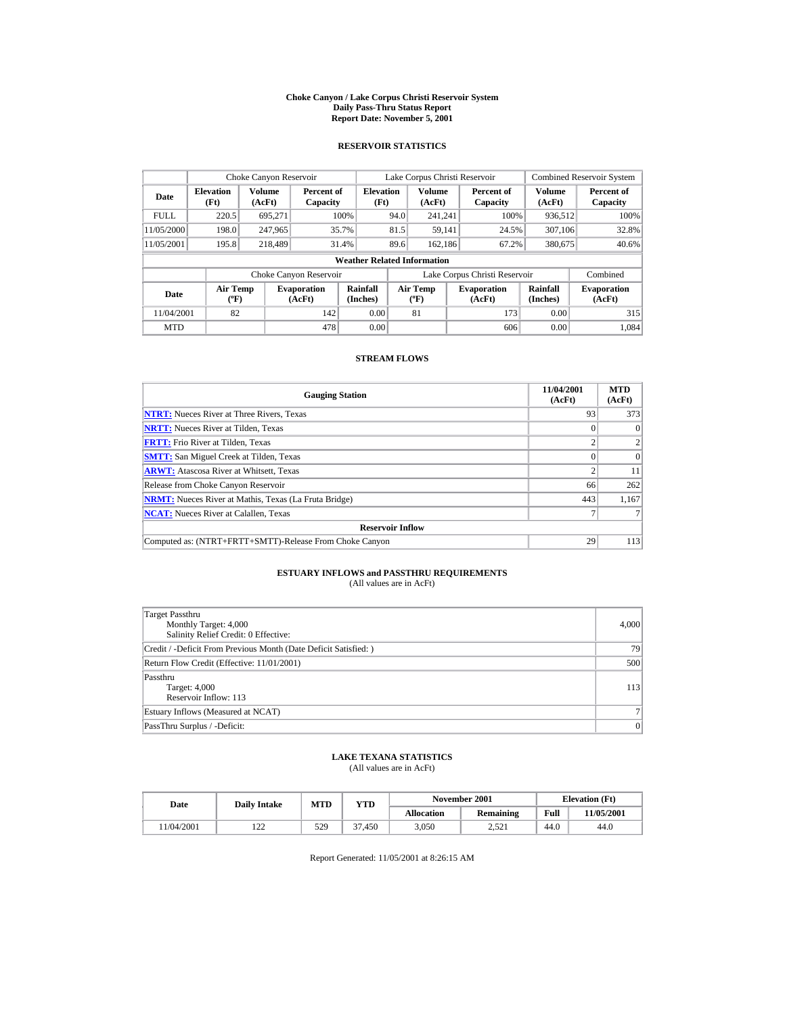#### **Choke Canyon / Lake Corpus Christi Reservoir System Daily Pass-Thru Status Report Report Date: November 5, 2001**

### **RESERVOIR STATISTICS**

|                                                             | Choke Canyon Reservoir           |         |                              |                                    |      | Lake Corpus Christi Reservoir    |                               |                             | <b>Combined Reservoir System</b> |
|-------------------------------------------------------------|----------------------------------|---------|------------------------------|------------------------------------|------|----------------------------------|-------------------------------|-----------------------------|----------------------------------|
| <b>Volume</b><br><b>Elevation</b><br>Date<br>(Ft)<br>(AcFt) |                                  |         | Percent of<br>Capacity       | <b>Elevation</b><br>(Ft)           |      | <b>Volume</b><br>(AcFt)          | Percent of<br>Capacity        | Volume<br>(AcFt)            | Percent of<br>Capacity           |
| <b>FULL</b>                                                 | 220.5                            | 695.271 |                              | 100%                               | 94.0 | 241.241                          | 100%                          | 936.512                     | 100%                             |
| 11/05/2000                                                  | 198.0                            | 247,965 |                              | 35.7%                              | 81.5 | 59.141                           | 24.5%                         | 307,106                     | 32.8%                            |
| 11/05/2001                                                  | 195.8                            | 218,489 |                              | 31.4%                              | 89.6 | 162.186                          | 67.2%                         | 380,675                     | 40.6%                            |
|                                                             |                                  |         |                              | <b>Weather Related Information</b> |      |                                  |                               |                             |                                  |
|                                                             |                                  |         | Choke Canyon Reservoir       |                                    |      |                                  | Lake Corpus Christi Reservoir |                             | Combined                         |
| Date                                                        | <b>Air Temp</b><br>$(^{\circ}F)$ |         | <b>Evaporation</b><br>(AcFt) | Rainfall<br>(Inches)               |      | <b>Air Temp</b><br>$(^{\circ}F)$ | <b>Evaporation</b><br>(AcFt)  | <b>Rainfall</b><br>(Inches) | <b>Evaporation</b><br>(AcFt)     |
| 11/04/2001                                                  | 82                               |         | 142                          | 0.00                               |      | 81                               | 173                           | 0.00                        | 315                              |
| <b>MTD</b>                                                  |                                  |         | 478                          | 0.00                               |      |                                  | 606                           | 0.00                        | 1.084                            |

### **STREAM FLOWS**

| <b>Gauging Station</b>                                       | 11/04/2001<br>(AcFt) | <b>MTD</b><br>(AcFt) |
|--------------------------------------------------------------|----------------------|----------------------|
| <b>NTRT:</b> Nueces River at Three Rivers, Texas             | 93                   | 373                  |
| <b>NRTT:</b> Nueces River at Tilden, Texas                   |                      | $\Omega$             |
| <b>FRTT:</b> Frio River at Tilden, Texas                     |                      | 2                    |
| <b>SMTT:</b> San Miguel Creek at Tilden, Texas               |                      | $\Omega$             |
| <b>ARWT:</b> Atascosa River at Whitsett, Texas               |                      | 11                   |
| Release from Choke Canyon Reservoir                          | 66                   | 262                  |
| <b>NRMT:</b> Nueces River at Mathis, Texas (La Fruta Bridge) | 443                  | 1.167                |
| <b>NCAT:</b> Nueces River at Calallen, Texas                 |                      |                      |
| <b>Reservoir Inflow</b>                                      |                      |                      |
| Computed as: (NTRT+FRTT+SMTT)-Release From Choke Canyon      | 29                   | 113                  |

# **ESTUARY INFLOWS and PASSTHRU REQUIREMENTS**<br>(All values are in AcFt)

| Target Passthru<br>Monthly Target: 4,000<br>Salinity Relief Credit: 0 Effective: | 4,000          |
|----------------------------------------------------------------------------------|----------------|
| Credit / -Deficit From Previous Month (Date Deficit Satisfied: )                 | 79             |
| Return Flow Credit (Effective: 11/01/2001)                                       | 500            |
| Passthru<br>Target: 4,000<br>Reservoir Inflow: 113                               | 113            |
| Estuary Inflows (Measured at NCAT)                                               | 7 <sup>1</sup> |
| PassThru Surplus / -Deficit:                                                     | 0              |

## **LAKE TEXANA STATISTICS**

(All values are in AcFt)

| Date      | <b>Daily Intake</b> | <b>MTD</b> | YTD    |            | November 2001    |      | <b>Elevation</b> (Ft) |
|-----------|---------------------|------------|--------|------------|------------------|------|-----------------------|
|           |                     |            |        | Allocation | <b>Remaining</b> | Full | 1/05/2001             |
| 1/04/2001 | $\overline{1}$      | 529        | 37.450 | 3.050      | 2.521            | 44.0 | 44.0                  |

Report Generated: 11/05/2001 at 8:26:15 AM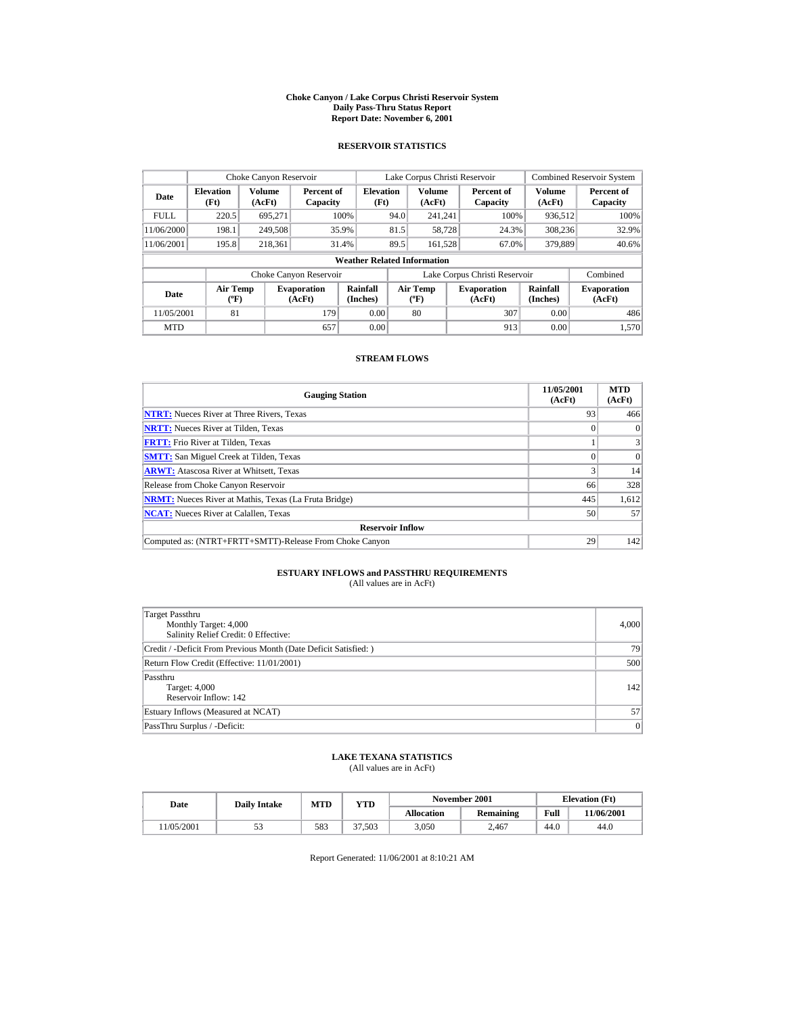#### **Choke Canyon / Lake Corpus Christi Reservoir System Daily Pass-Thru Status Report Report Date: November 6, 2001**

### **RESERVOIR STATISTICS**

|                                  | Choke Canyon Reservoir           |                         |                              |                                    |      | Lake Corpus Christi Reservoir    |                               |                             | <b>Combined Reservoir System</b> |
|----------------------------------|----------------------------------|-------------------------|------------------------------|------------------------------------|------|----------------------------------|-------------------------------|-----------------------------|----------------------------------|
| <b>Elevation</b><br>Date<br>(Ft) |                                  | <b>Volume</b><br>(AcFt) | Percent of<br>Capacity       | <b>Elevation</b><br>(Ft)           |      | <b>Volume</b><br>(AcFt)          | Percent of<br>Capacity        | Volume<br>(AcFt)            | Percent of<br>Capacity           |
| <b>FULL</b>                      | 220.5                            | 695.271                 |                              | 100%                               | 94.0 | 241.241                          | 100%                          | 936.512                     | 100%                             |
| 11/06/2000                       | 198.1                            | 249,508                 |                              | 35.9%                              | 81.5 | 58,728                           | 24.3%                         | 308.236                     | 32.9%                            |
| 11/06/2001                       | 195.8                            | 218.361                 |                              | 31.4%                              | 89.5 | 161,528                          | 67.0%                         | 379,889                     | 40.6%                            |
|                                  |                                  |                         |                              | <b>Weather Related Information</b> |      |                                  |                               |                             |                                  |
|                                  |                                  |                         | Choke Canyon Reservoir       |                                    |      |                                  | Lake Corpus Christi Reservoir |                             | Combined                         |
| Date                             | <b>Air Temp</b><br>$(^{\circ}F)$ |                         | <b>Evaporation</b><br>(AcFt) | Rainfall<br>(Inches)               |      | <b>Air Temp</b><br>$(^{\circ}F)$ | <b>Evaporation</b><br>(AcFt)  | <b>Rainfall</b><br>(Inches) | <b>Evaporation</b><br>(AcFt)     |
| 11/05/2001                       | 81                               |                         | 179                          | 0.00                               |      | 80                               | 307                           | 0.00                        | 486                              |
| <b>MTD</b>                       |                                  |                         | 657                          | 0.00                               |      |                                  | 913                           | 0.00                        | 1.570                            |

### **STREAM FLOWS**

| <b>Gauging Station</b>                                       | 11/05/2001<br>(AcFt) | <b>MTD</b><br>(AcFt) |
|--------------------------------------------------------------|----------------------|----------------------|
| <b>NTRT:</b> Nueces River at Three Rivers, Texas             | 93                   | 466                  |
| <b>NRTT:</b> Nueces River at Tilden, Texas                   |                      | $\theta$             |
| <b>FRTT:</b> Frio River at Tilden, Texas                     |                      | 3                    |
| <b>SMTT:</b> San Miguel Creek at Tilden, Texas               |                      | $\Omega$             |
| <b>ARWT:</b> Atascosa River at Whitsett, Texas               |                      | 14                   |
| Release from Choke Canyon Reservoir                          | 66                   | 328                  |
| <b>NRMT:</b> Nueces River at Mathis, Texas (La Fruta Bridge) | 445                  | 1,612                |
| <b>NCAT:</b> Nueces River at Calallen, Texas                 | 50                   | 57                   |
| <b>Reservoir Inflow</b>                                      |                      |                      |
| Computed as: (NTRT+FRTT+SMTT)-Release From Choke Canyon      | 29                   | 142                  |

# **ESTUARY INFLOWS and PASSTHRU REQUIREMENTS**<br>(All values are in AcFt)

| Target Passthru<br>Monthly Target: 4,000<br>Salinity Relief Credit: 0 Effective: | 4,000 |
|----------------------------------------------------------------------------------|-------|
| Credit / -Deficit From Previous Month (Date Deficit Satisfied: )                 | 79    |
| Return Flow Credit (Effective: 11/01/2001)                                       | 500   |
| Passthru<br>Target: 4,000<br>Reservoir Inflow: 142                               | 142   |
| Estuary Inflows (Measured at NCAT)                                               | 57    |
| PassThru Surplus / -Deficit:                                                     | 0     |

## **LAKE TEXANA STATISTICS**

(All values are in AcFt)

| Date      | <b>Daily Intake</b> | MTD | YTD    |                   | November 2001    |      | <b>Elevation</b> (Ft) |
|-----------|---------------------|-----|--------|-------------------|------------------|------|-----------------------|
|           |                     |     |        | <b>Allocation</b> | <b>Remaining</b> | Full | 1/06/2001             |
| 1/05/2001 | ີ່                  | 583 | 37.503 | 3.050             | 2.467            | 44.0 | 44.0                  |

Report Generated: 11/06/2001 at 8:10:21 AM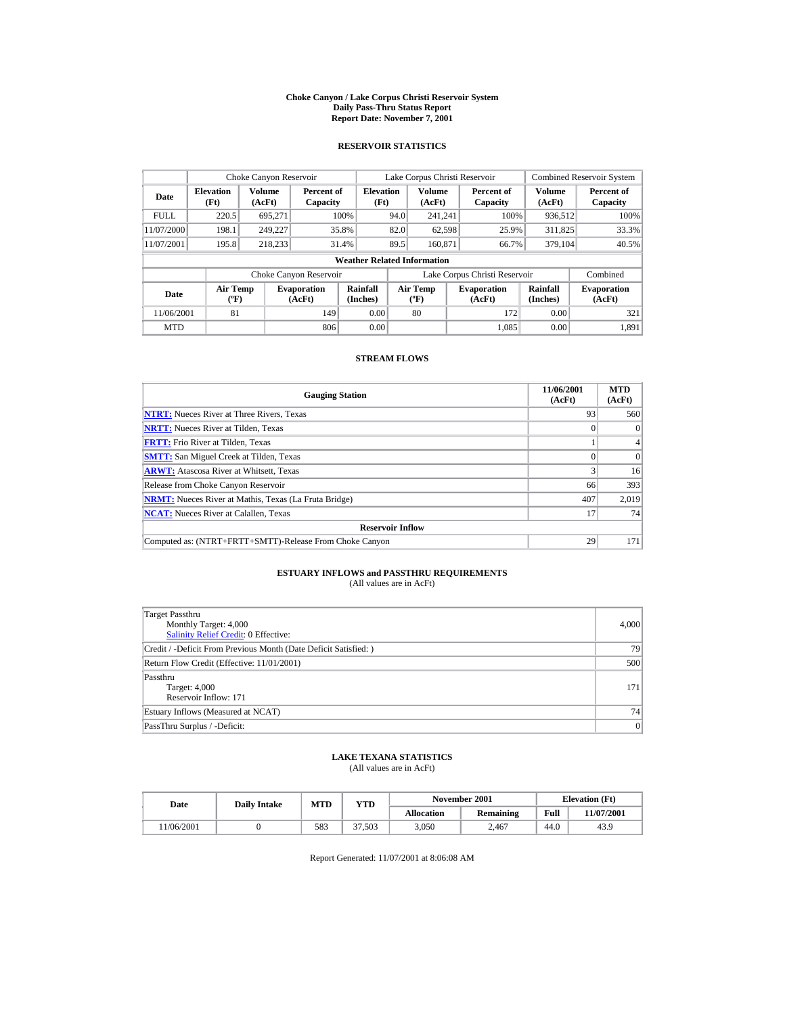#### **Choke Canyon / Lake Corpus Christi Reservoir System Daily Pass-Thru Status Report Report Date: November 7, 2001**

### **RESERVOIR STATISTICS**

|                                                                                                  | Choke Canyon Reservoir   |                                         |                              |                                    |                              | Lake Corpus Christi Reservoir |                               |                  | <b>Combined Reservoir System</b> |
|--------------------------------------------------------------------------------------------------|--------------------------|-----------------------------------------|------------------------------|------------------------------------|------------------------------|-------------------------------|-------------------------------|------------------|----------------------------------|
| Date                                                                                             | <b>Elevation</b><br>(Ft) | Volume<br>(AcFt)                        | Percent of<br>Capacity       | <b>Elevation</b><br>(Ft)           |                              | <b>Volume</b><br>(AcFt)       | Percent of<br>Capacity        | Volume<br>(AcFt) | Percent of<br>Capacity           |
| <b>FULL</b>                                                                                      | 220.5                    | 695,271                                 |                              | 100%                               | 94.0                         | 241.241                       | 100%                          | 936,512          | 100%                             |
| 11/07/2000                                                                                       | 198.1                    | 249.227                                 | 35.8%                        |                                    | 82.0                         | 62,598                        | 25.9%                         | 311,825          | 33.3%                            |
| 11/07/2001                                                                                       | 195.8                    | 218.233                                 | 31.4%                        |                                    | 89.5                         | 160.871                       | 66.7%                         | 379,104          | 40.5%                            |
|                                                                                                  |                          |                                         |                              | <b>Weather Related Information</b> |                              |                               |                               |                  |                                  |
|                                                                                                  |                          |                                         | Choke Canyon Reservoir       |                                    |                              |                               | Lake Corpus Christi Reservoir |                  | Combined                         |
| Rainfall<br><b>Air Temp</b><br><b>Evaporation</b><br>Date<br>$(^{\circ}F)$<br>(Inches)<br>(AcFt) |                          | <b>Air Temp</b><br>$(^{\circ}\text{F})$ | <b>Evaporation</b><br>(AcFt) | <b>Rainfall</b><br>(Inches)        | <b>Evaporation</b><br>(AcFt) |                               |                               |                  |                                  |
| 11/06/2001                                                                                       | 81                       |                                         | 149                          | 0.00                               |                              | 80                            | 172                           | 0.00             | 321                              |
| <b>MTD</b>                                                                                       |                          |                                         | 806                          | 0.00                               |                              |                               | 1.085                         | 0.00             | 1.891                            |

### **STREAM FLOWS**

| <b>Gauging Station</b>                                       | 11/06/2001<br>(AcFt) | <b>MTD</b><br>(AcFt) |
|--------------------------------------------------------------|----------------------|----------------------|
| <b>NTRT:</b> Nueces River at Three Rivers, Texas             | 93                   | 560                  |
| <b>NRTT:</b> Nueces River at Tilden, Texas                   |                      | $\Omega$             |
| <b>FRTT:</b> Frio River at Tilden, Texas                     |                      | $\overline{4}$       |
| <b>SMTT:</b> San Miguel Creek at Tilden, Texas               |                      | $\Omega$             |
| <b>ARWT:</b> Atascosa River at Whitsett, Texas               |                      | 16                   |
| Release from Choke Canyon Reservoir                          | 66                   | 393                  |
| <b>NRMT:</b> Nueces River at Mathis, Texas (La Fruta Bridge) | 407                  | 2,019                |
| <b>NCAT:</b> Nueces River at Calallen, Texas                 | 17                   | 74                   |
| <b>Reservoir Inflow</b>                                      |                      |                      |
| Computed as: (NTRT+FRTT+SMTT)-Release From Choke Canyon      | 29                   | 171                  |

# **ESTUARY INFLOWS and PASSTHRU REQUIREMENTS**<br>(All values are in AcFt)

| Target Passthru<br>Monthly Target: 4,000<br><b>Salinity Relief Credit: 0 Effective:</b> | 4,000 |
|-----------------------------------------------------------------------------------------|-------|
| Credit / -Deficit From Previous Month (Date Deficit Satisfied:)                         | 79    |
| Return Flow Credit (Effective: 11/01/2001)                                              | 500   |
| Passthru<br>Target: 4,000<br>Reservoir Inflow: 171                                      | 171   |
| Estuary Inflows (Measured at NCAT)                                                      | 74    |
| PassThru Surplus / -Deficit:                                                            | 0     |

## **LAKE TEXANA STATISTICS**

(All values are in AcFt)

| Date      | <b>Daily Intake</b> | MTD | YTD    | November 2001     |                  |      | <b>Elevation</b> (Ft) |
|-----------|---------------------|-----|--------|-------------------|------------------|------|-----------------------|
|           |                     |     |        | <b>Allocation</b> | <b>Remaining</b> | Full | 11/07/2001            |
| 1/06/2001 |                     | 583 | 37.503 | 3.050             | 2.467            | 44.0 | 43.9                  |

Report Generated: 11/07/2001 at 8:06:08 AM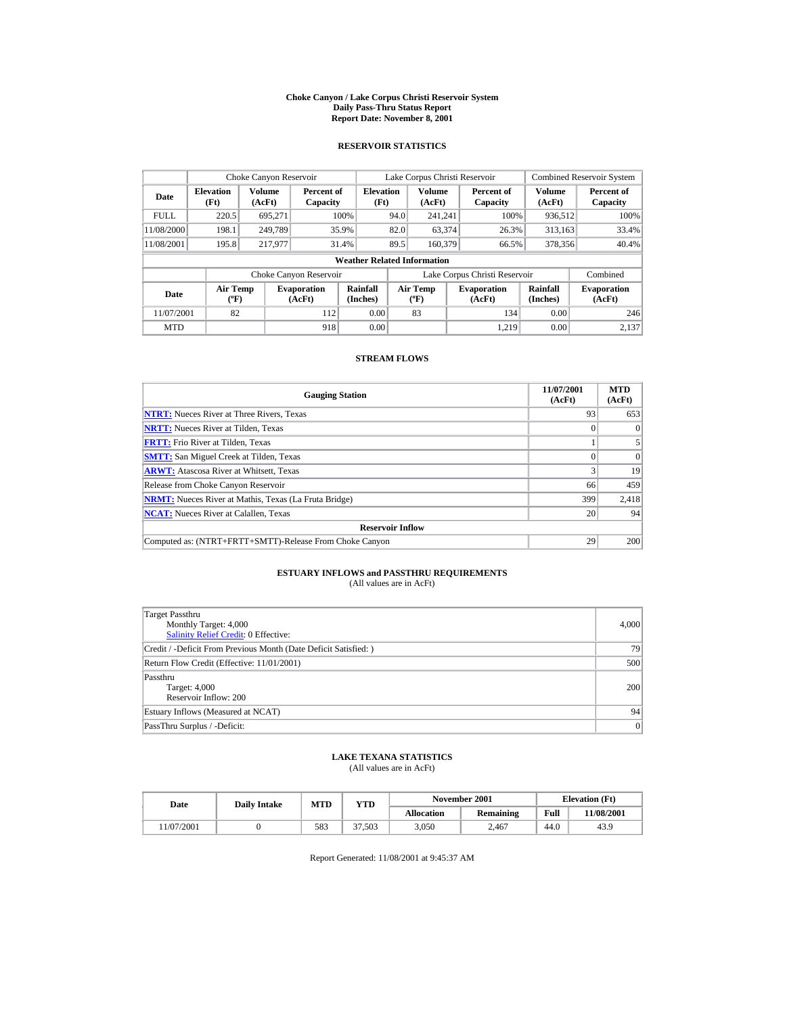#### **Choke Canyon / Lake Corpus Christi Reservoir System Daily Pass-Thru Status Report Report Date: November 8, 2001**

### **RESERVOIR STATISTICS**

|                                          | Choke Canyon Reservoir   |                  |                              |                                    |      | Lake Corpus Christi Reservoir           |                               |                      | <b>Combined Reservoir System</b> |
|------------------------------------------|--------------------------|------------------|------------------------------|------------------------------------|------|-----------------------------------------|-------------------------------|----------------------|----------------------------------|
| Date                                     | <b>Elevation</b><br>(Ft) | Volume<br>(AcFt) | Percent of<br>Capacity       | <b>Elevation</b><br>(Ft)           |      | <b>Volume</b><br>(AcFt)                 | Percent of<br>Capacity        | Volume<br>(AcFt)     | Percent of<br>Capacity           |
| <b>FULL</b>                              | 220.5                    | 695,271          |                              | 100%                               | 94.0 | 241.241                                 | 100%                          | 936,512              | 100%                             |
| 11/08/2000                               | 198.1                    | 249.789          |                              | 35.9%                              | 82.0 | 63,374                                  | 26.3%                         | 313,163              | 33.4%                            |
| 11/08/2001                               | 195.8                    | 217,977          |                              | 31.4%                              | 89.5 | 160,379                                 | 66.5%                         | 378,356              | 40.4%                            |
|                                          |                          |                  |                              | <b>Weather Related Information</b> |      |                                         |                               |                      |                                  |
|                                          |                          |                  | Choke Canyon Reservoir       |                                    |      |                                         | Lake Corpus Christi Reservoir |                      | Combined                         |
| <b>Air Temp</b><br>Date<br>$(^{\circ}F)$ |                          |                  | <b>Evaporation</b><br>(AcFt) | Rainfall<br>(Inches)               |      | <b>Air Temp</b><br>$(^{\circ}\text{F})$ | <b>Evaporation</b><br>(AcFt)  | Rainfall<br>(Inches) | <b>Evaporation</b><br>(AcFt)     |
| 11/07/2001                               | 82                       |                  | 112                          | 0.00                               |      | 83                                      | 134                           | 0.00                 | 246                              |
| <b>MTD</b>                               |                          |                  | 918                          | 0.00                               |      |                                         | 1.219                         | 0.00                 | 2,137                            |

### **STREAM FLOWS**

| <b>Gauging Station</b>                                       | 11/07/2001<br>(AcFt) | <b>MTD</b><br>(AcFt) |
|--------------------------------------------------------------|----------------------|----------------------|
| <b>NTRT:</b> Nueces River at Three Rivers, Texas             | 93                   | 653                  |
| <b>NRTT:</b> Nueces River at Tilden, Texas                   |                      | $\Omega$             |
| <b>FRTT:</b> Frio River at Tilden, Texas                     |                      |                      |
| <b>SMTT:</b> San Miguel Creek at Tilden, Texas               |                      | $\Omega$             |
| <b>ARWT:</b> Atascosa River at Whitsett, Texas               |                      | 19                   |
| Release from Choke Canyon Reservoir                          | 66                   | 459                  |
| <b>NRMT:</b> Nueces River at Mathis, Texas (La Fruta Bridge) | 399                  | 2,418                |
| <b>NCAT:</b> Nueces River at Calallen, Texas                 | 20                   | 94                   |
| <b>Reservoir Inflow</b>                                      |                      |                      |
| Computed as: (NTRT+FRTT+SMTT)-Release From Choke Canyon      | 29                   | 200                  |

# **ESTUARY INFLOWS and PASSTHRU REQUIREMENTS**<br>(All values are in AcFt)

| Target Passthru<br>Monthly Target: 4,000<br>Salinity Relief Credit: 0 Effective: | 4,000 |
|----------------------------------------------------------------------------------|-------|
| Credit / -Deficit From Previous Month (Date Deficit Satisfied: )                 | 79    |
| Return Flow Credit (Effective: 11/01/2001)                                       | 500   |
| Passthru<br><b>Target: 4,000</b><br>Reservoir Inflow: 200                        | 200   |
| Estuary Inflows (Measured at NCAT)                                               | 94    |
| PassThru Surplus / -Deficit:                                                     | 0     |

### **LAKE TEXANA STATISTICS**

(All values are in AcFt)

| Date      | <b>Daily Intake</b> | MTD | YTD    | November 2001     |                  |      | <b>Elevation</b> (Ft) |
|-----------|---------------------|-----|--------|-------------------|------------------|------|-----------------------|
|           |                     |     |        | <b>Allocation</b> | <b>Remaining</b> | Full | 11/08/2001            |
| 1/07/2001 |                     | 583 | 37.503 | 3.050             | 2.467            | 44.0 | 43.9                  |

Report Generated: 11/08/2001 at 9:45:37 AM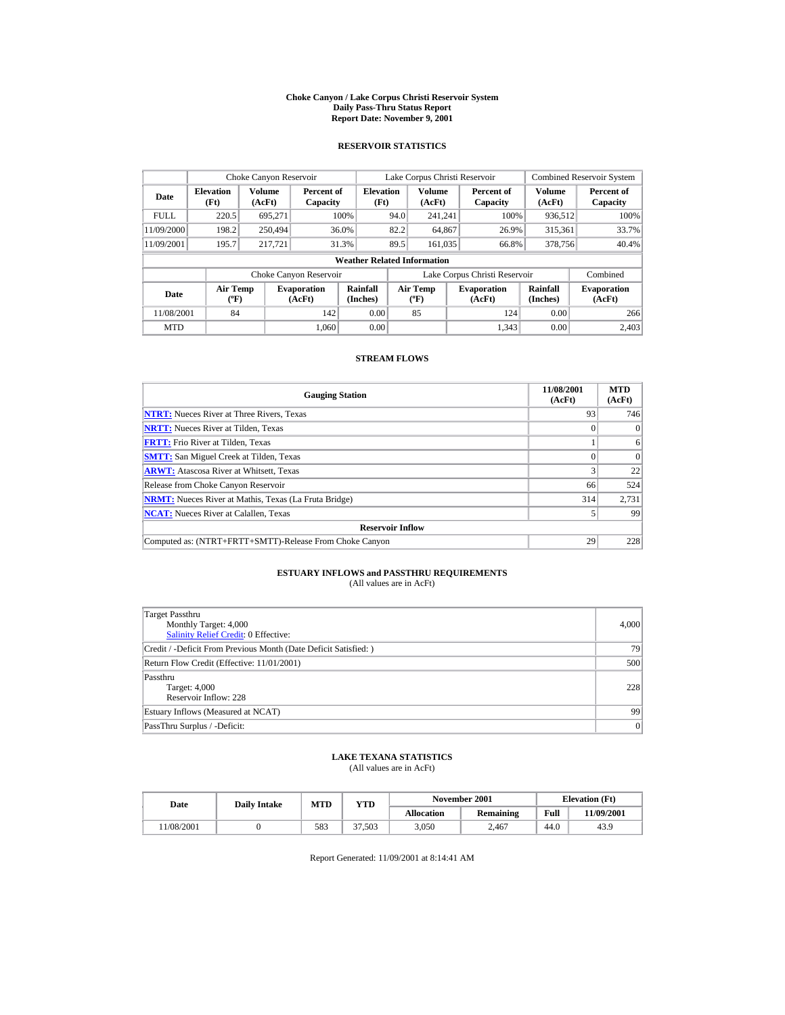#### **Choke Canyon / Lake Corpus Christi Reservoir System Daily Pass-Thru Status Report Report Date: November 9, 2001**

### **RESERVOIR STATISTICS**

|                                                                          | Choke Canyon Reservoir   |                      |                                  |                                    |                              | Lake Corpus Christi Reservoir |                               |                  | <b>Combined Reservoir System</b> |
|--------------------------------------------------------------------------|--------------------------|----------------------|----------------------------------|------------------------------------|------------------------------|-------------------------------|-------------------------------|------------------|----------------------------------|
| Date                                                                     | <b>Elevation</b><br>(Ft) | Volume<br>(AcFt)     | Percent of<br>Capacity           | <b>Elevation</b><br>(Ft)           |                              | Volume<br>(AcFt)              | Percent of<br>Capacity        | Volume<br>(AcFt) | Percent of<br>Capacity           |
| <b>FULL</b>                                                              | 220.5                    | 695.271              |                                  | 100%                               | 94.0                         | 241.241                       | 100%                          | 936,512          | 100%                             |
| 11/09/2000                                                               | 198.2                    | 250,494              |                                  | 36.0%                              | 82.2                         | 64,867                        | 26.9%                         | 315,361          | 33.7%                            |
| 11/09/2001                                                               | 195.7                    | 217.721              |                                  | 31.3%                              | 89.5                         | 161.035                       | 66.8%                         | 378,756          | 40.4%                            |
|                                                                          |                          |                      |                                  | <b>Weather Related Information</b> |                              |                               |                               |                  |                                  |
|                                                                          |                          |                      | Choke Canyon Reservoir           |                                    |                              |                               | Lake Corpus Christi Reservoir |                  | Combined                         |
| <b>Air Temp</b><br><b>Evaporation</b><br>Date<br>$(^{\circ}F)$<br>(AcFt) |                          | Rainfall<br>(Inches) | <b>Air Temp</b><br>$(^{\circ}F)$ |                                    | <b>Evaporation</b><br>(AcFt) | <b>Rainfall</b><br>(Inches)   | <b>Evaporation</b><br>(AcFt)  |                  |                                  |
| 11/08/2001                                                               | 84                       |                      | 142                              | 0.00                               |                              | 85                            | 124                           | 0.00             | 266                              |
| <b>MTD</b>                                                               |                          |                      | 1.060                            | 0.00                               |                              |                               | 1.343                         | 0.00             | 2.403                            |

### **STREAM FLOWS**

| <b>Gauging Station</b>                                       | 11/08/2001<br>(AcFt) | <b>MTD</b><br>(AcFt) |
|--------------------------------------------------------------|----------------------|----------------------|
| <b>NTRT:</b> Nueces River at Three Rivers, Texas             | 93                   | 746                  |
| <b>NRTT:</b> Nueces River at Tilden, Texas                   |                      | $\Omega$             |
| <b>FRTT:</b> Frio River at Tilden, Texas                     |                      | 6                    |
| <b>SMTT:</b> San Miguel Creek at Tilden, Texas               |                      | $\Omega$             |
| <b>ARWT:</b> Atascosa River at Whitsett, Texas               |                      | 22                   |
| Release from Choke Canyon Reservoir                          | 66                   | 524                  |
| <b>NRMT:</b> Nueces River at Mathis, Texas (La Fruta Bridge) | 314                  | 2,731                |
| <b>NCAT:</b> Nueces River at Calallen, Texas                 |                      | 99                   |
| <b>Reservoir Inflow</b>                                      |                      |                      |
| Computed as: (NTRT+FRTT+SMTT)-Release From Choke Canyon      | 29                   | 228                  |

# **ESTUARY INFLOWS and PASSTHRU REQUIREMENTS**<br>(All values are in AcFt)

| Target Passthru<br>Monthly Target: 4,000<br>Salinity Relief Credit: 0 Effective: | 4,000 |
|----------------------------------------------------------------------------------|-------|
| Credit / -Deficit From Previous Month (Date Deficit Satisfied: )                 | 79    |
| Return Flow Credit (Effective: 11/01/2001)                                       | 500   |
| Passthru<br><b>Target: 4,000</b><br>Reservoir Inflow: 228                        | 228   |
| Estuary Inflows (Measured at NCAT)                                               | 99    |
| PassThru Surplus / -Deficit:                                                     | 0     |

### **LAKE TEXANA STATISTICS**

(All values are in AcFt)

| Date      | <b>Daily Intake</b> | MTD | YTD    | November 2001     |                  |      | <b>Elevation</b> (Ft) |
|-----------|---------------------|-----|--------|-------------------|------------------|------|-----------------------|
|           |                     |     |        | <b>Allocation</b> | <b>Remaining</b> | Full | 1/09/2001             |
| 1/08/2001 |                     | 583 | 37.503 | 3.050             | 2.467            | 44.0 | 43.9                  |

Report Generated: 11/09/2001 at 8:14:41 AM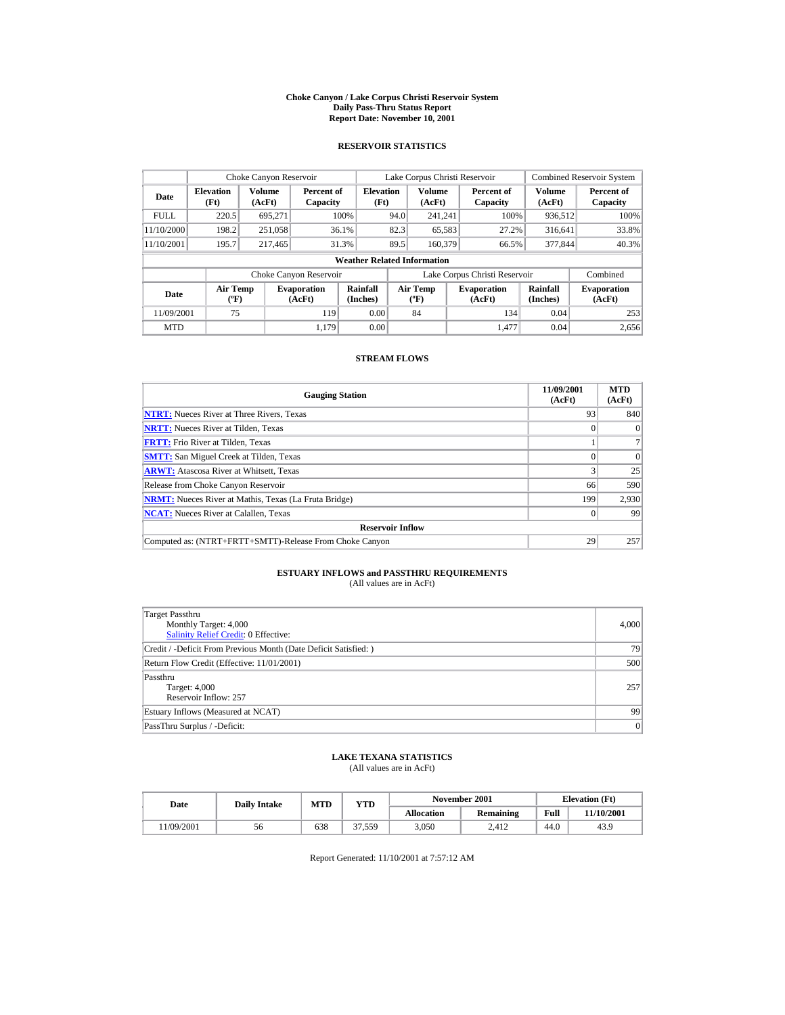#### **Choke Canyon / Lake Corpus Christi Reservoir System Daily Pass-Thru Status Report Report Date: November 10, 2001**

### **RESERVOIR STATISTICS**

|                                                                                     | Choke Canyon Reservoir |                  |                        |                                    |                                           | Lake Corpus Christi Reservoir |                               |                              | <b>Combined Reservoir System</b> |
|-------------------------------------------------------------------------------------|------------------------|------------------|------------------------|------------------------------------|-------------------------------------------|-------------------------------|-------------------------------|------------------------------|----------------------------------|
| <b>Elevation</b><br>Date<br>(Ft)                                                    |                        | Volume<br>(AcFt) | Percent of<br>Capacity | <b>Elevation</b><br>(Ft)           |                                           | Volume<br>(AcFt)              | Percent of<br>Capacity        | Volume<br>(AcFt)             | Percent of<br>Capacity           |
| <b>FULL</b>                                                                         | 220.5                  | 695.271          |                        | 100%                               | 94.0                                      | 241.241                       | 100%                          | 936,512                      | 100%                             |
| 11/10/2000                                                                          | 198.2                  | 251,058          |                        | 36.1%                              | 82.3                                      | 65,583                        | 27.2%                         | 316,641                      | 33.8%                            |
| 11/10/2001                                                                          | 195.7                  | 217,465          |                        | 31.3%                              | 89.5                                      | 160,379                       | 66.5%                         | 377,844                      | 40.3%                            |
|                                                                                     |                        |                  |                        | <b>Weather Related Information</b> |                                           |                               |                               |                              |                                  |
|                                                                                     |                        |                  | Choke Canyon Reservoir |                                    |                                           |                               | Lake Corpus Christi Reservoir |                              | Combined                         |
| <b>Air Temp</b><br><b>Evaporation</b><br>Date<br>$({}^{\circ}\mathrm{F})$<br>(AcFt) |                        |                  | Rainfall<br>(Inches)   |                                    | <b>Air Temp</b><br>$({}^{\circ}\text{F})$ | <b>Evaporation</b><br>(AcFt)  | Rainfall<br>(Inches)          | <b>Evaporation</b><br>(AcFt) |                                  |
| 11/09/2001                                                                          | 75                     |                  | 119                    | 0.00                               |                                           | 84                            | 134                           | 0.04                         | 253                              |
| <b>MTD</b>                                                                          |                        |                  | 1.179                  | 0.00                               |                                           |                               | 1.477                         | 0.04                         | 2,656                            |

## **STREAM FLOWS**

| <b>Gauging Station</b>                                       | 11/09/2001<br>(AcFt) | <b>MTD</b><br>(AcFt) |
|--------------------------------------------------------------|----------------------|----------------------|
| <b>NTRT:</b> Nueces River at Three Rivers, Texas             | 93                   | 840                  |
| <b>NRTT:</b> Nueces River at Tilden, Texas                   |                      | $\Omega$             |
| <b>FRTT:</b> Frio River at Tilden, Texas                     |                      |                      |
| <b>SMTT:</b> San Miguel Creek at Tilden, Texas               |                      | $\Omega$             |
| <b>ARWT:</b> Atascosa River at Whitsett, Texas               |                      | 25                   |
| Release from Choke Canyon Reservoir                          | 66                   | 590                  |
| <b>NRMT:</b> Nueces River at Mathis, Texas (La Fruta Bridge) | 199                  | 2,930                |
| <b>NCAT:</b> Nueces River at Calallen, Texas                 |                      | 99                   |
| <b>Reservoir Inflow</b>                                      |                      |                      |
| Computed as: (NTRT+FRTT+SMTT)-Release From Choke Canyon      | 29                   | 257                  |

# **ESTUARY INFLOWS and PASSTHRU REQUIREMENTS**<br>(All values are in AcFt)

| Target Passthru<br>Monthly Target: 4,000<br>Salinity Relief Credit: 0 Effective: | 4,000 |
|----------------------------------------------------------------------------------|-------|
| Credit / -Deficit From Previous Month (Date Deficit Satisfied:)                  | 79    |
| Return Flow Credit (Effective: 11/01/2001)                                       | 500   |
| Passthru<br>Target: 4,000<br>Reservoir Inflow: 257                               | 257   |
| Estuary Inflows (Measured at NCAT)                                               | 99    |
| PassThru Surplus / -Deficit:                                                     | 0     |

## **LAKE TEXANA STATISTICS**

(All values are in AcFt)

| Date      | <b>Daily Intake</b> | MTD | YTD     |                   | November 2001    |      | <b>Elevation</b> (Ft) |
|-----------|---------------------|-----|---------|-------------------|------------------|------|-----------------------|
|           |                     |     |         | <b>Allocation</b> | <b>Remaining</b> | Full | 11/10/2001            |
| 1/09/2001 | 56                  | 638 | 51,559ء | 3.050             | 2.412            | 44.0 | 43.9                  |

Report Generated: 11/10/2001 at 7:57:12 AM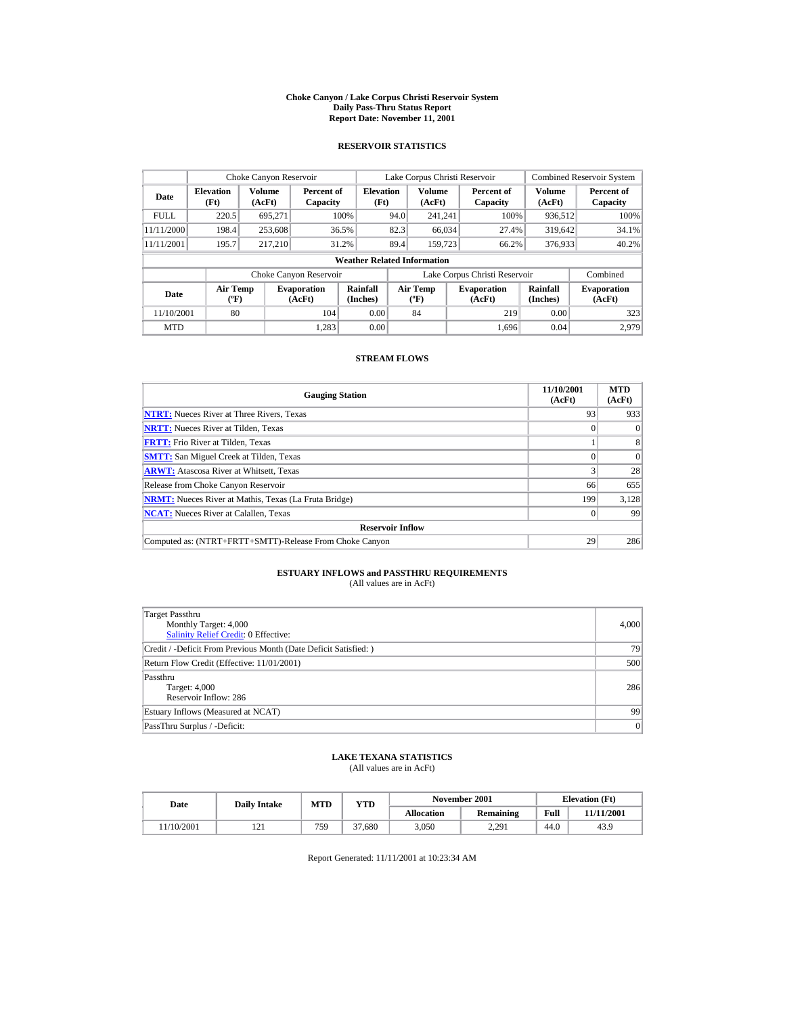#### **Choke Canyon / Lake Corpus Christi Reservoir System Daily Pass-Thru Status Report Report Date: November 11, 2001**

### **RESERVOIR STATISTICS**

|                                                      | Choke Canyon Reservoir           |         |                              |                                    |      | Lake Corpus Christi Reservoir    |                               |                             | <b>Combined Reservoir System</b> |
|------------------------------------------------------|----------------------------------|---------|------------------------------|------------------------------------|------|----------------------------------|-------------------------------|-----------------------------|----------------------------------|
| Volume<br><b>Elevation</b><br>Date<br>(Ft)<br>(AcFt) |                                  |         | Percent of<br>Capacity       | <b>Elevation</b><br>(Ft)           |      | Volume<br>(AcFt)                 | Percent of<br>Capacity        | Volume<br>(AcFt)            | Percent of<br>Capacity           |
| <b>FULL</b>                                          | 220.5                            | 695.271 |                              | 100%                               | 94.0 | 241.241                          | 100%                          | 936,512                     | 100%                             |
| 11/11/2000                                           | 198.4                            | 253,608 |                              | 36.5%                              | 82.3 | 66,034                           | 27.4%                         | 319,642                     | 34.1%                            |
| 11/11/2001                                           | 195.7                            | 217.210 |                              | 31.2%                              | 89.4 | 159,723                          | 66.2%                         | 376,933                     | 40.2%                            |
|                                                      |                                  |         |                              | <b>Weather Related Information</b> |      |                                  |                               |                             |                                  |
|                                                      |                                  |         | Choke Canyon Reservoir       |                                    |      |                                  | Lake Corpus Christi Reservoir |                             | Combined                         |
| Date                                                 | <b>Air Temp</b><br>$(^{\circ}F)$ |         | <b>Evaporation</b><br>(AcFt) | Rainfall<br>(Inches)               |      | <b>Air Temp</b><br>$(^{\circ}F)$ | <b>Evaporation</b><br>(AcFt)  | <b>Rainfall</b><br>(Inches) | <b>Evaporation</b><br>(AcFt)     |
| 11/10/2001                                           | 80                               |         | 104                          | 0.00                               |      | 84                               | 219                           | 0.00                        | 323                              |
| <b>MTD</b>                                           |                                  |         | 1.283                        | 0.00                               |      |                                  | 1.696                         | 0.04                        | 2.979                            |

### **STREAM FLOWS**

| <b>Gauging Station</b>                                       | 11/10/2001<br>(AcFt) | <b>MTD</b><br>(AcFt) |
|--------------------------------------------------------------|----------------------|----------------------|
| <b>NTRT:</b> Nueces River at Three Rivers, Texas             | 93                   | 933                  |
| <b>NRTT:</b> Nueces River at Tilden, Texas                   |                      | $\Omega$             |
| <b>FRTT:</b> Frio River at Tilden, Texas                     |                      | 8                    |
| <b>SMTT:</b> San Miguel Creek at Tilden, Texas               |                      | $\Omega$             |
| <b>ARWT:</b> Atascosa River at Whitsett, Texas               |                      | 28                   |
| Release from Choke Canyon Reservoir                          | 66                   | 655                  |
| <b>NRMT:</b> Nueces River at Mathis, Texas (La Fruta Bridge) | 199                  | 3,128                |
| <b>NCAT:</b> Nueces River at Calallen, Texas                 |                      | 99                   |
| <b>Reservoir Inflow</b>                                      |                      |                      |
| Computed as: (NTRT+FRTT+SMTT)-Release From Choke Canyon      | 29                   | 286                  |

# **ESTUARY INFLOWS and PASSTHRU REQUIREMENTS**<br>(All values are in AcFt)

| Target Passthru<br>Monthly Target: 4,000<br><b>Salinity Relief Credit: 0 Effective:</b> | 4,000 |
|-----------------------------------------------------------------------------------------|-------|
| Credit / -Deficit From Previous Month (Date Deficit Satisfied:)                         | 79    |
| Return Flow Credit (Effective: 11/01/2001)                                              | 500   |
| Passthru<br>Target: 4,000<br>Reservoir Inflow: 286                                      | 286   |
| Estuary Inflows (Measured at NCAT)                                                      | 99    |
| PassThru Surplus / -Deficit:                                                            | 0     |

## **LAKE TEXANA STATISTICS**

(All values are in AcFt)

| Date      | <b>Daily Intake</b> | MTD | YTD    |                   | November 2001    |      | <b>Elevation</b> (Ft) |
|-----------|---------------------|-----|--------|-------------------|------------------|------|-----------------------|
|           |                     |     |        | <b>Allocation</b> | <b>Remaining</b> | Full | 11/11/2001            |
| 1/10/2001 | $1 \angle 1$        | 759 | 37.680 | 3.050             | 2,291            | 44.0 | 43.9                  |

Report Generated: 11/11/2001 at 10:23:34 AM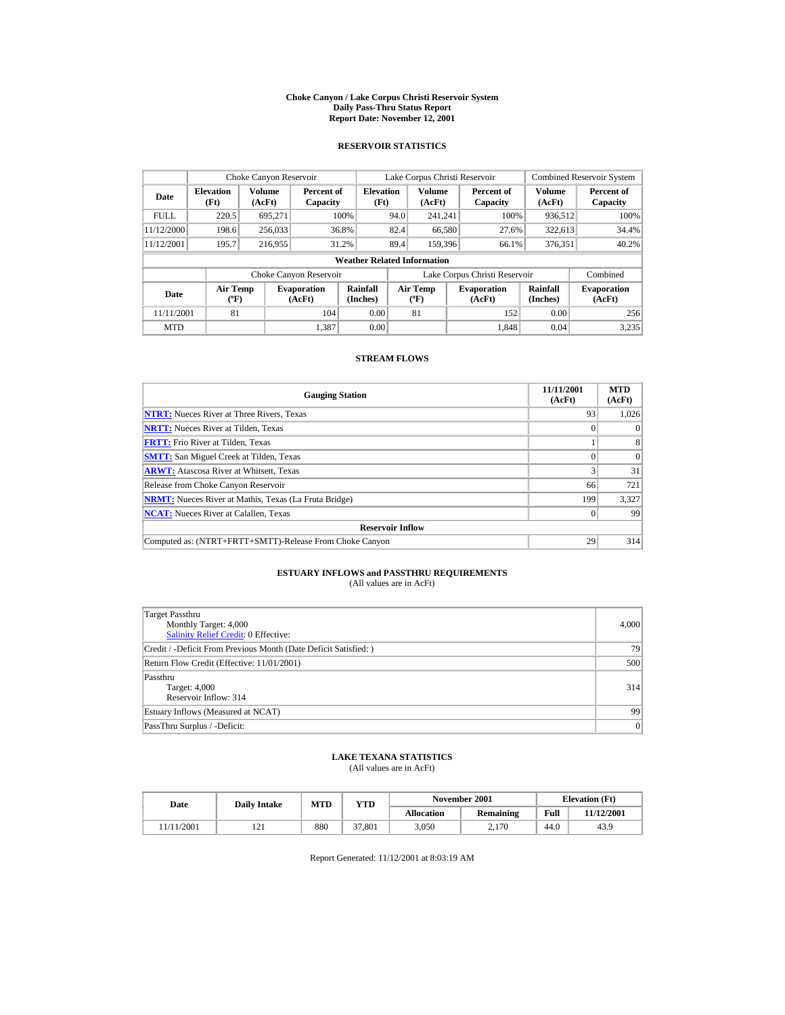#### **Choke Canyon / Lake Corpus Christi Reservoir System Daily Pass-Thru Status Report Report Date: November 12, 2001**

### **RESERVOIR STATISTICS**

|                                                             | Choke Canyon Reservoir                      |         |                              |                                    |      | Lake Corpus Christi Reservoir    |                               |                      | <b>Combined Reservoir System</b> |
|-------------------------------------------------------------|---------------------------------------------|---------|------------------------------|------------------------------------|------|----------------------------------|-------------------------------|----------------------|----------------------------------|
| <b>Volume</b><br><b>Elevation</b><br>Date<br>(Ft)<br>(AcFt) |                                             |         | Percent of<br>Capacity       | <b>Elevation</b><br>(Ft)           |      | <b>Volume</b><br>(AcFt)          | Percent of<br>Capacity        | Volume<br>(AcFt)     | Percent of<br>Capacity           |
| <b>FULL</b>                                                 | 220.5                                       | 695.271 |                              | 100%                               | 94.0 | 241.241                          | 100%                          | 936,512              | 100%                             |
| 11/12/2000                                                  | 198.6                                       | 256,033 |                              | 36.8%                              | 82.4 | 66,580                           | 27.6%                         | 322,613              | 34.4%                            |
| 11/12/2001                                                  | 195.7                                       | 216,955 |                              | 31.2%                              | 89.4 | 159,396                          | 66.1%                         | 376,351              | 40.2%                            |
|                                                             |                                             |         |                              | <b>Weather Related Information</b> |      |                                  |                               |                      |                                  |
|                                                             |                                             |         | Choke Canyon Reservoir       |                                    |      |                                  | Lake Corpus Christi Reservoir |                      | Combined                         |
| Date                                                        | <b>Air Temp</b><br>$({}^{\circ}\mathrm{F})$ |         | <b>Evaporation</b><br>(AcFt) | Rainfall<br>(Inches)               |      | Air Temp<br>$(^{\circ}\text{F})$ | <b>Evaporation</b><br>(AcFt)  | Rainfall<br>(Inches) | <b>Evaporation</b><br>(AcFt)     |
| 11/11/2001                                                  | 81                                          |         | 104                          | 0.00                               |      | 81                               | 152                           | 0.00                 | 256                              |
| <b>MTD</b>                                                  |                                             |         | 1.387                        | 0.00                               |      |                                  | 1.848                         | 0.04                 | 3,235                            |

### **STREAM FLOWS**

| <b>Gauging Station</b>                                       | 11/11/2001<br>(AcFt) | <b>MTD</b><br>(AcFt) |
|--------------------------------------------------------------|----------------------|----------------------|
| <b>NTRT:</b> Nueces River at Three Rivers, Texas             | 93                   | 1.026                |
| <b>NRTT:</b> Nueces River at Tilden, Texas                   |                      | $\Omega$             |
| <b>FRTT:</b> Frio River at Tilden, Texas                     |                      | 8                    |
| <b>SMTT:</b> San Miguel Creek at Tilden, Texas               |                      | $\Omega$             |
| <b>ARWT:</b> Atascosa River at Whitsett, Texas               |                      | 31                   |
| Release from Choke Canyon Reservoir                          | 66                   | 721                  |
| <b>NRMT:</b> Nueces River at Mathis, Texas (La Fruta Bridge) | 199                  | 3,327                |
| <b>NCAT:</b> Nueces River at Calallen, Texas                 |                      | 99                   |
| <b>Reservoir Inflow</b>                                      |                      |                      |
| Computed as: (NTRT+FRTT+SMTT)-Release From Choke Canyon      | 29                   | 314                  |

# **ESTUARY INFLOWS and PASSTHRU REQUIREMENTS**<br>(All values are in AcFt)

| Target Passthru<br>Monthly Target: 4,000<br>Salinity Relief Credit: 0 Effective: | 4,000 |
|----------------------------------------------------------------------------------|-------|
| Credit / -Deficit From Previous Month (Date Deficit Satisfied: )                 | 79    |
| Return Flow Credit (Effective: 11/01/2001)                                       | 500   |
| Passthru<br><b>Target: 4,000</b><br>Reservoir Inflow: 314                        | 314   |
| Estuary Inflows (Measured at NCAT)                                               | 99    |
| PassThru Surplus / -Deficit:                                                     | 0     |

### **LAKE TEXANA STATISTICS**

(All values are in AcFt)

| Date      | <b>Daily Intake</b> | <b>MTD</b> | YTD    |                   | November 2001    |      | <b>Elevation</b> (Ft) |
|-----------|---------------------|------------|--------|-------------------|------------------|------|-----------------------|
|           |                     |            |        | <b>Allocation</b> | <b>Remaining</b> | Full | 1/12/2001             |
| 1/11/2001 | 1/1                 | 880        | 37,801 | 3.050             | 2,170            | 44.0 | 43.9                  |

Report Generated: 11/12/2001 at 8:03:19 AM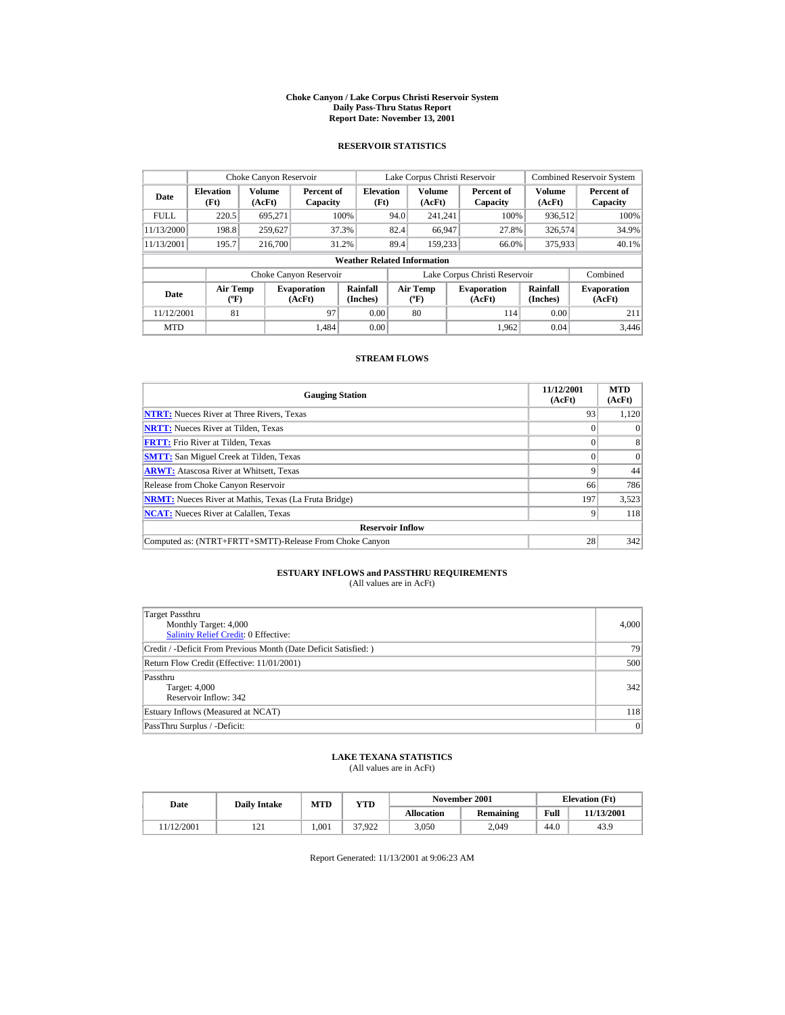#### **Choke Canyon / Lake Corpus Christi Reservoir System Daily Pass-Thru Status Report Report Date: November 13, 2001**

### **RESERVOIR STATISTICS**

|             | Choke Canyon Reservoir           |                  |                              |                                    |      | Lake Corpus Christi Reservoir    |                               |                             | <b>Combined Reservoir System</b> |
|-------------|----------------------------------|------------------|------------------------------|------------------------------------|------|----------------------------------|-------------------------------|-----------------------------|----------------------------------|
| Date        | <b>Elevation</b><br>(Ft)         | Volume<br>(AcFt) | Percent of<br>Capacity       | <b>Elevation</b><br>(Ft)           |      | Volume<br>(AcFt)                 | Percent of<br>Capacity        | Volume<br>(AcFt)            | Percent of<br>Capacity           |
| <b>FULL</b> | 220.5                            | 695.271          |                              | 100%                               | 94.0 | 241.241                          | 100%                          | 936,512                     | 100%                             |
| 11/13/2000  | 198.8                            | 259,627          |                              | 37.3%                              | 82.4 | 66,947                           | 27.8%                         | 326,574                     | 34.9%                            |
| 11/13/2001  | 195.7                            | 216,700          |                              | 31.2%                              | 89.4 | 159.233                          | 66.0%                         | 375,933                     | 40.1%                            |
|             |                                  |                  |                              | <b>Weather Related Information</b> |      |                                  |                               |                             |                                  |
|             |                                  |                  | Choke Canyon Reservoir       |                                    |      |                                  | Lake Corpus Christi Reservoir |                             | Combined                         |
| Date        | <b>Air Temp</b><br>$(^{\circ}F)$ |                  | <b>Evaporation</b><br>(AcFt) | Rainfall<br>(Inches)               |      | <b>Air Temp</b><br>$(^{\circ}F)$ | <b>Evaporation</b><br>(AcFt)  | <b>Rainfall</b><br>(Inches) | <b>Evaporation</b><br>(AcFt)     |
| 11/12/2001  | 81                               |                  | 97                           | 0.00                               |      | 80                               | 114                           | 0.00                        | 211                              |
| <b>MTD</b>  |                                  |                  | 1.484                        | 0.00                               |      |                                  | 1.962                         | 0.04                        | 3,446                            |

### **STREAM FLOWS**

| <b>Gauging Station</b>                                       | 11/12/2001<br>(AcFt) | <b>MTD</b><br>(AcFt) |
|--------------------------------------------------------------|----------------------|----------------------|
| <b>NTRT:</b> Nueces River at Three Rivers, Texas             | 93                   | 1,120                |
| <b>NRTT:</b> Nueces River at Tilden, Texas                   |                      | $\theta$             |
| <b>FRTT:</b> Frio River at Tilden, Texas                     |                      | 8                    |
| <b>SMTT:</b> San Miguel Creek at Tilden, Texas               |                      | $\Omega$             |
| <b>ARWT:</b> Atascosa River at Whitsett, Texas               |                      | 44                   |
| Release from Choke Canyon Reservoir                          | 66                   | 786                  |
| <b>NRMT:</b> Nueces River at Mathis, Texas (La Fruta Bridge) | 197                  | 3,523                |
| <b>NCAT:</b> Nueces River at Calallen, Texas                 | Q                    | 118                  |
| <b>Reservoir Inflow</b>                                      |                      |                      |
| Computed as: (NTRT+FRTT+SMTT)-Release From Choke Canyon      | 28                   | 342                  |

# **ESTUARY INFLOWS and PASSTHRU REQUIREMENTS**<br>(All values are in AcFt)

| Target Passthru<br>Monthly Target: 4,000<br>Salinity Relief Credit: 0 Effective: | 4,000 |
|----------------------------------------------------------------------------------|-------|
| Credit / -Deficit From Previous Month (Date Deficit Satisfied:)                  | 79    |
| Return Flow Credit (Effective: 11/01/2001)                                       | 500   |
| Passthru<br>Target: 4,000<br>Reservoir Inflow: 342                               | 342   |
| Estuary Inflows (Measured at NCAT)                                               | 118   |
| PassThru Surplus / -Deficit:                                                     | 0     |

## **LAKE TEXANA STATISTICS**

(All values are in AcFt)

| Date      | <b>Daily Intake</b> | MTD  | YTD    |                   | November 2001    |      | <b>Elevation</b> (Ft) |
|-----------|---------------------|------|--------|-------------------|------------------|------|-----------------------|
|           |                     |      |        | <b>Allocation</b> | <b>Remaining</b> | Full | 11/13/2001            |
| 1/12/2001 | 1/1                 | .001 | 37.922 | 3.050             | 2.049            | 44.0 | 43.9                  |

Report Generated: 11/13/2001 at 9:06:23 AM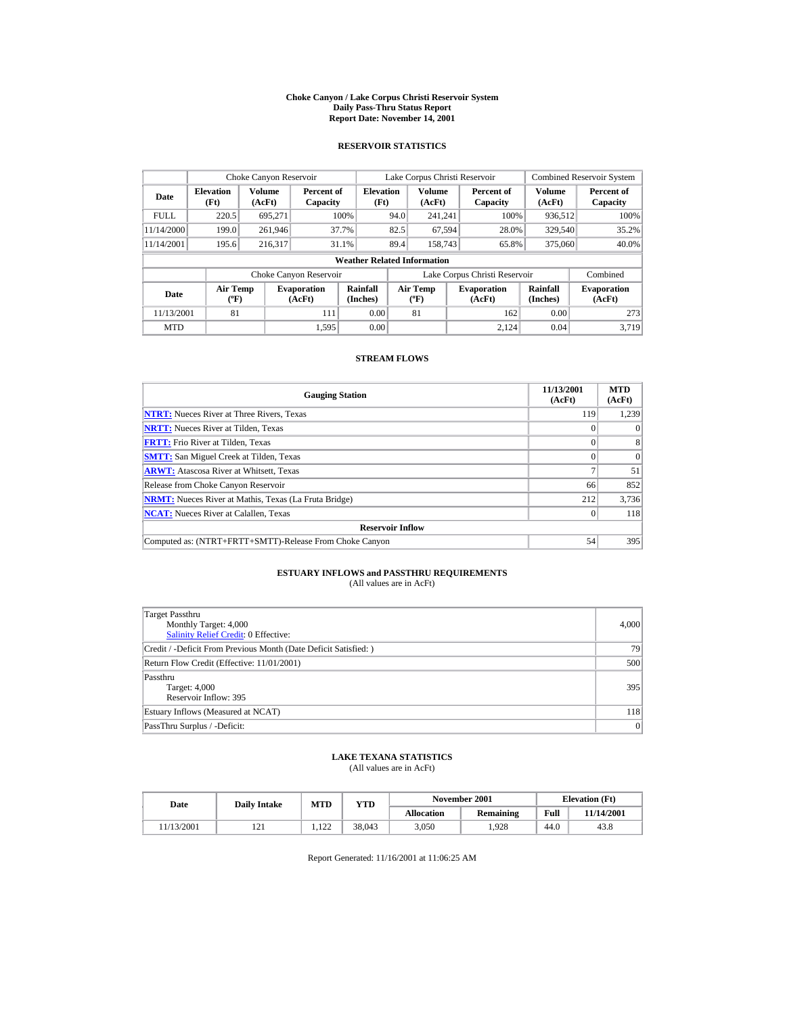#### **Choke Canyon / Lake Corpus Christi Reservoir System Daily Pass-Thru Status Report Report Date: November 14, 2001**

### **RESERVOIR STATISTICS**

|             | Choke Canyon Reservoir           |                  |                              |                                    |      | Lake Corpus Christi Reservoir    |                               |                             | <b>Combined Reservoir System</b> |
|-------------|----------------------------------|------------------|------------------------------|------------------------------------|------|----------------------------------|-------------------------------|-----------------------------|----------------------------------|
| Date        | <b>Elevation</b><br>(Ft)         | Volume<br>(AcFt) | Percent of<br>Capacity       | <b>Elevation</b><br>(Ft)           |      | Volume<br>(AcFt)                 | Percent of<br>Capacity        | Volume<br>(AcFt)            | Percent of<br>Capacity           |
| <b>FULL</b> | 220.5                            | 695.271          |                              | 100%                               | 94.0 | 241.241                          | 100%                          | 936,512                     | 100%                             |
| 11/14/2000  | 199.0                            | 261,946          |                              | 37.7%                              | 82.5 | 67,594                           | 28.0%                         | 329,540                     | 35.2%                            |
| 11/14/2001  | 195.6                            | 216.317          |                              | 31.1%                              | 89.4 | 158,743                          | 65.8%                         | 375,060                     | 40.0%                            |
|             |                                  |                  |                              | <b>Weather Related Information</b> |      |                                  |                               |                             |                                  |
|             |                                  |                  | Choke Canyon Reservoir       |                                    |      |                                  | Lake Corpus Christi Reservoir |                             | Combined                         |
| Date        | <b>Air Temp</b><br>$(^{\circ}F)$ |                  | <b>Evaporation</b><br>(AcFt) | Rainfall<br>(Inches)               |      | <b>Air Temp</b><br>$(^{\circ}F)$ | <b>Evaporation</b><br>(AcFt)  | <b>Rainfall</b><br>(Inches) | <b>Evaporation</b><br>(AcFt)     |
| 11/13/2001  | 81                               |                  | 111                          | 0.00                               |      | 81                               | 162                           | 0.00                        | 273                              |
| <b>MTD</b>  |                                  |                  | 1.595                        | 0.00                               |      |                                  | 2.124                         | 0.04                        | 3.719                            |

### **STREAM FLOWS**

| <b>Gauging Station</b>                                       | 11/13/2001<br>(AcFt) | <b>MTD</b><br>(AcFt) |
|--------------------------------------------------------------|----------------------|----------------------|
| <b>NTRT:</b> Nueces River at Three Rivers, Texas             | 119                  | 1,239                |
| <b>NRTT:</b> Nueces River at Tilden, Texas                   |                      | $\theta$             |
| <b>FRTT:</b> Frio River at Tilden, Texas                     |                      | 8                    |
| <b>SMTT:</b> San Miguel Creek at Tilden, Texas               |                      | $\Omega$             |
| <b>ARWT:</b> Atascosa River at Whitsett, Texas               |                      | 51                   |
| Release from Choke Canyon Reservoir                          | 66                   | 852                  |
| <b>NRMT:</b> Nueces River at Mathis, Texas (La Fruta Bridge) | 212                  | 3.736                |
| <b>NCAT:</b> Nueces River at Calallen, Texas                 |                      | 118                  |
| <b>Reservoir Inflow</b>                                      |                      |                      |
| Computed as: (NTRT+FRTT+SMTT)-Release From Choke Canyon      | 54                   | 395                  |

# **ESTUARY INFLOWS and PASSTHRU REQUIREMENTS**<br>(All values are in AcFt)

| Target Passthru<br>Monthly Target: 4,000<br>Salinity Relief Credit: 0 Effective: | 4,000 |
|----------------------------------------------------------------------------------|-------|
| Credit / -Deficit From Previous Month (Date Deficit Satisfied: )                 | 79    |
| Return Flow Credit (Effective: 11/01/2001)                                       | 500   |
| Passthru<br><b>Target: 4,000</b><br>Reservoir Inflow: 395                        | 395   |
| Estuary Inflows (Measured at NCAT)                                               | 118   |
| PassThru Surplus / -Deficit:                                                     | 0     |

### **LAKE TEXANA STATISTICS**

(All values are in AcFt)

| Date      | <b>Daily Intake</b> | MTD          | YTD    |                   | November 2001    |      | <b>Elevation</b> (Ft) |
|-----------|---------------------|--------------|--------|-------------------|------------------|------|-----------------------|
|           |                     |              |        | <b>Allocation</b> | <b>Remaining</b> | Full | 11/14/2001            |
| 1/13/2001 | 1/1                 | 122<br>1.144 | 38.043 | 3.050             | .928             | 44.0 | 43.8                  |

Report Generated: 11/16/2001 at 11:06:25 AM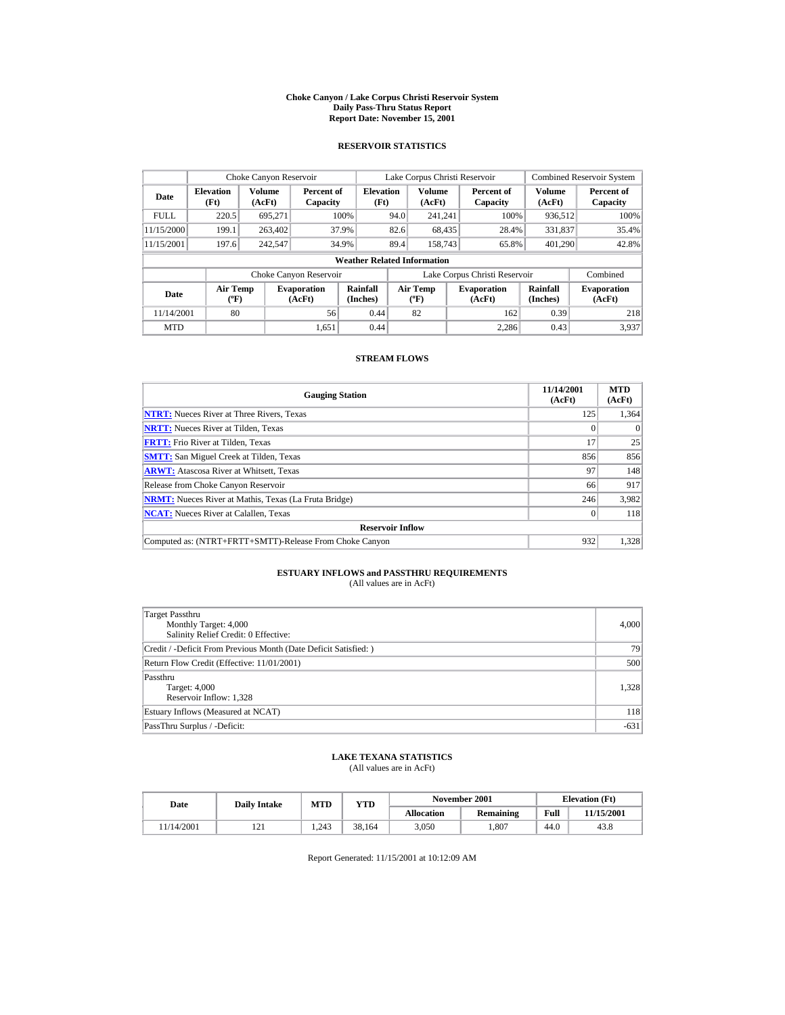#### **Choke Canyon / Lake Corpus Christi Reservoir System Daily Pass-Thru Status Report Report Date: November 15, 2001**

### **RESERVOIR STATISTICS**

|             | Choke Canyon Reservoir                      |                  |                              |                                    |      | Lake Corpus Christi Reservoir    |                               |                      | <b>Combined Reservoir System</b> |
|-------------|---------------------------------------------|------------------|------------------------------|------------------------------------|------|----------------------------------|-------------------------------|----------------------|----------------------------------|
| Date        | <b>Elevation</b><br>(Ft)                    | Volume<br>(AcFt) | Percent of<br>Capacity       | <b>Elevation</b><br>(Ft)           |      | <b>Volume</b><br>(AcFt)          | Percent of<br>Capacity        | Volume<br>(AcFt)     | Percent of<br>Capacity           |
| <b>FULL</b> | 220.5                                       | 695.271          |                              | 100%                               | 94.0 | 241.241                          | 100%                          | 936,512              | 100%                             |
| 11/15/2000  | 199.1                                       | 263,402          |                              | 37.9%                              | 82.6 | 68,435                           | 28.4%                         | 331,837              | 35.4%                            |
| 11/15/2001  | 197.6                                       | 242.547          |                              | 34.9%                              | 89.4 | 158,743                          | 65.8%                         | 401.290              | 42.8%                            |
|             |                                             |                  |                              | <b>Weather Related Information</b> |      |                                  |                               |                      |                                  |
|             |                                             |                  | Choke Canyon Reservoir       |                                    |      |                                  | Lake Corpus Christi Reservoir |                      | Combined                         |
| Date        | <b>Air Temp</b><br>$({}^{\circ}\mathrm{F})$ |                  | <b>Evaporation</b><br>(AcFt) | Rainfall<br>(Inches)               |      | Air Temp<br>$(^{\circ}\text{F})$ | <b>Evaporation</b><br>(AcFt)  | Rainfall<br>(Inches) | <b>Evaporation</b><br>(AcFt)     |
| 11/14/2001  | 80                                          |                  | 56                           | 0.44                               |      | 82                               | 162                           | 0.39                 | 218                              |
| <b>MTD</b>  |                                             |                  | 1.651                        | 0.44                               |      |                                  | 2.286                         | 0.43                 | 3.937                            |

### **STREAM FLOWS**

| <b>Gauging Station</b>                                       | 11/14/2001<br>(AcFt) | <b>MTD</b><br>(AcFt) |
|--------------------------------------------------------------|----------------------|----------------------|
| <b>NTRT:</b> Nueces River at Three Rivers, Texas             | 125                  | 1,364                |
| <b>NRTT:</b> Nueces River at Tilden, Texas                   |                      | $\theta$             |
| <b>FRTT:</b> Frio River at Tilden, Texas                     | 17                   | 25                   |
| <b>SMTT:</b> San Miguel Creek at Tilden, Texas               | 856                  | 856                  |
| <b>ARWT:</b> Atascosa River at Whitsett, Texas               | 97                   | 148                  |
| Release from Choke Canyon Reservoir                          | 66                   | 917                  |
| <b>NRMT:</b> Nueces River at Mathis, Texas (La Fruta Bridge) | 246                  | 3,982                |
| <b>NCAT:</b> Nueces River at Calallen, Texas                 |                      | 118                  |
| <b>Reservoir Inflow</b>                                      |                      |                      |
| Computed as: (NTRT+FRTT+SMTT)-Release From Choke Canyon      | 932                  | 1,328                |

# **ESTUARY INFLOWS and PASSTHRU REQUIREMENTS**<br>(All values are in AcFt)

| Target Passthru<br>Monthly Target: 4,000<br>Salinity Relief Credit: 0 Effective: | 4,000  |
|----------------------------------------------------------------------------------|--------|
| Credit / -Deficit From Previous Month (Date Deficit Satisfied:)                  | 79     |
| Return Flow Credit (Effective: 11/01/2001)                                       | 500    |
| Passthru<br>Target: 4,000<br>Reservoir Inflow: 1,328                             | 1,328  |
| Estuary Inflows (Measured at NCAT)                                               | 118    |
| PassThru Surplus / -Deficit:                                                     | $-631$ |

## **LAKE TEXANA STATISTICS**

(All values are in AcFt)

| Date      | <b>Daily Intake</b> | <b>MTD</b> | $_{\rm VTD}$ |                   | November 2001 |      | <b>Elevation</b> (Ft) |
|-----------|---------------------|------------|--------------|-------------------|---------------|------|-----------------------|
|           |                     |            |              | <b>Allocation</b> | Remaining     | Full | 11/15/2001            |
| 1/14/2001 | 1/1                 | 1.243      | 38.164       | 3.050             | .807          | 44.0 | 43.8                  |

Report Generated: 11/15/2001 at 10:12:09 AM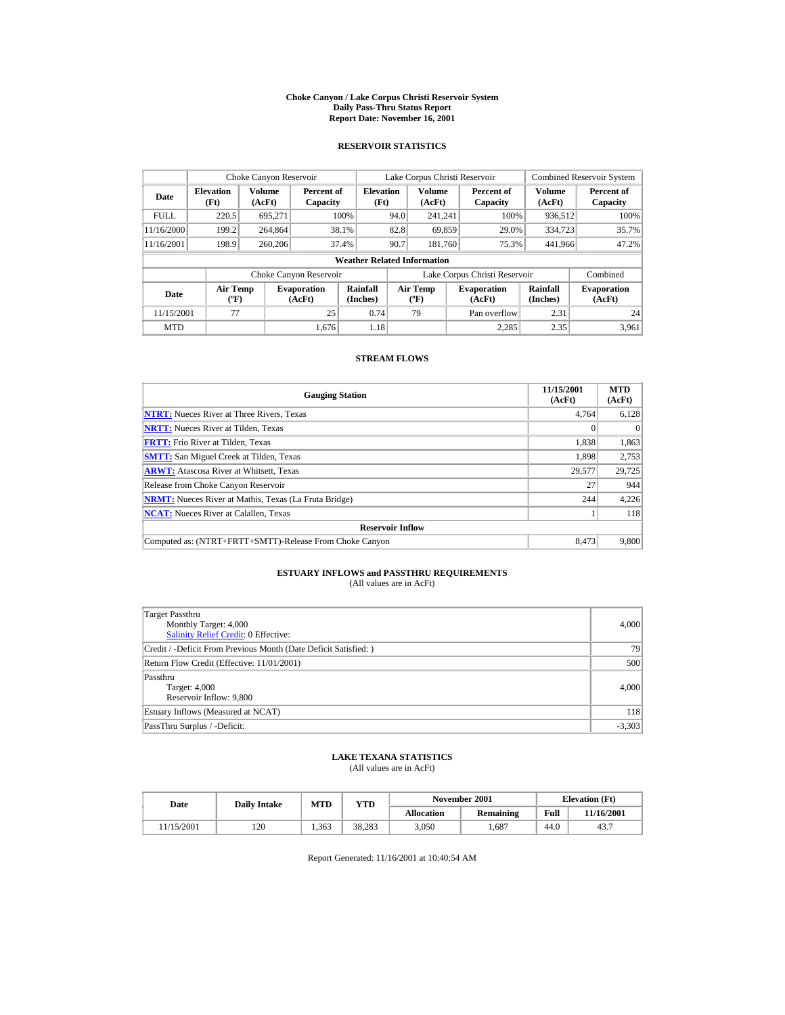#### **Choke Canyon / Lake Corpus Christi Reservoir System Daily Pass-Thru Status Report Report Date: November 16, 2001**

### **RESERVOIR STATISTICS**

| Choke Canyon Reservoir                                                              |       |                      |                        |                                    |                               | Lake Corpus Christi Reservoir |                      |                              |                         | <b>Combined Reservoir System</b> |
|-------------------------------------------------------------------------------------|-------|----------------------|------------------------|------------------------------------|-------------------------------|-------------------------------|----------------------|------------------------------|-------------------------|----------------------------------|
| <b>Elevation</b><br>Date<br>(Ft)                                                    |       | Volume<br>(AcFt)     | Percent of<br>Capacity | <b>Elevation</b><br>(Ft)           |                               | <b>Volume</b><br>(AcFt)       |                      | Percent of<br>Capacity       | <b>Volume</b><br>(AcFt) | Percent of<br>Capacity           |
| <b>FULL</b>                                                                         | 220.5 | 695.271              |                        | 100%                               | 94.0                          | 241.241                       |                      | 100%                         | 936.512                 | 100%                             |
| 11/16/2000                                                                          | 199.2 | 264,864              |                        | 38.1%                              | 82.8                          | 69,859                        |                      | 29.0%                        | 334,723                 | 35.7%                            |
| 11/16/2001                                                                          | 198.9 | 260,206              |                        | 37.4%                              | 90.7                          | 181.760                       |                      | 75.3%                        | 441,966                 | 47.2%                            |
|                                                                                     |       |                      |                        | <b>Weather Related Information</b> |                               |                               |                      |                              |                         |                                  |
|                                                                                     |       |                      | Choke Canyon Reservoir |                                    | Lake Corpus Christi Reservoir |                               |                      |                              |                         | Combined                         |
| <b>Air Temp</b><br><b>Evaporation</b><br>Date<br>$({}^{\circ}\mathrm{F})$<br>(AcFt) |       | Rainfall<br>(Inches) |                        | <b>Air Temp</b><br>$(^{\circ}F)$   |                               | <b>Evaporation</b><br>(AcFt)  | Rainfall<br>(Inches) | <b>Evaporation</b><br>(AcFt) |                         |                                  |
| 11/15/2001<br>77<br>25                                                              |       |                      | 0.74                   |                                    | 79                            |                               | Pan overflow         | 2.31                         | 24                      |                                  |
| <b>MTD</b>                                                                          |       |                      | 1.676                  | 1.18                               |                               |                               |                      | 2.285                        | 2.35                    | 3.961                            |

### **STREAM FLOWS**

| <b>Gauging Station</b>                                       | 11/15/2001<br>(AcFt) | <b>MTD</b><br>(AcFt) |
|--------------------------------------------------------------|----------------------|----------------------|
| <b>NTRT:</b> Nueces River at Three Rivers, Texas             | 4,764                | 6,128                |
| <b>NRTT:</b> Nueces River at Tilden, Texas                   |                      | $\Omega$             |
| <b>FRTT:</b> Frio River at Tilden, Texas                     | 1,838                | 1,863                |
| <b>SMTT:</b> San Miguel Creek at Tilden, Texas               | 1,898                | 2.753                |
| <b>ARWT:</b> Atascosa River at Whitsett, Texas               | 29,577               | 29,725               |
| Release from Choke Canyon Reservoir                          | 27                   | 944                  |
| <b>NRMT:</b> Nueces River at Mathis, Texas (La Fruta Bridge) | 244                  | 4,226                |
| <b>NCAT:</b> Nueces River at Calallen, Texas                 |                      | 118                  |
| <b>Reservoir Inflow</b>                                      |                      |                      |
| Computed as: (NTRT+FRTT+SMTT)-Release From Choke Canyon      | 8.473                | 9,800                |

# **ESTUARY INFLOWS and PASSTHRU REQUIREMENTS**<br>(All values are in AcFt)

| Target Passthru<br>Monthly Target: 4,000<br><b>Salinity Relief Credit: 0 Effective:</b> | 4,000    |
|-----------------------------------------------------------------------------------------|----------|
| Credit / -Deficit From Previous Month (Date Deficit Satisfied:)                         | 79       |
| Return Flow Credit (Effective: 11/01/2001)                                              | 500      |
| Passthru<br>Target: 4,000<br>Reservoir Inflow: 9,800                                    | 4,000    |
| Estuary Inflows (Measured at NCAT)                                                      | 118      |
| PassThru Surplus / -Deficit:                                                            | $-3,303$ |

## **LAKE TEXANA STATISTICS**

(All values are in AcFt)

| Date      | <b>Daily Intake</b> | <b>MTD</b><br>$_{\rm VTD}$ |        |                   | November 2001 |      | <b>Elevation</b> (Ft) |
|-----------|---------------------|----------------------------|--------|-------------------|---------------|------|-----------------------|
|           |                     |                            |        | <b>Allocation</b> | Remaining     | Full | 11/16/2001            |
| 1/15/2001 | 120                 | 1.363                      | 38.283 | 3.050             | .687          | 44.0 | 43.7                  |

Report Generated: 11/16/2001 at 10:40:54 AM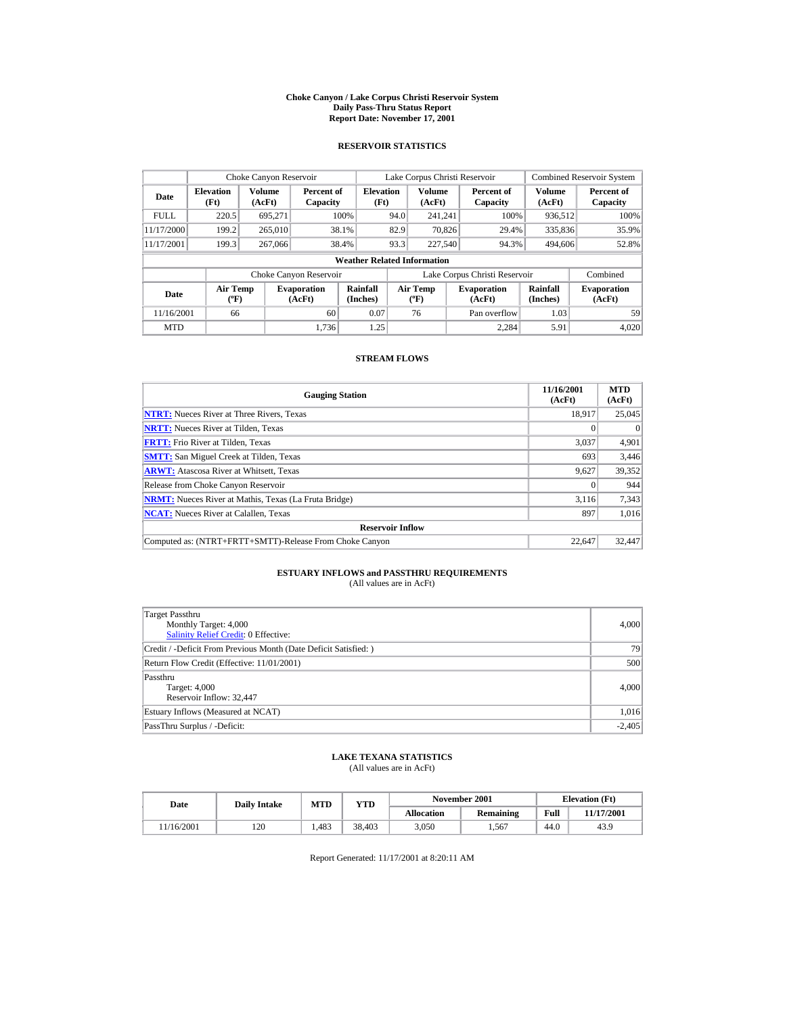#### **Choke Canyon / Lake Corpus Christi Reservoir System Daily Pass-Thru Status Report Report Date: November 17, 2001**

### **RESERVOIR STATISTICS**

|                                                                                     | Choke Canyon Reservoir |                  |                        |                                    |      | Lake Corpus Christi Reservoir |                               |                      | <b>Combined Reservoir System</b> |
|-------------------------------------------------------------------------------------|------------------------|------------------|------------------------|------------------------------------|------|-------------------------------|-------------------------------|----------------------|----------------------------------|
| <b>Elevation</b><br>Date<br>(Ft)                                                    |                        | Volume<br>(AcFt) | Percent of<br>Capacity | <b>Elevation</b><br>(Ft)           |      | Volume<br>(AcFt)              | Percent of<br>Capacity        | Volume<br>(AcFt)     | Percent of<br>Capacity           |
| <b>FULL</b>                                                                         | 220.5                  | 695.271          |                        | 100%                               | 94.0 | 241.241                       | 100%                          | 936,512              | 100%                             |
| 11/17/2000                                                                          | 199.2                  | 265,010          |                        | 38.1%                              | 82.9 | 70.826                        | 29.4%                         | 335,836              | 35.9%                            |
| 11/17/2001                                                                          | 199.3                  | 267,066          |                        | 38.4%                              | 93.3 | 227,540                       | 94.3%                         | 494,606              | 52.8%                            |
|                                                                                     |                        |                  |                        | <b>Weather Related Information</b> |      |                               |                               |                      |                                  |
|                                                                                     |                        |                  | Choke Canyon Reservoir |                                    |      |                               | Lake Corpus Christi Reservoir |                      | Combined                         |
| <b>Air Temp</b><br><b>Evaporation</b><br>Date<br>$({}^{\circ}\mathrm{F})$<br>(AcFt) |                        |                  |                        | Rainfall<br>(Inches)               |      | Air Temp<br>$(^{\circ}F)$     | <b>Evaporation</b><br>(AcFt)  | Rainfall<br>(Inches) | <b>Evaporation</b><br>(AcFt)     |
| 11/16/2001                                                                          | 66                     |                  | 60                     | 0.07                               |      | 76                            | Pan overflow                  | 1.03                 | 59                               |
| <b>MTD</b>                                                                          |                        |                  | 1.736                  | 1.25                               |      |                               | 2.284                         | 5.91                 | 4.020                            |

### **STREAM FLOWS**

| <b>Gauging Station</b>                                       | 11/16/2001<br>(AcFt) | <b>MTD</b><br>(AcFt) |
|--------------------------------------------------------------|----------------------|----------------------|
| <b>NTRT:</b> Nueces River at Three Rivers, Texas             | 18.917               | 25,045               |
| <b>NRTT:</b> Nueces River at Tilden, Texas                   |                      | $\Omega$             |
| <b>FRTT:</b> Frio River at Tilden, Texas                     | 3,037                | 4,901                |
| <b>SMTT:</b> San Miguel Creek at Tilden, Texas               | 693                  | 3,446                |
| <b>ARWT:</b> Atascosa River at Whitsett, Texas               | 9,627                | 39,352               |
| Release from Choke Canyon Reservoir                          |                      | 944                  |
| <b>NRMT:</b> Nueces River at Mathis, Texas (La Fruta Bridge) | 3.116                | 7,343                |
| <b>NCAT:</b> Nueces River at Calallen, Texas                 | 897                  | 1.016                |
| <b>Reservoir Inflow</b>                                      |                      |                      |
| Computed as: (NTRT+FRTT+SMTT)-Release From Choke Canyon      | 22,647               | 32,447               |

# **ESTUARY INFLOWS and PASSTHRU REQUIREMENTS**<br>(All values are in AcFt)

| Target Passthru<br>Monthly Target: 4,000<br><b>Salinity Relief Credit: 0 Effective:</b> | 4,000    |
|-----------------------------------------------------------------------------------------|----------|
| Credit / -Deficit From Previous Month (Date Deficit Satisfied:)                         | 79       |
| Return Flow Credit (Effective: 11/01/2001)                                              | 500      |
| Passthru<br>Target: 4,000<br>Reservoir Inflow: 32.447                                   | 4,000    |
| Estuary Inflows (Measured at NCAT)                                                      | 1,016    |
| PassThru Surplus / -Deficit:                                                            | $-2,405$ |

## **LAKE TEXANA STATISTICS**

(All values are in AcFt)

| Date      | <b>Daily Intake</b> | MTD  | YTD    |                   | November 2001 | <b>Elevation</b> (Ft) |            |
|-----------|---------------------|------|--------|-------------------|---------------|-----------------------|------------|
|           |                     |      |        | <b>Allocation</b> | Remaining     | Full                  | 11/17/2001 |
| 1/16/2001 | 120                 | .483 | 38.403 | 3.050             | . 567         | 44.0                  | 43.9       |

Report Generated: 11/17/2001 at 8:20:11 AM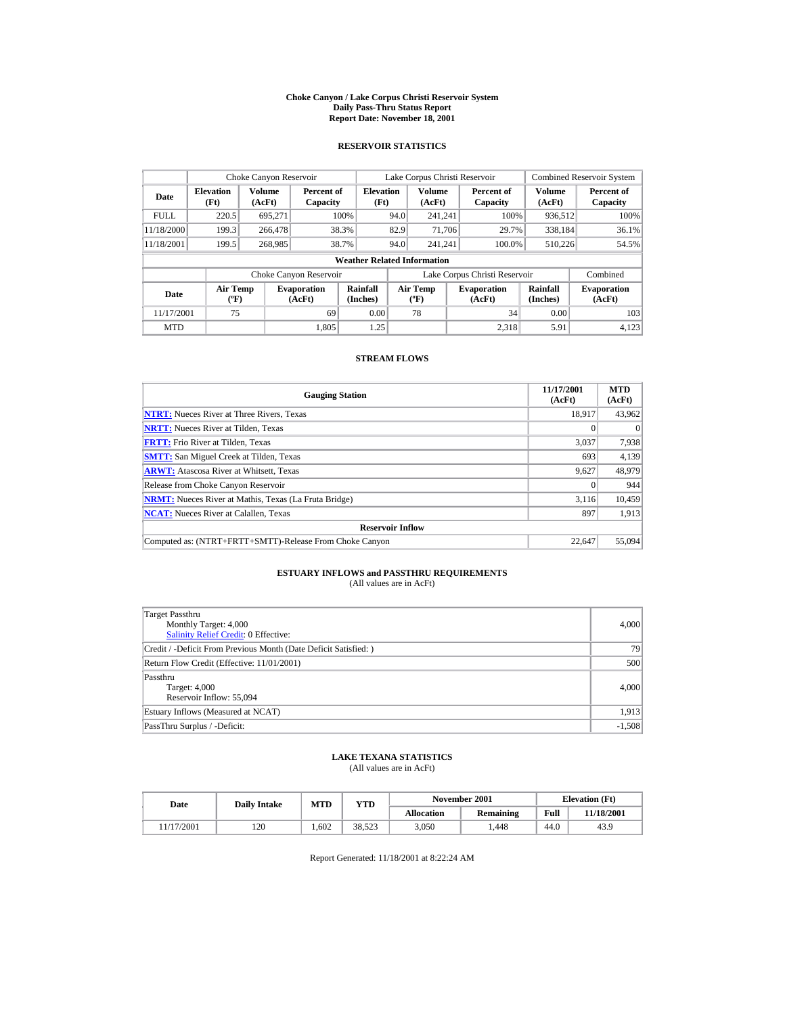#### **Choke Canyon / Lake Corpus Christi Reservoir System Daily Pass-Thru Status Report Report Date: November 18, 2001**

### **RESERVOIR STATISTICS**

|                                                                          | Choke Canyon Reservoir |         |                        |                                    |                                  | Lake Corpus Christi Reservoir |                               |                              | <b>Combined Reservoir System</b> |
|--------------------------------------------------------------------------|------------------------|---------|------------------------|------------------------------------|----------------------------------|-------------------------------|-------------------------------|------------------------------|----------------------------------|
| Volume<br><b>Elevation</b><br>Date<br>(Ft)<br>(AcFt)                     |                        |         | Percent of<br>Capacity | <b>Elevation</b><br>(Ft)           |                                  | Volume<br>(AcFt)              | Percent of<br>Capacity        | Volume<br>(AcFt)             | Percent of<br>Capacity           |
| <b>FULL</b>                                                              | 220.5                  | 695.271 |                        | 100%                               | 94.0                             | 241.241                       | 100%                          | 936,512                      | 100%                             |
| 11/18/2000                                                               | 199.3                  | 266,478 |                        | 38.3%                              | 82.9                             | 71,706                        | 29.7%                         | 338.184                      | 36.1%                            |
| 11/18/2001                                                               | 199.5                  | 268,985 |                        | 38.7%                              | 94.0                             | 241.241                       | 100.0%                        | 510.226                      | 54.5%                            |
|                                                                          |                        |         |                        | <b>Weather Related Information</b> |                                  |                               |                               |                              |                                  |
|                                                                          |                        |         | Choke Canyon Reservoir |                                    |                                  |                               | Lake Corpus Christi Reservoir |                              | Combined                         |
| <b>Air Temp</b><br><b>Evaporation</b><br>Date<br>$(^{\circ}F)$<br>(AcFt) |                        |         | Rainfall<br>(Inches)   |                                    | <b>Air Temp</b><br>$(^{\circ}F)$ | <b>Evaporation</b><br>(AcFt)  | <b>Rainfall</b><br>(Inches)   | <b>Evaporation</b><br>(AcFt) |                                  |
| 11/17/2001                                                               | 75                     |         | 69                     | 0.00                               |                                  | 78                            | 34                            | 0.00                         | 103                              |
| <b>MTD</b>                                                               |                        |         | 1.805                  | 1.25                               |                                  |                               | 2.318                         | 5.91                         | 4.123                            |

### **STREAM FLOWS**

| <b>Gauging Station</b>                                       | 11/17/2001<br>(AcFt) | <b>MTD</b><br>(AcFt) |
|--------------------------------------------------------------|----------------------|----------------------|
| <b>NTRT:</b> Nueces River at Three Rivers, Texas             | 18.917               | 43,962               |
| <b>NRTT:</b> Nueces River at Tilden, Texas                   |                      | $\theta$             |
| <b>FRTT:</b> Frio River at Tilden, Texas                     | 3,037                | 7,938                |
| <b>SMTT:</b> San Miguel Creek at Tilden, Texas               | 693                  | 4,139                |
| <b>ARWT:</b> Atascosa River at Whitsett, Texas               | 9,627                | 48,979               |
| Release from Choke Canyon Reservoir                          |                      | 944                  |
| <b>NRMT:</b> Nueces River at Mathis, Texas (La Fruta Bridge) | 3.116                | 10,459               |
| <b>NCAT:</b> Nueces River at Calallen, Texas                 | 897                  | 1,913                |
| <b>Reservoir Inflow</b>                                      |                      |                      |
| Computed as: (NTRT+FRTT+SMTT)-Release From Choke Canyon      | 22.647               | 55,094               |

# **ESTUARY INFLOWS and PASSTHRU REQUIREMENTS**<br>(All values are in AcFt)

| Target Passthru<br>Monthly Target: 4,000<br><b>Salinity Relief Credit: 0 Effective:</b> | 4,000    |
|-----------------------------------------------------------------------------------------|----------|
| Credit / -Deficit From Previous Month (Date Deficit Satisfied:)                         | 79       |
| Return Flow Credit (Effective: 11/01/2001)                                              | 500      |
| Passthru<br>Target: 4,000<br>Reservoir Inflow: 55,094                                   | 4,000    |
| Estuary Inflows (Measured at NCAT)                                                      | 1,913    |
| PassThru Surplus / -Deficit:                                                            | $-1,508$ |

## **LAKE TEXANA STATISTICS**

(All values are in AcFt)

| Date      | <b>Daily Intake</b> | <b>MTD</b> | $_{\rm VTD}$ |                   | November 2001 |      | <b>Elevation</b> (Ft) |
|-----------|---------------------|------------|--------------|-------------------|---------------|------|-----------------------|
|           |                     |            |              | <b>Allocation</b> | Remaining     | Full | 11/18/2001            |
| 1/17/2001 | 120                 | .602       | 38.523       | 3.050             | .448          | 44.0 | 43.9                  |

Report Generated: 11/18/2001 at 8:22:24 AM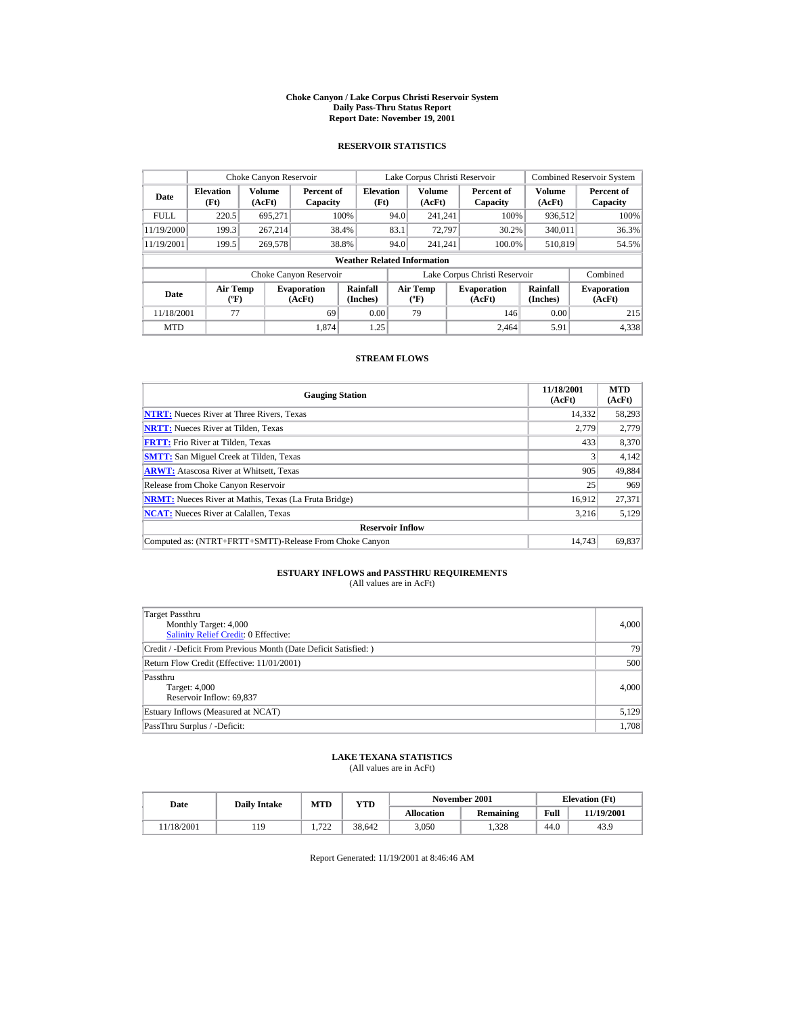#### **Choke Canyon / Lake Corpus Christi Reservoir System Daily Pass-Thru Status Report Report Date: November 19, 2001**

### **RESERVOIR STATISTICS**

|             | Choke Canyon Reservoir                      |                  |                              |                          | Lake Corpus Christi Reservoir |                                  |  |                               |                      | <b>Combined Reservoir System</b> |  |  |
|-------------|---------------------------------------------|------------------|------------------------------|--------------------------|-------------------------------|----------------------------------|--|-------------------------------|----------------------|----------------------------------|--|--|
| Date        | <b>Elevation</b><br>(Ft)                    | Volume<br>(AcFt) | Percent of<br>Capacity       | <b>Elevation</b><br>(Ft) |                               | <b>Volume</b><br>(AcFt)          |  | Percent of<br>Capacity        | Volume<br>(AcFt)     | Percent of<br>Capacity           |  |  |
| <b>FULL</b> | 220.5                                       | 695.271          |                              | 100%                     | 94.0                          | 241.241                          |  | 100%                          | 936,512              | 100%                             |  |  |
| 11/19/2000  | 199.3                                       | 267.214          |                              | 38.4%                    | 83.1                          | 72,797                           |  | 30.2%                         | 340,011              | 36.3%                            |  |  |
| 11/19/2001  | 199.5                                       | 269,578          |                              | 38.8%                    | 94.0                          | 241.241                          |  | 100.0%                        | 510,819              | 54.5%                            |  |  |
|             | <b>Weather Related Information</b>          |                  |                              |                          |                               |                                  |  |                               |                      |                                  |  |  |
|             |                                             |                  | Choke Canyon Reservoir       |                          |                               |                                  |  | Lake Corpus Christi Reservoir |                      | Combined                         |  |  |
| Date        | <b>Air Temp</b><br>$({}^{\circ}\mathrm{F})$ |                  | <b>Evaporation</b><br>(AcFt) | Rainfall<br>(Inches)     |                               | Air Temp<br>$(^{\circ}\text{F})$ |  | <b>Evaporation</b><br>(AcFt)  | Rainfall<br>(Inches) | <b>Evaporation</b><br>(AcFt)     |  |  |
| 11/18/2001  | 77                                          |                  | 69                           | 0.00                     |                               | 79                               |  | 146                           | 0.00                 | 215                              |  |  |
| <b>MTD</b>  |                                             |                  | 1.874                        | 1.25                     |                               |                                  |  | 2.464                         | 5.91                 | 4,338                            |  |  |

### **STREAM FLOWS**

| <b>Gauging Station</b>                                       | 11/18/2001<br>(AcFt) | <b>MTD</b><br>(AcFt) |
|--------------------------------------------------------------|----------------------|----------------------|
| <b>NTRT:</b> Nueces River at Three Rivers, Texas             | 14,332               | 58,293               |
| <b>NRTT:</b> Nueces River at Tilden, Texas                   | 2,779                | 2,779                |
| <b>FRTT:</b> Frio River at Tilden, Texas                     | 433                  | 8,370                |
| <b>SMTT:</b> San Miguel Creek at Tilden, Texas               |                      | 4,142                |
| <b>ARWT:</b> Atascosa River at Whitsett, Texas               | 905                  | 49,884               |
| Release from Choke Canyon Reservoir                          | 25                   | 969                  |
| <b>NRMT:</b> Nueces River at Mathis, Texas (La Fruta Bridge) | 16.912               | 27.371               |
| <b>NCAT:</b> Nueces River at Calallen, Texas                 | 3,216                | 5,129                |
| <b>Reservoir Inflow</b>                                      |                      |                      |
| Computed as: (NTRT+FRTT+SMTT)-Release From Choke Canyon      | 14.743               | 69,837               |

# **ESTUARY INFLOWS and PASSTHRU REQUIREMENTS**<br>(All values are in AcFt)

| Target Passthru<br>Monthly Target: 4,000<br>Salinity Relief Credit: 0 Effective: | 4,000 |
|----------------------------------------------------------------------------------|-------|
| Credit / -Deficit From Previous Month (Date Deficit Satisfied:)                  | 79    |
| Return Flow Credit (Effective: 11/01/2001)                                       | 500   |
| Passthru<br>Target: 4,000<br>Reservoir Inflow: 69,837                            | 4,000 |
| Estuary Inflows (Measured at NCAT)                                               | 5,129 |
| PassThru Surplus / -Deficit:                                                     | 1,708 |

## **LAKE TEXANA STATISTICS**

(All values are in AcFt)

|  | Date      | <b>Daily Intake</b> | MTD        | VTD    |                   | November 2001 | <b>Elevation</b> (Ft) |            |
|--|-----------|---------------------|------------|--------|-------------------|---------------|-----------------------|------------|
|  |           |                     |            |        | <b>Allocation</b> | Remaining     | Full                  | 11/19/2001 |
|  | 1/18/2001 | 119                 | 722<br>ے ر | 38.642 | 3.050             | 1.328         | 44.0                  | 43.9       |

Report Generated: 11/19/2001 at 8:46:46 AM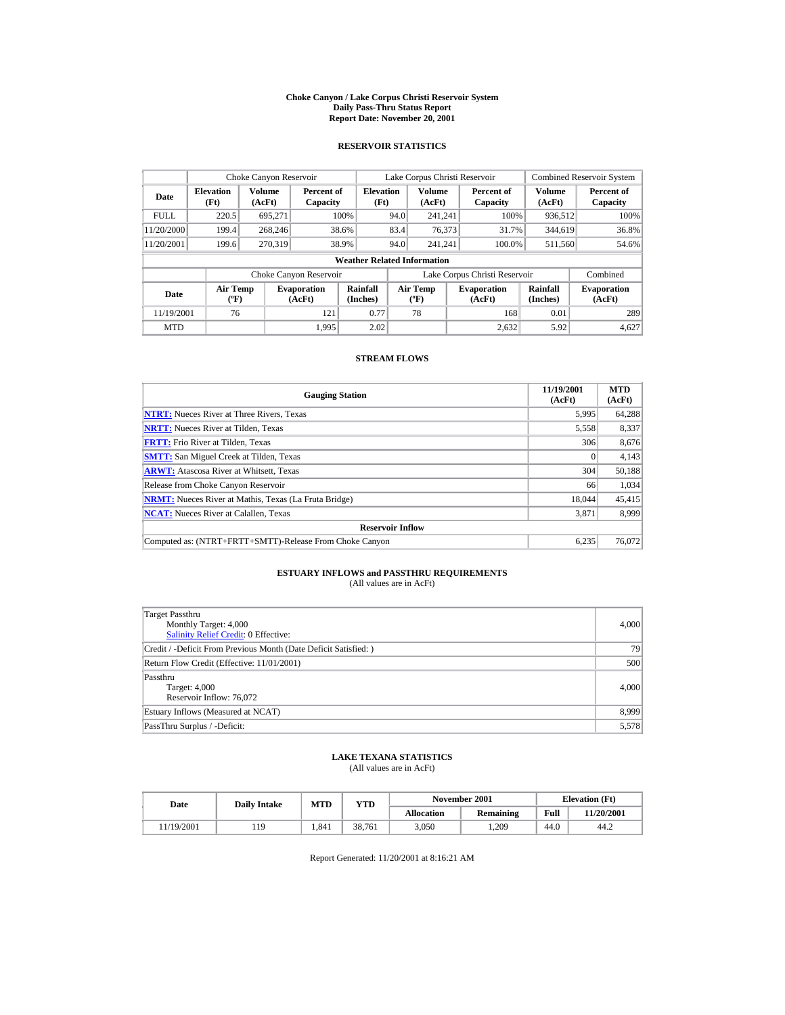#### **Choke Canyon / Lake Corpus Christi Reservoir System Daily Pass-Thru Status Report Report Date: November 20, 2001**

### **RESERVOIR STATISTICS**

|             | Choke Canyon Reservoir                      |                  |                              |                          | Lake Corpus Christi Reservoir |                                          |  |                               |                      | <b>Combined Reservoir System</b> |  |  |
|-------------|---------------------------------------------|------------------|------------------------------|--------------------------|-------------------------------|------------------------------------------|--|-------------------------------|----------------------|----------------------------------|--|--|
| Date        | <b>Elevation</b><br>(Ft)                    | Volume<br>(AcFt) | Percent of<br>Capacity       | <b>Elevation</b><br>(Ft) |                               | <b>Volume</b><br>(AcFt)                  |  | Percent of<br>Capacity        | Volume<br>(AcFt)     | Percent of<br>Capacity           |  |  |
| <b>FULL</b> | 220.5                                       | 695.271          |                              | 100%                     | 94.0                          | 241.241                                  |  | 100%                          | 936,512              | 100%                             |  |  |
| 11/20/2000  | 199.4                                       | 268,246          |                              | 38.6%                    | 83.4                          | 76,373                                   |  | 31.7%                         | 344,619              | 36.8%                            |  |  |
| 11/20/2001  | 199.6                                       | 270,319          |                              | 38.9%                    | 94.0                          | 241.241                                  |  | 100.0%                        | 511,560              | 54.6%                            |  |  |
|             | <b>Weather Related Information</b>          |                  |                              |                          |                               |                                          |  |                               |                      |                                  |  |  |
|             |                                             |                  | Choke Canyon Reservoir       |                          |                               |                                          |  | Lake Corpus Christi Reservoir |                      | Combined                         |  |  |
| Date        | <b>Air Temp</b><br>$({}^{\circ}\mathrm{F})$ |                  | <b>Evaporation</b><br>(AcFt) | Rainfall<br>(Inches)     |                               | <b>Air Temp</b><br>$({}^{\circ}{\rm F})$ |  | <b>Evaporation</b><br>(AcFt)  | Rainfall<br>(Inches) | <b>Evaporation</b><br>(AcFt)     |  |  |
| 11/19/2001  | 76                                          |                  | 121                          | 0.77                     |                               | 78                                       |  | 168                           | 0.01                 | 289                              |  |  |
| <b>MTD</b>  |                                             |                  | 1.995                        | 2.02                     |                               |                                          |  | 2.632                         | 5.92                 | 4.627                            |  |  |

### **STREAM FLOWS**

| <b>Gauging Station</b>                                       | 11/19/2001<br>(AcFt) | <b>MTD</b><br>(AcFt) |
|--------------------------------------------------------------|----------------------|----------------------|
| <b>NTRT:</b> Nueces River at Three Rivers, Texas             | 5,995                | 64,288               |
| <b>NRTT:</b> Nueces River at Tilden, Texas                   | 5,558                | 8,337                |
| <b>FRTT:</b> Frio River at Tilden, Texas                     | 306                  | 8,676                |
| <b>SMTT:</b> San Miguel Creek at Tilden, Texas               |                      | 4,143                |
| <b>ARWT:</b> Atascosa River at Whitsett, Texas               | 304                  | 50,188               |
| Release from Choke Canyon Reservoir                          | 66                   | 1,034                |
| <b>NRMT:</b> Nueces River at Mathis, Texas (La Fruta Bridge) | 18.044               | 45,415               |
| <b>NCAT:</b> Nueces River at Calallen, Texas                 | 3,871                | 8.999                |
| <b>Reservoir Inflow</b>                                      |                      |                      |
| Computed as: (NTRT+FRTT+SMTT)-Release From Choke Canyon      | 6,235                | 76,072               |

# **ESTUARY INFLOWS and PASSTHRU REQUIREMENTS**<br>(All values are in AcFt)

| Target Passthru<br>Monthly Target: 4,000<br><b>Salinity Relief Credit: 0 Effective:</b> | 4,000 |
|-----------------------------------------------------------------------------------------|-------|
| Credit / -Deficit From Previous Month (Date Deficit Satisfied:)                         | 79    |
| Return Flow Credit (Effective: 11/01/2001)                                              | 500   |
| Passthru<br>Target: 4,000<br>Reservoir Inflow: 76,072                                   | 4,000 |
| Estuary Inflows (Measured at NCAT)                                                      | 8,999 |
| PassThru Surplus / -Deficit:                                                            | 5,578 |

## **LAKE TEXANA STATISTICS**

(All values are in AcFt)

| Date      | <b>Daily Intake</b> | <b>MTD</b> | $_{\rm VTD}$ |                   | November 2001 | <b>Elevation</b> (Ft) |            |
|-----------|---------------------|------------|--------------|-------------------|---------------|-----------------------|------------|
|           |                     |            |              | <b>Allocation</b> | Remaining     | Full                  | 11/20/2001 |
| 1/19/2001 | 119                 | .841       | 38.761       | 3.050             | .209          | 44.0                  | 44.2       |

Report Generated: 11/20/2001 at 8:16:21 AM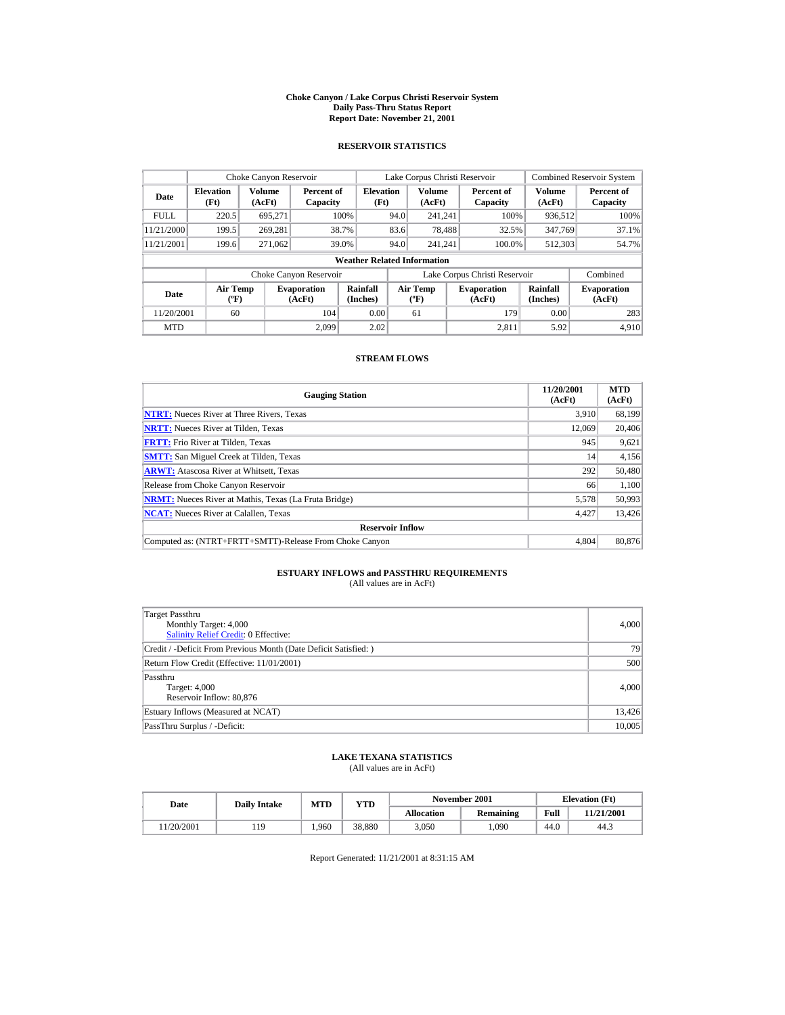#### **Choke Canyon / Lake Corpus Christi Reservoir System Daily Pass-Thru Status Report Report Date: November 21, 2001**

### **RESERVOIR STATISTICS**

|             | Choke Canyon Reservoir             |                  |                              |                          | Lake Corpus Christi Reservoir |                                  |  |                               |                             | <b>Combined Reservoir System</b> |  |  |
|-------------|------------------------------------|------------------|------------------------------|--------------------------|-------------------------------|----------------------------------|--|-------------------------------|-----------------------------|----------------------------------|--|--|
| Date        | <b>Elevation</b><br>(Ft)           | Volume<br>(AcFt) | Percent of<br>Capacity       | <b>Elevation</b><br>(Ft) |                               | <b>Volume</b><br>(AcFt)          |  | Percent of<br>Capacity        | Volume<br>(AcFt)            | Percent of<br>Capacity           |  |  |
| <b>FULL</b> | 220.5                              | 695.271          |                              | 100%                     | 94.0                          | 241.241                          |  | 100%                          | 936,512                     | 100%                             |  |  |
| 11/21/2000  | 199.5                              | 269.281          |                              | 38.7%                    | 83.6                          | 78.488                           |  | 32.5%                         | 347,769                     | 37.1%                            |  |  |
| 11/21/2001  | 199.6                              | 271,062          |                              | 39.0%                    | 94.0                          | 241.241                          |  | 100.0%                        | 512,303                     | 54.7%                            |  |  |
|             | <b>Weather Related Information</b> |                  |                              |                          |                               |                                  |  |                               |                             |                                  |  |  |
|             |                                    |                  | Choke Canyon Reservoir       |                          |                               |                                  |  | Lake Corpus Christi Reservoir |                             | Combined                         |  |  |
| Date        | <b>Air Temp</b><br>$(^{\circ}F)$   |                  | <b>Evaporation</b><br>(AcFt) | Rainfall<br>(Inches)     |                               | <b>Air Temp</b><br>$(^{\circ}F)$ |  | <b>Evaporation</b><br>(AcFt)  | <b>Rainfall</b><br>(Inches) | <b>Evaporation</b><br>(AcFt)     |  |  |
| 11/20/2001  | 60                                 |                  | 104                          | 0.00                     |                               | 61                               |  | 179                           | 0.00                        | 283                              |  |  |
| <b>MTD</b>  |                                    |                  | 2.099                        | 2.02                     |                               |                                  |  | 2.811                         | 5.92                        | 4.910                            |  |  |

### **STREAM FLOWS**

| <b>Gauging Station</b>                                       | 11/20/2001<br>(AcFt) | <b>MTD</b><br>(AcFt) |
|--------------------------------------------------------------|----------------------|----------------------|
| <b>NTRT:</b> Nueces River at Three Rivers, Texas             | 3.910                | 68,199               |
| <b>NRTT:</b> Nueces River at Tilden, Texas                   | 12.069               | 20,406               |
| <b>FRTT:</b> Frio River at Tilden, Texas                     | 945                  | 9,621                |
| <b>SMTT:</b> San Miguel Creek at Tilden, Texas               | 14                   | 4,156                |
| <b>ARWT:</b> Atascosa River at Whitsett, Texas               | 292                  | 50,480               |
| Release from Choke Canyon Reservoir                          | 66                   | 1,100                |
| <b>NRMT:</b> Nueces River at Mathis, Texas (La Fruta Bridge) | 5,578                | 50,993               |
| <b>NCAT:</b> Nueces River at Calallen, Texas                 | 4,427                | 13,426               |
| <b>Reservoir Inflow</b>                                      |                      |                      |
| Computed as: (NTRT+FRTT+SMTT)-Release From Choke Canyon      | 4.804                | 80,876               |

# **ESTUARY INFLOWS and PASSTHRU REQUIREMENTS**<br>(All values are in AcFt)

| Target Passthru<br>Monthly Target: 4,000<br><b>Salinity Relief Credit: 0 Effective:</b> | 4,000  |
|-----------------------------------------------------------------------------------------|--------|
| Credit / -Deficit From Previous Month (Date Deficit Satisfied:)                         | 79     |
| Return Flow Credit (Effective: 11/01/2001)                                              | 500    |
| Passthru<br>Target: 4,000<br>Reservoir Inflow: 80,876                                   | 4,000  |
| Estuary Inflows (Measured at NCAT)                                                      | 13,426 |
| PassThru Surplus / -Deficit:                                                            | 10,005 |

## **LAKE TEXANA STATISTICS**

(All values are in AcFt)

| Date      | <b>Daily Intake</b> | MTD  | $\mathbf{v}\mathbf{T}\mathbf{D}$ |                   | November 2001    | <b>Elevation</b> (Ft) |            |
|-----------|---------------------|------|----------------------------------|-------------------|------------------|-----------------------|------------|
|           |                     |      |                                  | <b>Allocation</b> | <b>Remaining</b> | Full                  | 11/21/2001 |
| 1/20/2001 | 119                 | .960 | 38.880                           | 3.050             | ,090             | 44.0                  | 44.3       |

Report Generated: 11/21/2001 at 8:31:15 AM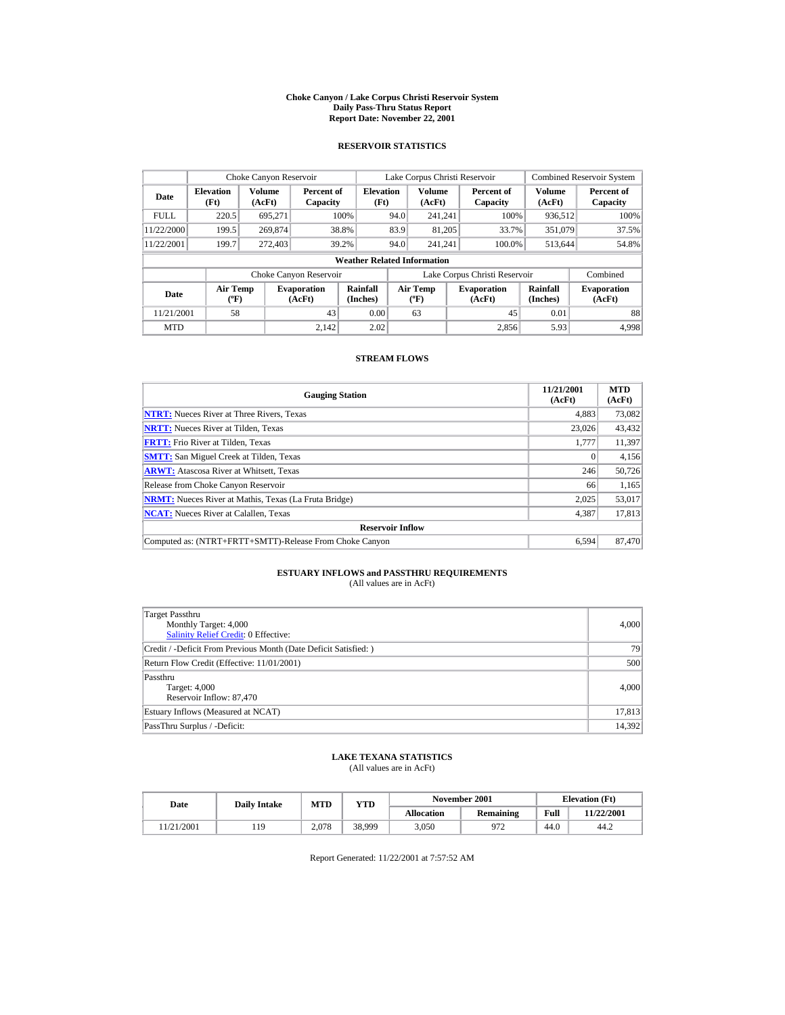#### **Choke Canyon / Lake Corpus Christi Reservoir System Daily Pass-Thru Status Report Report Date: November 22, 2001**

### **RESERVOIR STATISTICS**

|             | Choke Canyon Reservoir                      |                  |                              |                          | Lake Corpus Christi Reservoir |                                  |  |                               |                             | <b>Combined Reservoir System</b> |  |  |
|-------------|---------------------------------------------|------------------|------------------------------|--------------------------|-------------------------------|----------------------------------|--|-------------------------------|-----------------------------|----------------------------------|--|--|
| Date        | <b>Elevation</b><br>(Ft)                    | Volume<br>(AcFt) | Percent of<br>Capacity       | <b>Elevation</b><br>(Ft) |                               | <b>Volume</b><br>(AcFt)          |  | Percent of<br>Capacity        | Volume<br>(AcFt)            | Percent of<br>Capacity           |  |  |
| <b>FULL</b> | 220.5                                       | 695.271          |                              | 100%                     | 94.0                          | 241.241                          |  | 100%                          | 936,512                     | 100%                             |  |  |
| 11/22/2000  | 199.5                                       | 269,874          |                              | 38.8%                    | 83.9                          | 81,205                           |  | 33.7%                         | 351,079                     | 37.5%                            |  |  |
| 11/22/2001  | 199.7                                       | 272,403          |                              | 39.2%                    | 94.0                          | 241.241                          |  | 100.0%                        | 513,644                     | 54.8%                            |  |  |
|             | <b>Weather Related Information</b>          |                  |                              |                          |                               |                                  |  |                               |                             |                                  |  |  |
|             |                                             |                  | Choke Canyon Reservoir       |                          |                               |                                  |  | Lake Corpus Christi Reservoir |                             | Combined                         |  |  |
| Date        | <b>Air Temp</b><br>$({}^{\circ}\mathrm{F})$ |                  | <b>Evaporation</b><br>(AcFt) | Rainfall<br>(Inches)     |                               | <b>Air Temp</b><br>$(^{\circ}F)$ |  | <b>Evaporation</b><br>(AcFt)  | <b>Rainfall</b><br>(Inches) | <b>Evaporation</b><br>(AcFt)     |  |  |
| 11/21/2001  | 58                                          |                  | 43                           | 0.00                     |                               | 63                               |  | 45                            | 0.01                        | 88                               |  |  |
| <b>MTD</b>  |                                             |                  | 2.142                        | 2.02                     |                               |                                  |  | 2.856                         | 5.93                        | 4.998                            |  |  |

### **STREAM FLOWS**

| <b>Gauging Station</b>                                       | 11/21/2001<br>(AcFt) | <b>MTD</b><br>(AcFt) |
|--------------------------------------------------------------|----------------------|----------------------|
| <b>NTRT:</b> Nueces River at Three Rivers, Texas             | 4.883                | 73,082               |
| <b>NRTT:</b> Nueces River at Tilden, Texas                   | 23,026               | 43,432               |
| <b>FRTT:</b> Frio River at Tilden, Texas                     | 1,777                | 11,397               |
| <b>SMTT:</b> San Miguel Creek at Tilden, Texas               |                      | 4,156                |
| <b>ARWT:</b> Atascosa River at Whitsett, Texas               | 246                  | 50,726               |
| Release from Choke Canyon Reservoir                          | 66                   | 1,165                |
| <b>NRMT:</b> Nueces River at Mathis, Texas (La Fruta Bridge) | 2.025                | 53,017               |
| <b>NCAT:</b> Nueces River at Calallen, Texas                 | 4,387                | 17,813               |
| <b>Reservoir Inflow</b>                                      |                      |                      |
| Computed as: (NTRT+FRTT+SMTT)-Release From Choke Canyon      | 6.594                | 87,470               |

# **ESTUARY INFLOWS and PASSTHRU REQUIREMENTS**<br>(All values are in AcFt)

| Target Passthru<br>Monthly Target: 4,000<br>Salinity Relief Credit: 0 Effective: | 4,000  |
|----------------------------------------------------------------------------------|--------|
| Credit / -Deficit From Previous Month (Date Deficit Satisfied:)                  | 79     |
| Return Flow Credit (Effective: 11/01/2001)                                       | 500    |
| Passthru<br>Target: 4,000<br>Reservoir Inflow: 87,470                            | 4,000  |
| Estuary Inflows (Measured at NCAT)                                               | 17,813 |
| PassThru Surplus / -Deficit:                                                     | 14,392 |

## **LAKE TEXANA STATISTICS**

(All values are in AcFt)

| Date |           | <b>Daily Intake</b> | MTD   | VTD    |            | November 2001 | <b>Elevation</b> (Ft) |            |
|------|-----------|---------------------|-------|--------|------------|---------------|-----------------------|------------|
|      |           |                     |       |        | Allocation | Remaining     | Full                  | 11/22/2001 |
|      | 1/21/2001 | 119                 | 2.078 | 38.999 | 3,050      | 972           | 44.0                  | 44.2       |

Report Generated: 11/22/2001 at 7:57:52 AM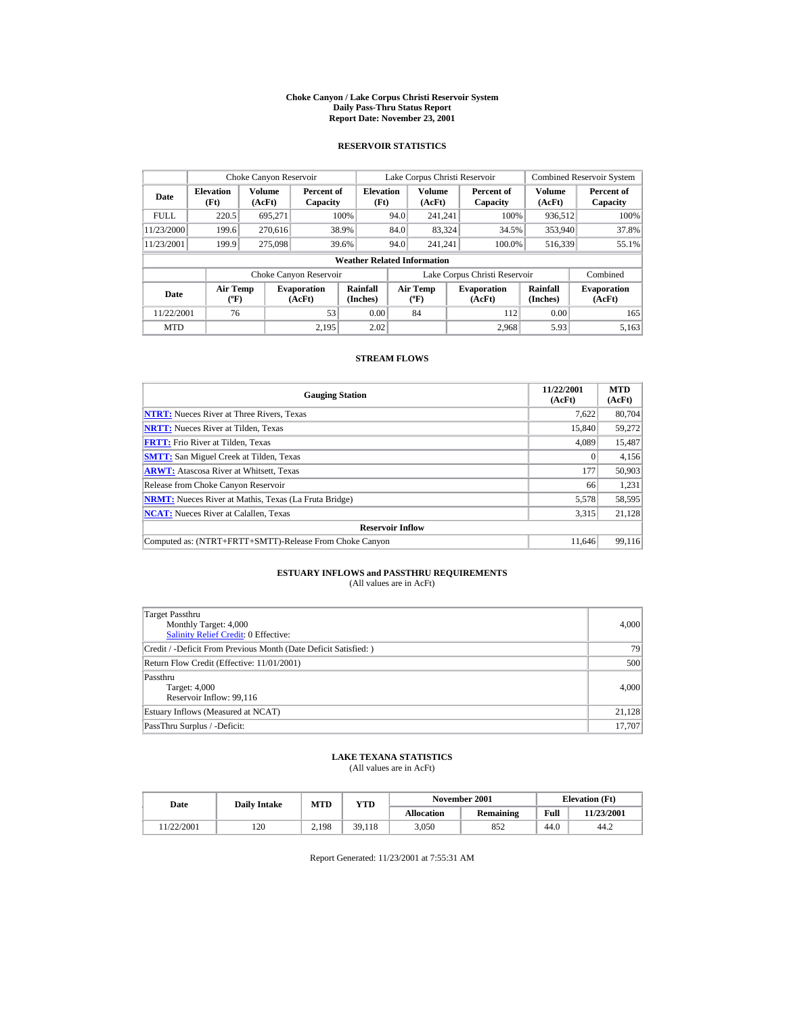#### **Choke Canyon / Lake Corpus Christi Reservoir System Daily Pass-Thru Status Report Report Date: November 23, 2001**

### **RESERVOIR STATISTICS**

|             | Choke Canyon Reservoir             |                  |                              |                          | Lake Corpus Christi Reservoir |                                  |  |                               |                             | <b>Combined Reservoir System</b> |  |  |
|-------------|------------------------------------|------------------|------------------------------|--------------------------|-------------------------------|----------------------------------|--|-------------------------------|-----------------------------|----------------------------------|--|--|
| Date        | <b>Elevation</b><br>(Ft)           | Volume<br>(AcFt) | Percent of<br>Capacity       | <b>Elevation</b><br>(Ft) |                               | Volume<br>(AcFt)                 |  | Percent of<br>Capacity        | Volume<br>(AcFt)            | Percent of<br>Capacity           |  |  |
| <b>FULL</b> | 220.5                              | 695.271          |                              | 100%                     | 94.0                          | 241.241                          |  | 100%                          | 936,512                     | 100%                             |  |  |
| 11/23/2000  | 199.6                              | 270.616          |                              | 38.9%                    | 84.0                          | 83,324                           |  | 34.5%                         | 353,940                     | 37.8%                            |  |  |
| 11/23/2001  | 199.9                              | 275,098          |                              | 39.6%                    | 94.0                          | 241.241                          |  | 100.0%                        | 516,339                     | 55.1%                            |  |  |
|             | <b>Weather Related Information</b> |                  |                              |                          |                               |                                  |  |                               |                             |                                  |  |  |
|             |                                    |                  | Choke Canyon Reservoir       |                          |                               |                                  |  | Lake Corpus Christi Reservoir |                             | Combined                         |  |  |
| Date        | <b>Air Temp</b><br>$(^{\circ}F)$   |                  | <b>Evaporation</b><br>(AcFt) | Rainfall<br>(Inches)     |                               | <b>Air Temp</b><br>$(^{\circ}F)$ |  | <b>Evaporation</b><br>(AcFt)  | <b>Rainfall</b><br>(Inches) | <b>Evaporation</b><br>(AcFt)     |  |  |
| 11/22/2001  | 76                                 |                  | 53                           | 0.00                     |                               | 84                               |  | 112                           | 0.00                        | 165                              |  |  |
| <b>MTD</b>  |                                    |                  | 2.195                        | 2.02                     |                               |                                  |  | 2.968                         | 5.93                        | 5.163                            |  |  |

### **STREAM FLOWS**

| <b>Gauging Station</b>                                       | 11/22/2001<br>(AcFt) | <b>MTD</b><br>(AcFt) |
|--------------------------------------------------------------|----------------------|----------------------|
| <b>NTRT:</b> Nueces River at Three Rivers, Texas             | 7,622                | 80,704               |
| <b>NRTT:</b> Nueces River at Tilden, Texas                   | 15,840               | 59,272               |
| <b>FRTT:</b> Frio River at Tilden, Texas                     | 4.089                | 15,487               |
| <b>SMTT:</b> San Miguel Creek at Tilden, Texas               |                      | 4,156                |
| <b>ARWT:</b> Atascosa River at Whitsett, Texas               | 177                  | 50,903               |
| Release from Choke Canyon Reservoir                          | 66                   | 1,231                |
| <b>NRMT:</b> Nueces River at Mathis, Texas (La Fruta Bridge) | 5,578                | 58,595               |
| <b>NCAT:</b> Nueces River at Calallen, Texas                 | 3,315                | 21,128               |
| <b>Reservoir Inflow</b>                                      |                      |                      |
| Computed as: (NTRT+FRTT+SMTT)-Release From Choke Canyon      | 11.646               | 99.116               |

# **ESTUARY INFLOWS and PASSTHRU REQUIREMENTS**<br>(All values are in AcFt)

| Target Passthru<br>Monthly Target: 4,000<br>Salinity Relief Credit: 0 Effective: | 4,000  |
|----------------------------------------------------------------------------------|--------|
| Credit / -Deficit From Previous Month (Date Deficit Satisfied:)                  | 79     |
| Return Flow Credit (Effective: 11/01/2001)                                       | 500    |
| Passthru<br>Target: 4,000<br>Reservoir Inflow: 99,116                            | 4,000  |
| Estuary Inflows (Measured at NCAT)                                               | 21,128 |
| PassThru Surplus / -Deficit:                                                     | 17,707 |

## **LAKE TEXANA STATISTICS**

(All values are in AcFt)

| Date      | <b>Daily Intake</b> | <b>MTD</b> | YTD    |                   | November 2001 | <b>Elevation</b> (Ft) |            |
|-----------|---------------------|------------|--------|-------------------|---------------|-----------------------|------------|
|           |                     |            |        | <b>Allocation</b> | Remaining     | Full                  | 11/23/2001 |
| 1/22/2001 | 120                 | 2.198      | 39,118 | 3.050             | 852           | 44.0                  | 44.2       |

Report Generated: 11/23/2001 at 7:55:31 AM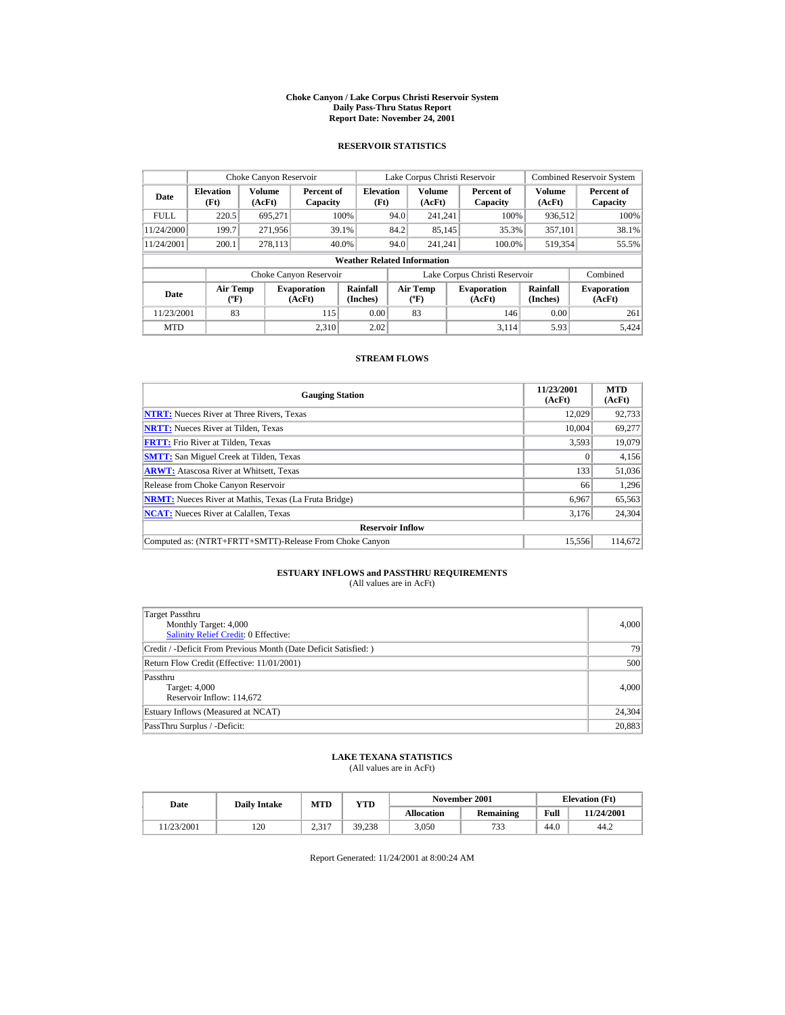#### **Choke Canyon / Lake Corpus Christi Reservoir System Daily Pass-Thru Status Report Report Date: November 24, 2001**

### **RESERVOIR STATISTICS**

|             | Choke Canyon Reservoir                      |                         |                              |                                    | Lake Corpus Christi Reservoir |                                  |  |                               |                      | <b>Combined Reservoir System</b> |
|-------------|---------------------------------------------|-------------------------|------------------------------|------------------------------------|-------------------------------|----------------------------------|--|-------------------------------|----------------------|----------------------------------|
| Date        | <b>Elevation</b><br>(Ft)                    | <b>Volume</b><br>(AcFt) | Percent of<br>Capacity       | <b>Elevation</b><br>(Ft)           |                               | <b>Volume</b><br>(AcFt)          |  | Percent of<br>Capacity        | Volume<br>(AcFt)     | Percent of<br>Capacity           |
| <b>FULL</b> | 220.5                                       | 695.271                 |                              | 100%                               | 94.0                          | 241.241                          |  | 100%                          | 936,512              | 100%                             |
| 11/24/2000  | 199.7                                       | 271.956                 |                              | 39.1%                              | 84.2                          | 85,145                           |  | 35.3%                         | 357,101              | 38.1%                            |
| 11/24/2001  | 200.1                                       | 278,113                 |                              | 40.0%                              | 94.0                          | 241.241                          |  | 100.0%                        | 519,354              | 55.5%                            |
|             |                                             |                         |                              | <b>Weather Related Information</b> |                               |                                  |  |                               |                      |                                  |
|             |                                             |                         | Choke Canyon Reservoir       |                                    |                               |                                  |  | Lake Corpus Christi Reservoir |                      | Combined                         |
| Date        | <b>Air Temp</b><br>$({}^{\circ}\mathrm{F})$ |                         | <b>Evaporation</b><br>(AcFt) | Rainfall<br>(Inches)               |                               | Air Temp<br>$(^{\circ}\text{F})$ |  | <b>Evaporation</b><br>(AcFt)  | Rainfall<br>(Inches) | <b>Evaporation</b><br>(AcFt)     |
| 11/23/2001  | 83                                          |                         | 115                          | 0.00                               |                               | 83                               |  | 146                           | 0.00                 | 261                              |
| <b>MTD</b>  |                                             |                         | 2.310                        | 2.02                               |                               |                                  |  | 3.114                         | 5.93                 | 5.424                            |

## **STREAM FLOWS**

| <b>Gauging Station</b>                                       | 11/23/2001<br>(AcFt) | <b>MTD</b><br>(AcFt) |
|--------------------------------------------------------------|----------------------|----------------------|
| <b>NTRT:</b> Nueces River at Three Rivers, Texas             | 12.029               | 92,733               |
| <b>NRTT:</b> Nueces River at Tilden, Texas                   | 10.004               | 69,277               |
| <b>FRTT:</b> Frio River at Tilden, Texas                     | 3,593                | 19,079               |
| <b>SMTT:</b> San Miguel Creek at Tilden, Texas               | $\mathbf{0}$         | 4,156                |
| <b>ARWT:</b> Atascosa River at Whitsett, Texas               | 133                  | 51,036               |
| Release from Choke Canyon Reservoir                          | 66                   | 1,296                |
| <b>NRMT:</b> Nueces River at Mathis, Texas (La Fruta Bridge) | 6,967                | 65,563               |
| <b>NCAT:</b> Nueces River at Calallen, Texas                 | 3,176                | 24,304               |
| <b>Reservoir Inflow</b>                                      |                      |                      |
| Computed as: (NTRT+FRTT+SMTT)-Release From Choke Canyon      | 15.556               | 114,672              |

# **ESTUARY INFLOWS and PASSTHRU REQUIREMENTS**<br>(All values are in AcFt)

| Target Passthru<br>Monthly Target: 4,000<br>Salinity Relief Credit: 0 Effective: | 4,000  |
|----------------------------------------------------------------------------------|--------|
| Credit / -Deficit From Previous Month (Date Deficit Satisfied:)                  | 79     |
| Return Flow Credit (Effective: 11/01/2001)                                       | 500    |
| Passthru<br>Target: 4,000<br>Reservoir Inflow: 114,672                           | 4,000  |
| Estuary Inflows (Measured at NCAT)                                               | 24,304 |
| PassThru Surplus / -Deficit:                                                     | 20,883 |

## **LAKE TEXANA STATISTICS**

(All values are in AcFt)

| Date      | <b>Daily Intake</b> | <b>MTD</b>        | VTD    |                   | November 2001 | <b>Elevation</b> (Ft) |            |
|-----------|---------------------|-------------------|--------|-------------------|---------------|-----------------------|------------|
|           |                     |                   |        | <b>Allocation</b> | Remaining     | Full                  | 11/24/2001 |
| 1/23/2001 | 120                 | n 217<br><u>_</u> | 39.238 | 3.050             | 733           | 44.0                  | 44.2       |

Report Generated: 11/24/2001 at 8:00:24 AM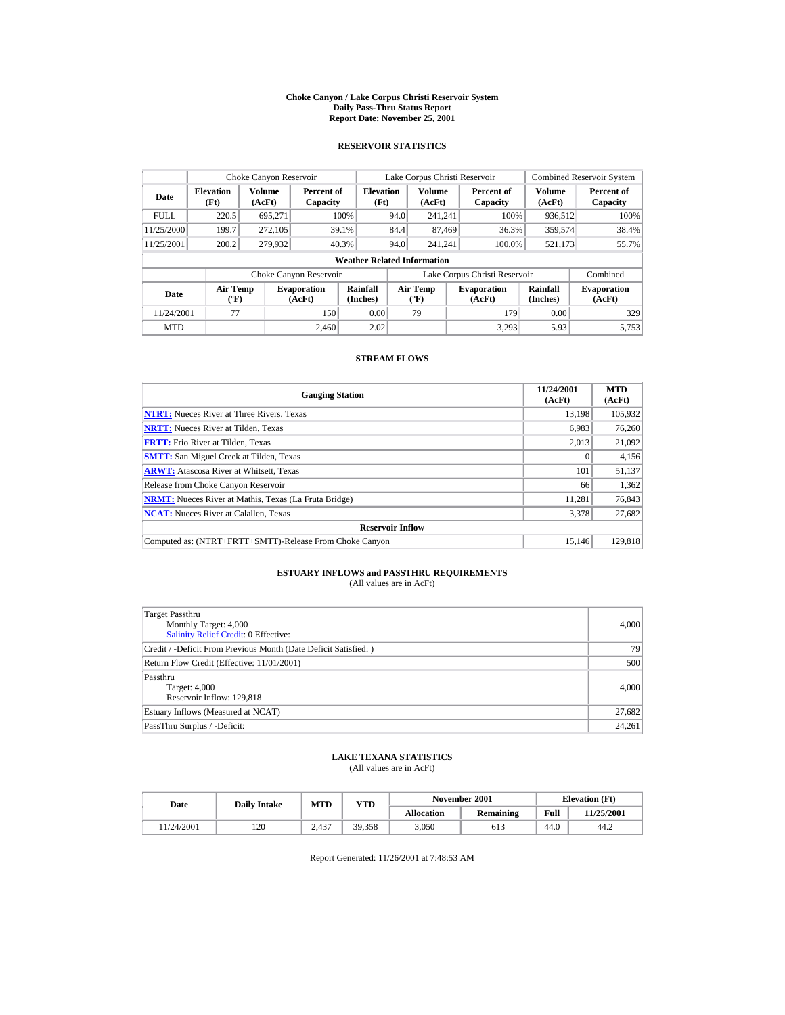#### **Choke Canyon / Lake Corpus Christi Reservoir System Daily Pass-Thru Status Report Report Date: November 25, 2001**

### **RESERVOIR STATISTICS**

|             | Choke Canyon Reservoir           |                  |                              |                                    | Lake Corpus Christi Reservoir |                                  |  |                               |                             | <b>Combined Reservoir System</b> |
|-------------|----------------------------------|------------------|------------------------------|------------------------------------|-------------------------------|----------------------------------|--|-------------------------------|-----------------------------|----------------------------------|
| Date        | <b>Elevation</b><br>(Ft)         | Volume<br>(AcFt) | Percent of<br>Capacity       | <b>Elevation</b><br>(Ft)           |                               | Volume<br>(AcFt)                 |  | Percent of<br>Capacity        | Volume<br>(AcFt)            | Percent of<br>Capacity           |
| <b>FULL</b> | 220.5                            | 695.271          |                              | 100%                               | 94.0                          | 241.241                          |  | 100%                          | 936,512                     | 100%                             |
| 11/25/2000  | 199.7                            | 272,105          |                              | 39.1%                              | 84.4                          | 87,469                           |  | 36.3%                         | 359,574                     | 38.4%                            |
| 11/25/2001  | 200.2                            | 279,932          | 40.3%                        |                                    | 94.0                          | 241.241                          |  | 100.0%                        | 521,173                     | 55.7%                            |
|             |                                  |                  |                              | <b>Weather Related Information</b> |                               |                                  |  |                               |                             |                                  |
|             |                                  |                  | Choke Canyon Reservoir       |                                    |                               |                                  |  | Lake Corpus Christi Reservoir |                             | Combined                         |
| Date        | <b>Air Temp</b><br>$(^{\circ}F)$ |                  | <b>Evaporation</b><br>(AcFt) | Rainfall<br>(Inches)               |                               | <b>Air Temp</b><br>$(^{\circ}F)$ |  | <b>Evaporation</b><br>(AcFt)  | <b>Rainfall</b><br>(Inches) | <b>Evaporation</b><br>(AcFt)     |
| 11/24/2001  | 77                               |                  | 150                          | 0.00                               |                               | 79                               |  | 179                           | 0.00                        | 329                              |
| <b>MTD</b>  |                                  |                  | 2.460                        | 2.02                               |                               |                                  |  | 3.293                         | 5.93                        | 5.753                            |

### **STREAM FLOWS**

| <b>Gauging Station</b>                                       | 11/24/2001<br>(AcFt) | <b>MTD</b><br>(AcFt) |
|--------------------------------------------------------------|----------------------|----------------------|
| <b>NTRT:</b> Nueces River at Three Rivers, Texas             | 13.198               | 105,932              |
| <b>NRTT:</b> Nueces River at Tilden, Texas                   | 6.983                | 76,260               |
| <b>FRTT:</b> Frio River at Tilden, Texas                     | 2,013                | 21,092               |
| <b>SMTT:</b> San Miguel Creek at Tilden, Texas               | $\mathbf{0}$         | 4,156                |
| <b>ARWT:</b> Atascosa River at Whitsett, Texas               | 101                  | 51,137               |
| Release from Choke Canyon Reservoir                          | 66                   | 1,362                |
| <b>NRMT:</b> Nueces River at Mathis, Texas (La Fruta Bridge) | 11.281               | 76,843               |
| <b>NCAT:</b> Nueces River at Calallen, Texas                 | 3,378                | 27,682               |
| <b>Reservoir Inflow</b>                                      |                      |                      |
| Computed as: (NTRT+FRTT+SMTT)-Release From Choke Canyon      | 15.146               | 129,818              |

# **ESTUARY INFLOWS and PASSTHRU REQUIREMENTS**<br>(All values are in AcFt)

| Target Passthru<br>Monthly Target: 4,000<br><b>Salinity Relief Credit: 0 Effective:</b> | 4,000  |
|-----------------------------------------------------------------------------------------|--------|
| Credit / -Deficit From Previous Month (Date Deficit Satisfied:)                         | 79     |
| Return Flow Credit (Effective: 11/01/2001)                                              | 500    |
| Passthru<br>Target: 4,000<br>Reservoir Inflow: 129,818                                  | 4,000  |
| Estuary Inflows (Measured at NCAT)                                                      | 27,682 |
| PassThru Surplus / -Deficit:                                                            | 24,261 |

## **LAKE TEXANA STATISTICS**

(All values are in AcFt)

| Date      | <b>Daily Intake</b> | <b>MTD</b> | $_{\rm VTD}$ |                   | November 2001 | <b>Elevation</b> (Ft) |            |
|-----------|---------------------|------------|--------------|-------------------|---------------|-----------------------|------------|
|           |                     |            |              | <b>Allocation</b> | Remaining     | Full                  | 11/25/2001 |
| 1/24/2001 | 120                 | 2.437      | 39.358       | 3.050             | 613           | 44.0                  | 44.2       |

Report Generated: 11/26/2001 at 7:48:53 AM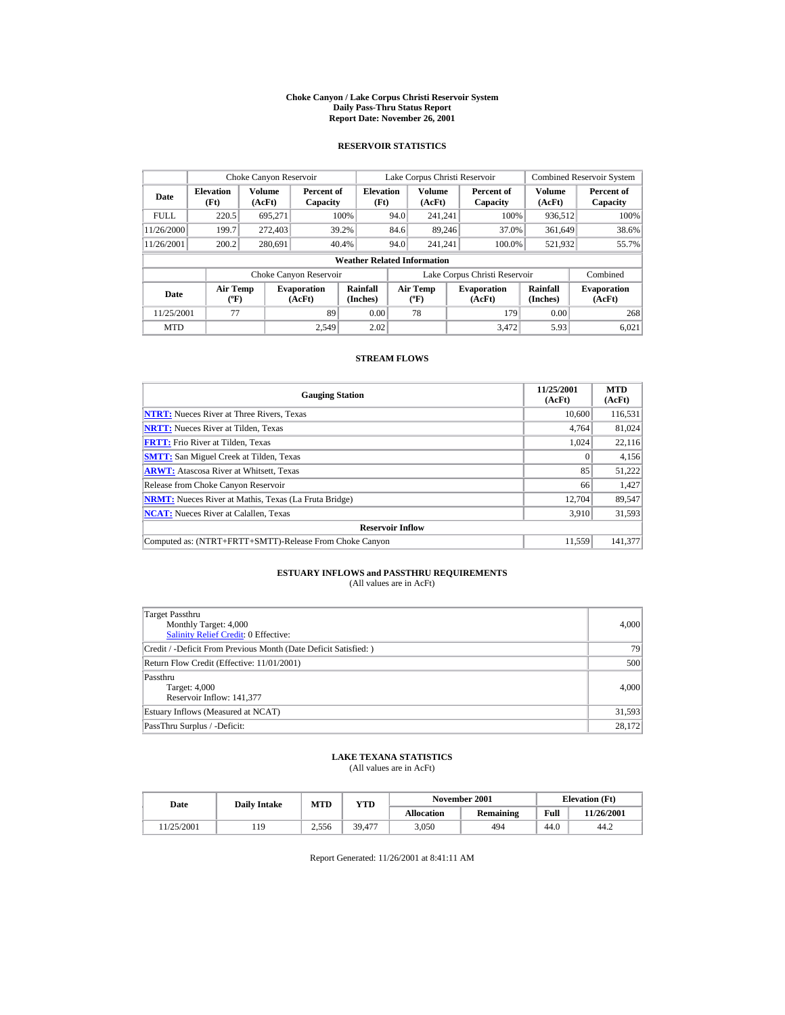#### **Choke Canyon / Lake Corpus Christi Reservoir System Daily Pass-Thru Status Report Report Date: November 26, 2001**

### **RESERVOIR STATISTICS**

|             | Choke Canyon Reservoir                      |                         |                              |                                    |      | Lake Corpus Christi Reservoir    |                               |                      | <b>Combined Reservoir System</b> |
|-------------|---------------------------------------------|-------------------------|------------------------------|------------------------------------|------|----------------------------------|-------------------------------|----------------------|----------------------------------|
| Date        | <b>Elevation</b><br>(Ft)                    | <b>Volume</b><br>(AcFt) | Percent of<br>Capacity       | <b>Elevation</b><br>(Ft)           |      | <b>Volume</b><br>(AcFt)          | Percent of<br>Capacity        | Volume<br>(AcFt)     | Percent of<br>Capacity           |
| <b>FULL</b> | 220.5                                       | 695.271                 |                              | 100%                               | 94.0 | 241.241                          | 100%                          | 936,512              | 100%                             |
| 11/26/2000  | 199.7                                       | 272,403                 |                              | 39.2%                              | 84.6 | 89.246                           | 37.0%                         | 361,649              | 38.6%                            |
| 11/26/2001  | 200.2                                       | 280,691                 |                              | 40.4%                              | 94.0 | 241.241                          | 100.0%                        | 521,932              | 55.7%                            |
|             |                                             |                         |                              | <b>Weather Related Information</b> |      |                                  |                               |                      |                                  |
|             |                                             |                         | Choke Canyon Reservoir       |                                    |      |                                  | Lake Corpus Christi Reservoir |                      | Combined                         |
| Date        | <b>Air Temp</b><br>$({}^{\circ}\mathrm{F})$ |                         | <b>Evaporation</b><br>(AcFt) | Rainfall<br>(Inches)               |      | Air Temp<br>$(^{\circ}\text{F})$ | <b>Evaporation</b><br>(AcFt)  | Rainfall<br>(Inches) | <b>Evaporation</b><br>(AcFt)     |
| 11/25/2001  | 77                                          |                         | 89                           | 0.00                               |      | 78                               | 179                           | 0.00                 | 268                              |
| <b>MTD</b>  |                                             |                         | 2.549                        | 2.02                               |      |                                  | 3.472                         | 5.93                 | 6.021                            |

### **STREAM FLOWS**

| <b>Gauging Station</b>                                       | 11/25/2001<br>(AcFt) | <b>MTD</b><br>(AcFt) |
|--------------------------------------------------------------|----------------------|----------------------|
| <b>NTRT:</b> Nueces River at Three Rivers, Texas             | 10,600               | 116,531              |
| <b>NRTT:</b> Nueces River at Tilden, Texas                   | 4.764                | 81.024               |
| <b>FRTT:</b> Frio River at Tilden, Texas                     | 1.024                | 22,116               |
| <b>SMTT:</b> San Miguel Creek at Tilden, Texas               | $\Omega$             | 4,156                |
| <b>ARWT:</b> Atascosa River at Whitsett, Texas               | 85                   | 51,222               |
| Release from Choke Canyon Reservoir                          | 66                   | 1,427                |
| <b>NRMT:</b> Nueces River at Mathis, Texas (La Fruta Bridge) | 12.704               | 89,547               |
| <b>NCAT:</b> Nueces River at Calallen, Texas                 | 3,910                | 31,593               |
| <b>Reservoir Inflow</b>                                      |                      |                      |
| Computed as: (NTRT+FRTT+SMTT)-Release From Choke Canyon      | 11.559               | 141.377              |

# **ESTUARY INFLOWS and PASSTHRU REQUIREMENTS**<br>(All values are in AcFt)

| Target Passthru<br>Monthly Target: 4,000<br>Salinity Relief Credit: 0 Effective: | 4,000  |
|----------------------------------------------------------------------------------|--------|
| Credit / -Deficit From Previous Month (Date Deficit Satisfied:)                  | 79     |
| Return Flow Credit (Effective: 11/01/2001)                                       | 500    |
| Passthru<br>Target: 4,000<br>Reservoir Inflow: 141,377                           | 4,000  |
| Estuary Inflows (Measured at NCAT)                                               | 31,593 |
| PassThru Surplus / -Deficit:                                                     | 28,172 |

## **LAKE TEXANA STATISTICS**

(All values are in AcFt)

| Date      | <b>Daily Intake</b> | <b>MTD</b> | $_{\rm VTD}$ |                   | November 2001 |      | <b>Elevation</b> (Ft) |
|-----------|---------------------|------------|--------------|-------------------|---------------|------|-----------------------|
|           |                     |            |              | <b>Allocation</b> | Remaining     | Full | 11/26/2001            |
| 1/25/2001 | 19                  | 2.556      | 39.477       | 3.050             | 494           | 44.0 | 44.2                  |

Report Generated: 11/26/2001 at 8:41:11 AM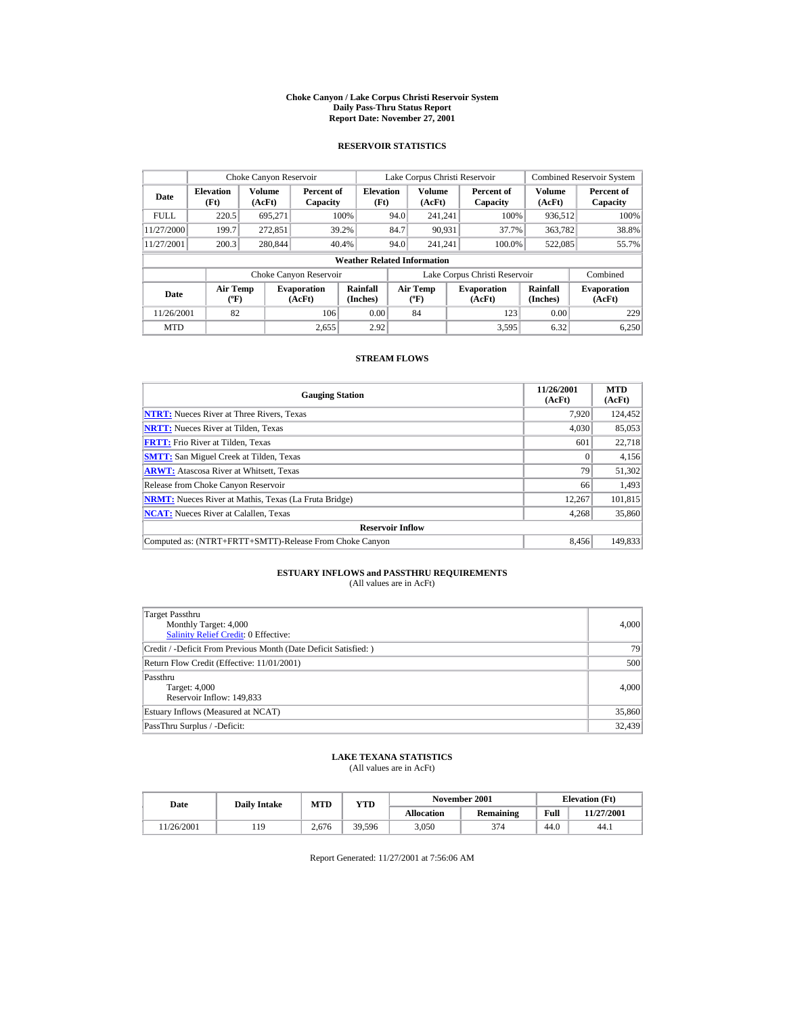#### **Choke Canyon / Lake Corpus Christi Reservoir System Daily Pass-Thru Status Report Report Date: November 27, 2001**

### **RESERVOIR STATISTICS**

|             | Choke Canyon Reservoir                      |                  |                              |                                    | Lake Corpus Christi Reservoir |                                   |  |                               |                      | <b>Combined Reservoir System</b> |
|-------------|---------------------------------------------|------------------|------------------------------|------------------------------------|-------------------------------|-----------------------------------|--|-------------------------------|----------------------|----------------------------------|
| Date        | <b>Elevation</b><br>(Ft)                    | Volume<br>(AcFt) | Percent of<br>Capacity       | <b>Elevation</b><br>(Ft)           |                               | <b>Volume</b><br>(AcFt)           |  | Percent of<br>Capacity        | Volume<br>(AcFt)     | Percent of<br>Capacity           |
| <b>FULL</b> | 220.5                                       | 695.271          |                              | 100%                               | 94.0                          | 241.241                           |  | 100%                          | 936,512              | 100%                             |
| 11/27/2000  | 199.7                                       | 272.851          |                              | 39.2%                              | 84.7                          | 90.931                            |  | 37.7%                         | 363,782              | 38.8%                            |
| 11/27/2001  | 200.3                                       | 280,844          |                              | 40.4%                              | 94.0                          | 241.241                           |  | 100.0%                        | 522,085              | 55.7%                            |
|             |                                             |                  |                              | <b>Weather Related Information</b> |                               |                                   |  |                               |                      |                                  |
|             |                                             |                  | Choke Canyon Reservoir       |                                    |                               |                                   |  | Lake Corpus Christi Reservoir |                      | Combined                         |
| Date        | <b>Air Temp</b><br>$({}^{\circ}\mathrm{F})$ |                  | <b>Evaporation</b><br>(AcFt) | Rainfall<br>(Inches)               |                               | Air Temp<br>$({}^{\circ}{\rm F})$ |  | <b>Evaporation</b><br>(AcFt)  | Rainfall<br>(Inches) | <b>Evaporation</b><br>(AcFt)     |
| 11/26/2001  | 82                                          |                  | 106                          | 0.00                               |                               | 84                                |  | 123                           | 0.00                 | 229                              |
| <b>MTD</b>  |                                             |                  | 2.655                        | 2.92                               |                               |                                   |  | 3.595                         | 6.32                 | 6.250                            |

## **STREAM FLOWS**

| <b>Gauging Station</b>                                       | 11/26/2001<br>(AcFt) | <b>MTD</b><br>(AcFt) |
|--------------------------------------------------------------|----------------------|----------------------|
| <b>NTRT:</b> Nueces River at Three Rivers, Texas             | 7.920                | 124,452              |
| <b>NRTT:</b> Nueces River at Tilden, Texas                   | 4.030                | 85,053               |
| <b>FRTT:</b> Frio River at Tilden, Texas                     | 601                  | 22,718               |
| <b>SMTT:</b> San Miguel Creek at Tilden, Texas               | $\mathbf{0}$         | 4,156                |
| <b>ARWT:</b> Atascosa River at Whitsett, Texas               | 79                   | 51,302               |
| Release from Choke Canyon Reservoir                          | 66                   | 1.493                |
| <b>NRMT:</b> Nueces River at Mathis, Texas (La Fruta Bridge) | 12.267               | 101.815              |
| <b>NCAT:</b> Nueces River at Calallen, Texas                 | 4,268                | 35,860               |
| <b>Reservoir Inflow</b>                                      |                      |                      |
| Computed as: (NTRT+FRTT+SMTT)-Release From Choke Canyon      | 8.456                | 149,833              |

# **ESTUARY INFLOWS and PASSTHRU REQUIREMENTS**<br>(All values are in AcFt)

| Target Passthru<br>Monthly Target: 4,000<br>Salinity Relief Credit: 0 Effective: | 4,000  |
|----------------------------------------------------------------------------------|--------|
| Credit / -Deficit From Previous Month (Date Deficit Satisfied:)                  | 79     |
| Return Flow Credit (Effective: 11/01/2001)                                       | 500    |
| Passthru<br>Target: 4,000<br>Reservoir Inflow: 149,833                           | 4,000  |
| Estuary Inflows (Measured at NCAT)                                               | 35,860 |
| PassThru Surplus / -Deficit:                                                     | 32,439 |

## **LAKE TEXANA STATISTICS**

(All values are in AcFt)

| Date      | <b>Daily Intake</b> | <b>MTD</b> | YTD    |                   | November 2001 | <b>Elevation</b> (Ft) |            |
|-----------|---------------------|------------|--------|-------------------|---------------|-----------------------|------------|
|           |                     |            |        | <b>Allocation</b> | Remaining     | Full                  | 11/27/2001 |
| 1/26/2001 | 1 C                 | 2.676      | 39.596 | 3.050             | 374           | 44.0                  | 44.1       |

Report Generated: 11/27/2001 at 7:56:06 AM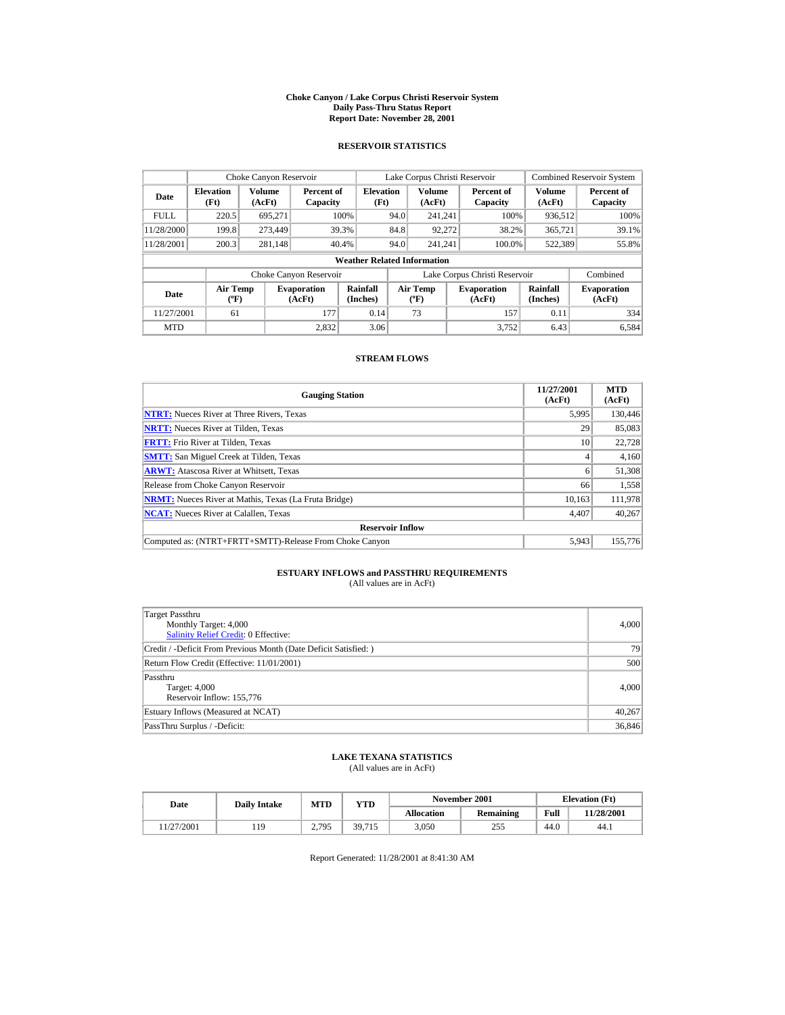#### **Choke Canyon / Lake Corpus Christi Reservoir System Daily Pass-Thru Status Report Report Date: November 28, 2001**

### **RESERVOIR STATISTICS**

|             | Choke Canyon Reservoir           |                         |                              |                                    | Lake Corpus Christi Reservoir |                                  |  |                               |                             | <b>Combined Reservoir System</b> |
|-------------|----------------------------------|-------------------------|------------------------------|------------------------------------|-------------------------------|----------------------------------|--|-------------------------------|-----------------------------|----------------------------------|
| Date        | <b>Elevation</b><br>(Ft)         | <b>Volume</b><br>(AcFt) | Percent of<br>Capacity       | <b>Elevation</b><br>(Ft)           |                               | Volume<br>(AcFt)                 |  | Percent of<br>Capacity        | Volume<br>(AcFt)            | Percent of<br>Capacity           |
| <b>FULL</b> | 220.5                            | 695.271                 |                              | 100%                               | 94.0                          | 241.241                          |  | 100%                          | 936,512                     | 100%                             |
| 11/28/2000  | 199.8                            | 273,449                 |                              | 39.3%                              | 84.8                          | 92.272                           |  | 38.2%                         | 365,721                     | 39.1%                            |
| 11/28/2001  | 200.3                            | 281,148                 |                              | 40.4%                              | 94.0                          | 241.241                          |  | 100.0%                        | 522,389                     | 55.8%                            |
|             |                                  |                         |                              | <b>Weather Related Information</b> |                               |                                  |  |                               |                             |                                  |
|             |                                  |                         | Choke Canyon Reservoir       |                                    |                               |                                  |  | Lake Corpus Christi Reservoir |                             | Combined                         |
| Date        | <b>Air Temp</b><br>$(^{\circ}F)$ |                         | <b>Evaporation</b><br>(AcFt) | Rainfall<br>(Inches)               |                               | <b>Air Temp</b><br>$(^{\circ}F)$ |  | <b>Evaporation</b><br>(AcFt)  | <b>Rainfall</b><br>(Inches) | <b>Evaporation</b><br>(AcFt)     |
| 11/27/2001  | 61                               |                         | 177                          | 0.14                               |                               | 73                               |  | 157                           | 0.11                        | 334                              |
| <b>MTD</b>  |                                  |                         | 2.832                        | 3.06                               |                               |                                  |  | 3.752                         | 6.43                        | 6.584                            |

## **STREAM FLOWS**

| <b>Gauging Station</b>                                       | 11/27/2001<br>(AcFt) | <b>MTD</b><br>(AcFt) |
|--------------------------------------------------------------|----------------------|----------------------|
| <b>NTRT:</b> Nueces River at Three Rivers, Texas             | 5.995                | 130,446              |
| <b>NRTT:</b> Nueces River at Tilden, Texas                   | 29                   | 85,083               |
| <b>FRTT:</b> Frio River at Tilden, Texas                     | 10                   | 22,728               |
| <b>SMTT:</b> San Miguel Creek at Tilden, Texas               | 4                    | 4,160                |
| <b>ARWT:</b> Atascosa River at Whitsett, Texas               | 6                    | 51,308               |
| Release from Choke Canyon Reservoir                          | 66                   | 1,558                |
| <b>NRMT:</b> Nueces River at Mathis, Texas (La Fruta Bridge) | 10.163               | 111,978              |
| <b>NCAT:</b> Nueces River at Calallen, Texas                 | 4,407                | 40,267               |
| <b>Reservoir Inflow</b>                                      |                      |                      |
| Computed as: (NTRT+FRTT+SMTT)-Release From Choke Canyon      | 5.943                | 155,776              |

# **ESTUARY INFLOWS and PASSTHRU REQUIREMENTS**<br>(All values are in AcFt)

| Target Passthru<br>Monthly Target: 4,000<br><b>Salinity Relief Credit: 0 Effective:</b> | 4,000  |
|-----------------------------------------------------------------------------------------|--------|
| Credit / -Deficit From Previous Month (Date Deficit Satisfied:)                         | 79     |
| Return Flow Credit (Effective: 11/01/2001)                                              | 500    |
| Passthru<br>Target: 4,000<br>Reservoir Inflow: 155,776                                  | 4,000  |
| Estuary Inflows (Measured at NCAT)                                                      | 40,267 |
| PassThru Surplus / -Deficit:                                                            | 36,846 |

## **LAKE TEXANA STATISTICS**

(All values are in AcFt)

| Date      | <b>Daily Intake</b> | <b>MTD</b>                        | YTD    |                   | November 2001 | <b>Elevation</b> (Ft) |            |
|-----------|---------------------|-----------------------------------|--------|-------------------|---------------|-----------------------|------------|
|           |                     |                                   |        | <b>Allocation</b> | Remaining     | Full                  | 11/28/2001 |
| 1/27/2001 | 1 C                 | 2.795<br>$\overline{\phantom{a}}$ | 39,715 | 3.050             | 255           | 44.0                  | 44.1       |

Report Generated: 11/28/2001 at 8:41:30 AM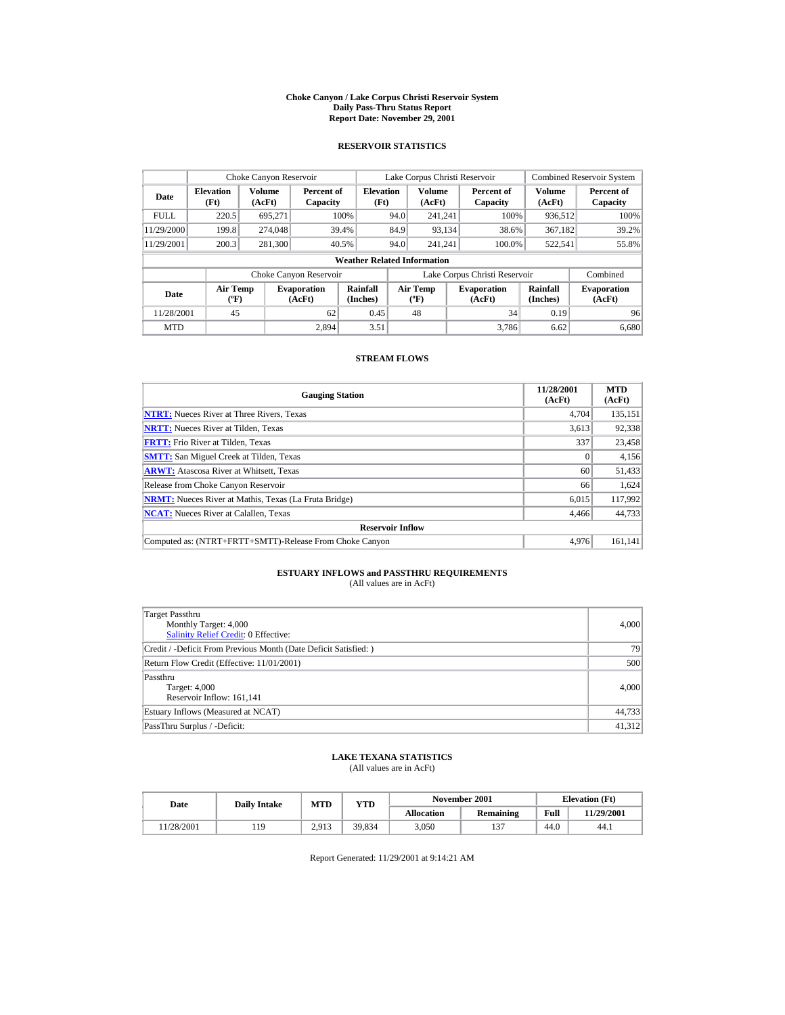#### **Choke Canyon / Lake Corpus Christi Reservoir System Daily Pass-Thru Status Report Report Date: November 29, 2001**

### **RESERVOIR STATISTICS**

|             | Choke Canyon Reservoir           |                         |                              |                                    | Lake Corpus Christi Reservoir |                                  |  |                               |                             | <b>Combined Reservoir System</b> |
|-------------|----------------------------------|-------------------------|------------------------------|------------------------------------|-------------------------------|----------------------------------|--|-------------------------------|-----------------------------|----------------------------------|
| Date        | <b>Elevation</b><br>(Ft)         | <b>Volume</b><br>(AcFt) | Percent of<br>Capacity       | <b>Elevation</b><br>(Ft)           |                               | Volume<br>(AcFt)                 |  | Percent of<br>Capacity        | Volume<br>(AcFt)            | Percent of<br>Capacity           |
| <b>FULL</b> | 220.5                            | 695.271                 |                              | 100%                               | 94.0                          | 241.241                          |  | 100%                          | 936,512                     | 100%                             |
| 11/29/2000  | 199.8                            | 274,048                 |                              | 39.4%                              | 84.9                          | 93,134                           |  | 38.6%                         | 367,182                     | 39.2%                            |
| 11/29/2001  | 200.3                            | 281,300                 |                              | 40.5%                              | 94.0                          | 241.241                          |  | 100.0%                        | 522,541                     | 55.8%                            |
|             |                                  |                         |                              | <b>Weather Related Information</b> |                               |                                  |  |                               |                             |                                  |
|             |                                  |                         | Choke Canyon Reservoir       |                                    |                               |                                  |  | Lake Corpus Christi Reservoir |                             | Combined                         |
| Date        | <b>Air Temp</b><br>$(^{\circ}F)$ |                         | <b>Evaporation</b><br>(AcFt) | Rainfall<br>(Inches)               |                               | <b>Air Temp</b><br>$(^{\circ}F)$ |  | <b>Evaporation</b><br>(AcFt)  | <b>Rainfall</b><br>(Inches) | <b>Evaporation</b><br>(AcFt)     |
| 11/28/2001  | 45                               |                         | 62                           | 0.45                               |                               | 48                               |  | 34                            | 0.19                        | 96                               |
| <b>MTD</b>  |                                  |                         | 2.894                        | 3.51                               |                               |                                  |  | 3.786                         | 6.62                        | 6.680                            |

### **STREAM FLOWS**

| <b>Gauging Station</b>                                       | 11/28/2001<br>(AcFt) | <b>MTD</b><br>(AcFt) |
|--------------------------------------------------------------|----------------------|----------------------|
| <b>NTRT:</b> Nueces River at Three Rivers, Texas             | 4.704                | 135,151              |
| <b>NRTT:</b> Nueces River at Tilden, Texas                   | 3,613                | 92,338               |
| <b>FRTT:</b> Frio River at Tilden, Texas                     | 337                  | 23,458               |
| <b>SMTT:</b> San Miguel Creek at Tilden, Texas               | $\Omega$             | 4,156                |
| <b>ARWT:</b> Atascosa River at Whitsett, Texas               | 60                   | 51,433               |
| Release from Choke Canyon Reservoir                          | 66                   | 1,624                |
| <b>NRMT:</b> Nueces River at Mathis, Texas (La Fruta Bridge) | 6.015                | 117,992              |
| <b>NCAT:</b> Nueces River at Calallen, Texas                 | 4,466                | 44,733               |
| <b>Reservoir Inflow</b>                                      |                      |                      |
| Computed as: (NTRT+FRTT+SMTT)-Release From Choke Canyon      | 4.976                | 161.141              |

# **ESTUARY INFLOWS and PASSTHRU REQUIREMENTS**<br>(All values are in AcFt)

| Target Passthru<br>Monthly Target: 4,000<br>Salinity Relief Credit: 0 Effective: | 4,000  |
|----------------------------------------------------------------------------------|--------|
| Credit / -Deficit From Previous Month (Date Deficit Satisfied:)                  | 79     |
| Return Flow Credit (Effective: 11/01/2001)                                       | 500    |
| Passthru<br>Target: 4,000<br>Reservoir Inflow: 161,141                           | 4,000  |
| Estuary Inflows (Measured at NCAT)                                               | 44,733 |
| PassThru Surplus / -Deficit:                                                     | 41,312 |

## **LAKE TEXANA STATISTICS**

(All values are in AcFt)

| Date      | <b>Daily Intake</b> | <b>MTD</b> | $_{\rm VTD}$ |                   | November 2001 | <b>Elevation</b> (Ft) |                   |
|-----------|---------------------|------------|--------------|-------------------|---------------|-----------------------|-------------------|
|           |                     |            |              | <b>Allocation</b> | Remaining     | Full                  | <b>11/29/2001</b> |
| 1/28/2001 | 19                  | 2.913      | 39.834       | 3.050             | 137           | 44.0                  | 44.1              |

Report Generated: 11/29/2001 at 9:14:21 AM